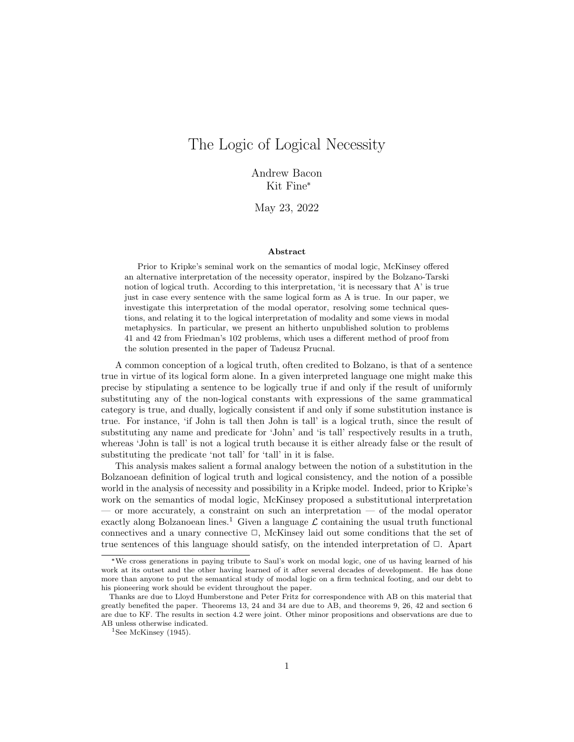# The Logic of Logical Necessity

Andrew Bacon Kit Fine\*

May 23, 2022

#### Abstract

Prior to Kripke's seminal work on the semantics of modal logic, McKinsey offered an alternative interpretation of the necessity operator, inspired by the Bolzano-Tarski notion of logical truth. According to this interpretation, 'it is necessary that A' is true just in case every sentence with the same logical form as A is true. In our paper, we investigate this interpretation of the modal operator, resolving some technical questions, and relating it to the logical interpretation of modality and some views in modal metaphysics. In particular, we present an hitherto unpublished solution to problems 41 and 42 from Friedman's 102 problems, which uses a different method of proof from the solution presented in the paper of Tadeusz Prucnal.

A common conception of a logical truth, often credited to Bolzano, is that of a sentence true in virtue of its logical form alone. In a given interpreted language one might make this precise by stipulating a sentence to be logically true if and only if the result of uniformly substituting any of the non-logical constants with expressions of the same grammatical category is true, and dually, logically consistent if and only if some substitution instance is true. For instance, 'if John is tall then John is tall' is a logical truth, since the result of substituting any name and predicate for 'John' and 'is tall' respectively results in a truth, whereas 'John is tall' is not a logical truth because it is either already false or the result of substituting the predicate 'not tall' for 'tall' in it is false.

This analysis makes salient a formal analogy between the notion of a substitution in the Bolzanoean definition of logical truth and logical consistency, and the notion of a possible world in the analysis of necessity and possibility in a Kripke model. Indeed, prior to Kripke's work on the semantics of modal logic, McKinsey proposed a substitutional interpretation — or more accurately, a constraint on such an interpretation — of the modal operator exactly along Bolzanoean lines.<sup>1</sup> Given a language  $\mathcal L$  containing the usual truth functional connectives and a unary connective  $\Box$ , McKinsey laid out some conditions that the set of true sentences of this language should satisfy, on the intended interpretation of  $\Box$ . Apart

<sup>\*</sup>We cross generations in paying tribute to Saul's work on modal logic, one of us having learned of his work at its outset and the other having learned of it after several decades of development. He has done more than anyone to put the semantical study of modal logic on a firm technical footing, and our debt to his pioneering work should be evident throughout the paper.

Thanks are due to Lloyd Humberstone and Peter Fritz for correspondence with AB on this material that greatly benefited the paper. Theorems 13, 24 and 34 are due to AB, and theorems 9, 26, 42 and section 6 are due to KF. The results in section 4.2 were joint. Other minor propositions and observations are due to AB unless otherwise indicated.

<sup>&</sup>lt;sup>1</sup>See McKinsey (1945).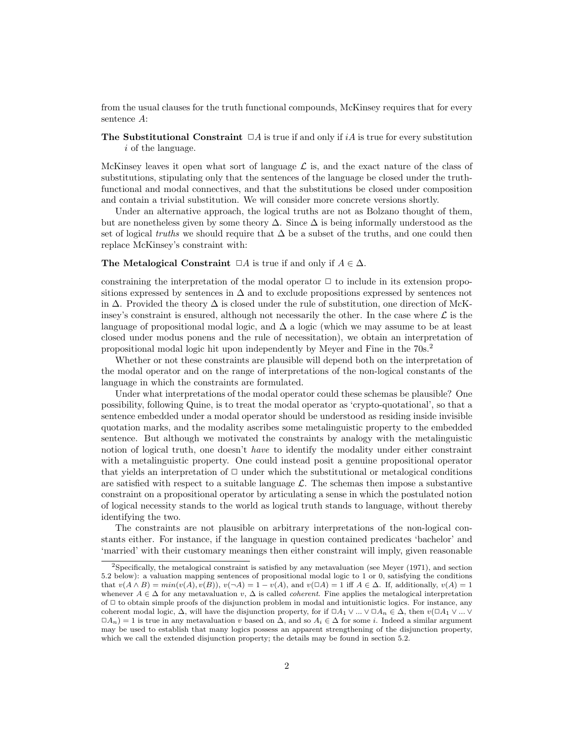from the usual clauses for the truth functional compounds, McKinsey requires that for every sentence A:

The Substitutional Constraint  $\Box A$  is true if and only if iA is true for every substitution i of the language.

McKinsey leaves it open what sort of language  $\mathcal L$  is, and the exact nature of the class of substitutions, stipulating only that the sentences of the language be closed under the truthfunctional and modal connectives, and that the substitutions be closed under composition and contain a trivial substitution. We will consider more concrete versions shortly.

Under an alternative approach, the logical truths are not as Bolzano thought of them, but are nonetheless given by some theory  $\Delta$ . Since  $\Delta$  is being informally understood as the set of logical *truths* we should require that  $\Delta$  be a subset of the truths, and one could then replace McKinsey's constraint with:

#### The Metalogical Constraint  $\Box A$  is true if and only if  $A \in \Delta$ .

constraining the interpretation of the modal operator  $\Box$  to include in its extension propositions expressed by sentences in  $\Delta$  and to exclude propositions expressed by sentences not in  $\Delta$ . Provided the theory  $\Delta$  is closed under the rule of substitution, one direction of McKinsey's constraint is ensured, although not necessarily the other. In the case where  $\mathcal L$  is the language of propositional modal logic, and  $\Delta$  a logic (which we may assume to be at least closed under modus ponens and the rule of necessitation), we obtain an interpretation of propositional modal logic hit upon independently by Meyer and Fine in the 70s.<sup>2</sup>

Whether or not these constraints are plausible will depend both on the interpretation of the modal operator and on the range of interpretations of the non-logical constants of the language in which the constraints are formulated.

Under what interpretations of the modal operator could these schemas be plausible? One possibility, following Quine, is to treat the modal operator as 'crypto-quotational', so that a sentence embedded under a modal operator should be understood as residing inside invisible quotation marks, and the modality ascribes some metalinguistic property to the embedded sentence. But although we motivated the constraints by analogy with the metalinguistic notion of logical truth, one doesn't *have* to identify the modality under either constraint with a metalinguistic property. One could instead posit a genuine propositional operator that yields an interpretation of  $\Box$  under which the substitutional or metalogical conditions are satisfied with respect to a suitable language  $\mathcal{L}$ . The schemas then impose a substantive constraint on a propositional operator by articulating a sense in which the postulated notion of logical necessity stands to the world as logical truth stands to language, without thereby identifying the two.

The constraints are not plausible on arbitrary interpretations of the non-logical constants either. For instance, if the language in question contained predicates 'bachelor' and 'married' with their customary meanings then either constraint will imply, given reasonable

<sup>2</sup>Specifically, the metalogical constraint is satisfied by any metavaluation (see Meyer (1971), and section 5.2 below): a valuation mapping sentences of propositional modal logic to 1 or 0, satisfying the conditions that  $v(A \wedge B) = min(v(A), v(B)), v(\neg A) = 1 - v(A),$  and  $v(\Box A) = 1$  iff  $A \in \Delta$ . If, additionally,  $v(A) = 1$ whenever  $A \in \Delta$  for any metavaluation v,  $\Delta$  is called *coherent*. Fine applies the metalogical interpretation of  $\Box$  to obtain simple proofs of the disjunction problem in modal and intuitionistic logics. For instance, any coherent modal logic,  $\Delta$ , will have the disjunction property, for if  $\Box A_1 \vee ... \vee \Box A_n \in \Delta$ , then  $v(\Box A_1 \vee ... \vee \Box A_n)$  $\Box A_n$ ) = 1 is true in any metavaluation v based on  $\Delta$ , and so  $A_i \in \Delta$  for some i. Indeed a similar argument may be used to establish that many logics possess an apparent strengthening of the disjunction property, which we call the extended disjunction property; the details may be found in section 5.2.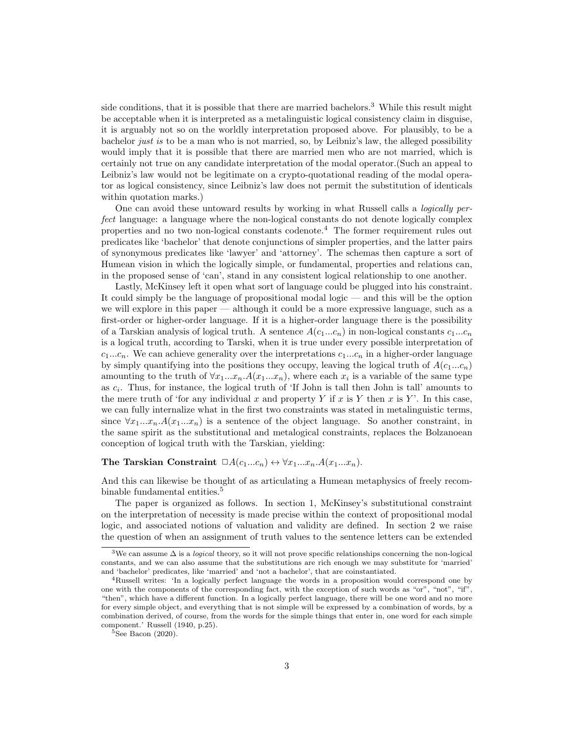side conditions, that it is possible that there are married bachelors.<sup>3</sup> While this result might be acceptable when it is interpreted as a metalinguistic logical consistency claim in disguise, it is arguably not so on the worldly interpretation proposed above. For plausibly, to be a bachelor just is to be a man who is not married, so, by Leibniz's law, the alleged possibility would imply that it is possible that there are married men who are not married, which is certainly not true on any candidate interpretation of the modal operator.(Such an appeal to Leibniz's law would not be legitimate on a crypto-quotational reading of the modal operator as logical consistency, since Leibniz's law does not permit the substitution of identicals within quotation marks.)

One can avoid these untoward results by working in what Russell calls a logically perfect language: a language where the non-logical constants do not denote logically complex properties and no two non-logical constants codenote.<sup>4</sup> The former requirement rules out predicates like 'bachelor' that denote conjunctions of simpler properties, and the latter pairs of synonymous predicates like 'lawyer' and 'attorney'. The schemas then capture a sort of Humean vision in which the logically simple, or fundamental, properties and relations can, in the proposed sense of 'can', stand in any consistent logical relationship to one another.

Lastly, McKinsey left it open what sort of language could be plugged into his constraint. It could simply be the language of propositional modal logic — and this will be the option we will explore in this paper — although it could be a more expressive language, such as a first-order or higher-order language. If it is a higher-order language there is the possibility of a Tarskian analysis of logical truth. A sentence  $A(c_1...c_n)$  in non-logical constants  $c_1...c_n$ is a logical truth, according to Tarski, when it is true under every possible interpretation of  $c_1...c_n$ . We can achieve generality over the interpretations  $c_1...c_n$  in a higher-order language by simply quantifying into the positions they occupy, leaving the logical truth of  $A(c_1...c_n)$ amounting to the truth of  $\forall x_1...x_n.A(x_1...x_n)$ , where each  $x_i$  is a variable of the same type as  $c_i$ . Thus, for instance, the logical truth of 'If John is tall then John is tall' amounts to the mere truth of 'for any individual x and property Y if x is Y then x is Y'. In this case, we can fully internalize what in the first two constraints was stated in metalinguistic terms, since  $\forall x_1...x_n.A(x_1...x_n)$  is a sentence of the object language. So another constraint, in the same spirit as the substitutional and metalogical constraints, replaces the Bolzanoean conception of logical truth with the Tarskian, yielding:

## The Tarskian Constraint  $\Box A(c_1...c_n) \leftrightarrow \forall x_1...x_n.A(x_1...x_n)$ .

And this can likewise be thought of as articulating a Humean metaphysics of freely recombinable fundamental entities.<sup>5</sup>

The paper is organized as follows. In section 1, McKinsey's substitutional constraint on the interpretation of necessity is made precise within the context of propositional modal logic, and associated notions of valuation and validity are defined. In section 2 we raise the question of when an assignment of truth values to the sentence letters can be extended

<sup>&</sup>lt;sup>3</sup>We can assume  $\Delta$  is a *logical* theory, so it will not prove specific relationships concerning the non-logical constants, and we can also assume that the substitutions are rich enough we may substitute for 'married' and 'bachelor' predicates, like 'married' and 'not a bachelor', that are coinstantiated.

<sup>4</sup>Russell writes: 'In a logically perfect language the words in a proposition would correspond one by one with the components of the corresponding fact, with the exception of such words as "or", "not", "if", "then", which have a different function. In a logically perfect language, there will be one word and no more for every simple object, and everything that is not simple will be expressed by a combination of words, by a combination derived, of course, from the words for the simple things that enter in, one word for each simple component.' Russell (1940, p.25).

 $5$ See Bacon (2020).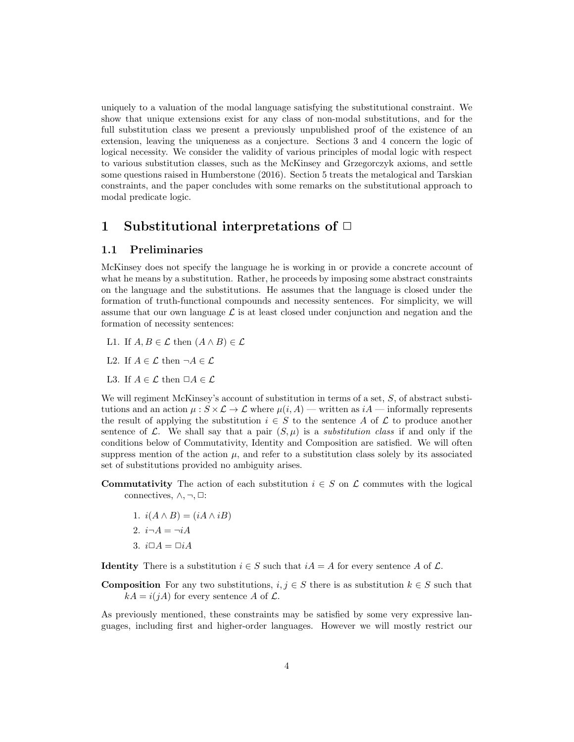uniquely to a valuation of the modal language satisfying the substitutional constraint. We show that unique extensions exist for any class of non-modal substitutions, and for the full substitution class we present a previously unpublished proof of the existence of an extension, leaving the uniqueness as a conjecture. Sections 3 and 4 concern the logic of logical necessity. We consider the validity of various principles of modal logic with respect to various substitution classes, such as the McKinsey and Grzegorczyk axioms, and settle some questions raised in Humberstone (2016). Section 5 treats the metalogical and Tarskian constraints, and the paper concludes with some remarks on the substitutional approach to modal predicate logic.

## 1 Substitutional interpretations of  $\Box$

## 1.1 Preliminaries

McKinsey does not specify the language he is working in or provide a concrete account of what he means by a substitution. Rather, he proceeds by imposing some abstract constraints on the language and the substitutions. He assumes that the language is closed under the formation of truth-functional compounds and necessity sentences. For simplicity, we will assume that our own language  $\mathcal L$  is at least closed under conjunction and negation and the formation of necessity sentences:

- L1. If  $A, B \in \mathcal{L}$  then  $(A \wedge B) \in \mathcal{L}$
- L2. If  $A \in \mathcal{L}$  then  $\neg A \in \mathcal{L}$
- L3. If  $A \in \mathcal{L}$  then  $\Box A \in \mathcal{L}$

We will regiment McKinsey's account of substitution in terms of a set,  $S$ , of abstract substitutions and an action  $\mu : S \times \mathcal{L} \to \mathcal{L}$  where  $\mu(i, A)$  — written as  $iA$  — informally represents the result of applying the substitution  $i \in S$  to the sentence A of L to produce another sentence of L. We shall say that a pair  $(S, \mu)$  is a *substitution class* if and only if the conditions below of Commutativity, Identity and Composition are satisfied. We will often suppress mention of the action  $\mu$ , and refer to a substitution class solely by its associated set of substitutions provided no ambiguity arises.

- **Commutativity** The action of each substitution  $i \in S$  on  $\mathcal{L}$  commutes with the logical connectives,  $\wedge, \neg, \Box$ :
	- 1.  $i(A \wedge B) = (iA \wedge iB)$ 2.  $i\neg A = \neg iA$
	- 3.  $i\Box A = \Box iA$

**Identity** There is a substitution  $i \in S$  such that  $iA = A$  for every sentence A of  $\mathcal{L}$ .

**Composition** For any two substitutions,  $i, j \in S$  there is as substitution  $k \in S$  such that  $kA = i(jA)$  for every sentence A of  $\mathcal{L}$ .

As previously mentioned, these constraints may be satisfied by some very expressive languages, including first and higher-order languages. However we will mostly restrict our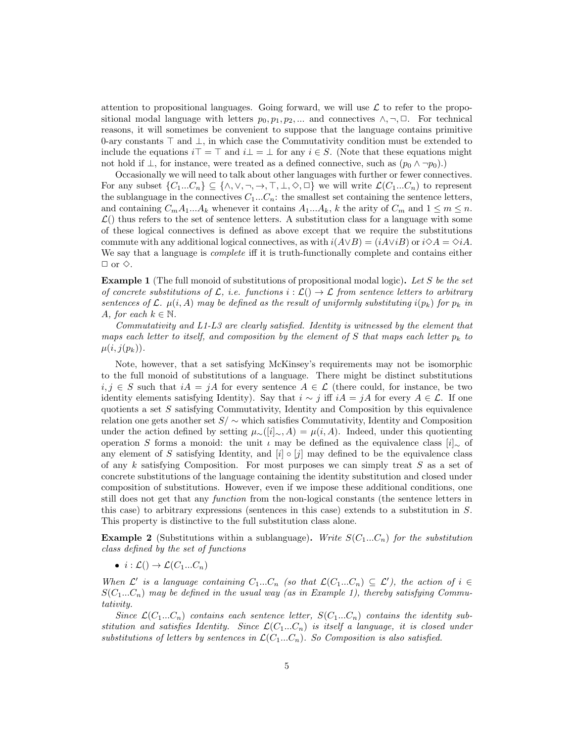attention to propositional languages. Going forward, we will use  $\mathcal L$  to refer to the propositional modal language with letters  $p_0, p_1, p_2, ...$  and connectives  $\wedge, \neg, \Box$ . For technical reasons, it will sometimes be convenient to suppose that the language contains primitive 0-ary constants  $\top$  and  $\bot$ , in which case the Commutativity condition must be extended to include the equations  $i\top = \top$  and  $i\bot = \bot$  for any  $i \in S$ . (Note that these equations might not hold if  $\bot$ , for instance, were treated as a defined connective, such as  $(p_0 \wedge \neg p_0)$ .

Occasionally we will need to talk about other languages with further or fewer connectives. For any subset  $\{C_1...C_n\} \subseteq \{\wedge, \vee, \neg, \rightarrow, \top, \bot, \Diamond, \Box\}$  we will write  $\mathcal{L}(C_1...C_n)$  to represent the sublanguage in the connectives  $C_1...C_n$ : the smallest set containing the sentence letters, and containing  $C_m A_1...A_k$  whenever it contains  $A_1...A_k$ , k the arity of  $C_m$  and  $1 \leq m \leq n$ .  $\mathcal{L}$ ) thus refers to the set of sentence letters. A substitution class for a language with some of these logical connectives is defined as above except that we require the substitutions commute with any additional logical connectives, as with  $i(A \vee B) = (iA \vee iB)$  or  $i\diamond A = \diamond iA$ . We say that a language is *complete* iff it is truth-functionally complete and contains either  $\Box$  or  $\diamond$ .

**Example 1** (The full monoid of substitutions of propositional modal logic). Let S be the set of concrete substitutions of  $\mathcal{L}$ , i.e. functions  $i : \mathcal{L}(\mathcal{L}) \to \mathcal{L}$  from sentence letters to arbitrary sentences of L.  $\mu(i, A)$  may be defined as the result of uniformly substituting  $i(p_k)$  for  $p_k$  in A, for each  $k \in \mathbb{N}$ .

Commutativity and L1-L3 are clearly satisfied. Identity is witnessed by the element that maps each letter to itself, and composition by the element of S that maps each letter  $p_k$  to  $\mu(i,j(p_k)).$ 

Note, however, that a set satisfying McKinsey's requirements may not be isomorphic to the full monoid of substitutions of a language. There might be distinct substitutions  $i, j \in S$  such that  $iA = jA$  for every sentence  $A \in \mathcal{L}$  (there could, for instance, be two identity elements satisfying Identity). Say that  $i \sim j$  iff  $iA = jA$  for every  $A \in \mathcal{L}$ . If one quotients a set  $S$  satisfying Commutativity, Identity and Composition by this equivalence relation one gets another set  $S/\sim$  which satisfies Commutativity, Identity and Composition under the action defined by setting  $\mu_>(i] \sim A$ ) =  $\mu(i, A)$ . Indeed, under this quotienting operation S forms a monoid: the unit  $\iota$  may be defined as the equivalence class  $[i]_∼$  of any element of S satisfying Identity, and  $[i] \circ [j]$  may defined to be the equivalence class of any  $k$  satisfying Composition. For most purposes we can simply treat  $S$  as a set of concrete substitutions of the language containing the identity substitution and closed under composition of substitutions. However, even if we impose these additional conditions, one still does not get that any function from the non-logical constants (the sentence letters in this case) to arbitrary expressions (sentences in this case) extends to a substitution in S. This property is distinctive to the full substitution class alone.

**Example 2** (Substitutions within a sublanguage). Write  $S(C_1...C_n)$  for the substitution class defined by the set of functions

•  $i : \mathcal{L}(\)to \mathcal{L}(C_1...C_n)$ 

When  $\mathcal{L}'$  is a language containing  $C_1...C_n$  (so that  $\mathcal{L}(C_1...C_n) \subseteq \mathcal{L}'$ ), the action of  $i \in$  $S(C_1...C_n)$  may be defined in the usual way (as in Example 1), thereby satisfying Commutativity.

Since  $\mathcal{L}(C_1...C_n)$  contains each sentence letter,  $S(C_1...C_n)$  contains the identity substitution and satisfies Identity. Since  $\mathcal{L}(C_1...C_n)$  is itself a language, it is closed under substitutions of letters by sentences in  $\mathcal{L}(C_1...C_n)$ . So Composition is also satisfied.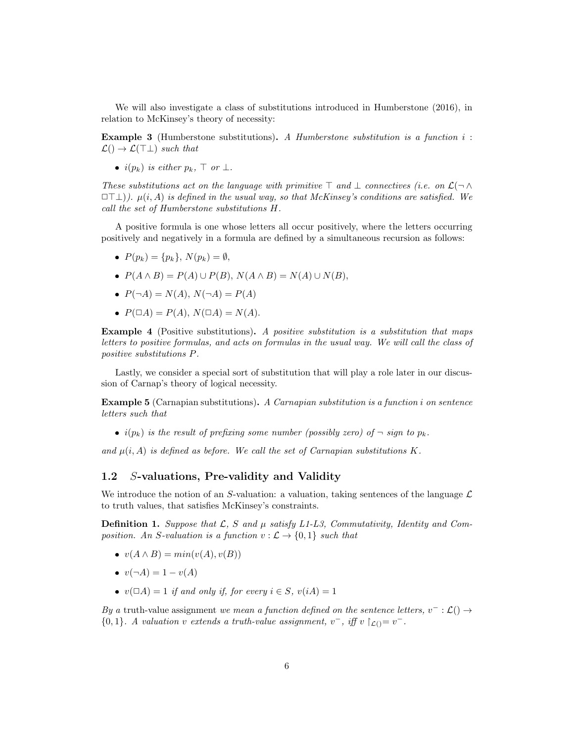We will also investigate a class of substitutions introduced in Humberstone (2016), in relation to McKinsey's theory of necessity:

**Example 3** (Humberstone substitutions). A Humberstone substitution is a function  $i$ :  $\mathcal{L}() \rightarrow \mathcal{L}(\top \bot)$  such that

•  $i(p_k)$  is either  $p_k$ ,  $\top$  or  $\bot$ .

These substitutions act on the language with primitive  $\top$  and  $\bot$  connectives (i.e. on  $\mathcal{L}(\neg \wedge$  $\Box\Box\bot)$ ).  $\mu(i, A)$  is defined in the usual way, so that McKinsey's conditions are satisfied. We call the set of Humberstone substitutions H.

A positive formula is one whose letters all occur positively, where the letters occurring positively and negatively in a formula are defined by a simultaneous recursion as follows:

- $P(p_k) = \{p_k\}, N(p_k) = \emptyset,$
- $P(A \wedge B) = P(A) \cup P(B), N(A \wedge B) = N(A) \cup N(B),$
- $P(\neg A) = N(A), N(\neg A) = P(A)$
- $P(\Box A) = P(A), N(\Box A) = N(A).$

Example 4 (Positive substitutions). A positive substitution is a substitution that maps letters to positive formulas, and acts on formulas in the usual way. We will call the class of positive substitutions P.

Lastly, we consider a special sort of substitution that will play a role later in our discussion of Carnap's theory of logical necessity.

Example 5 (Carnapian substitutions). A Carnapian substitution is a function i on sentence letters such that

•  $i(p_k)$  is the result of prefixing some number (possibly zero) of  $\neg$  sign to  $p_k$ .

and  $\mu(i, A)$  is defined as before. We call the set of Carnapian substitutions K.

## 1.2 S-valuations, Pre-validity and Validity

We introduce the notion of an S-valuation: a valuation, taking sentences of the language  $\mathcal{L}$ to truth values, that satisfies McKinsey's constraints.

**Definition 1.** Suppose that  $\mathcal{L}$ , S and  $\mu$  satisfy L1-L3, Commutativity, Identity and Composition. An S-valuation is a function  $v : \mathcal{L} \to \{0, 1\}$  such that

- $v(A \wedge B) = min(v(A), v(B))$
- $v(\neg A) = 1 v(A)$
- $v(\Box A) = 1$  if and only if, for every  $i \in S$ ,  $v(iA) = 1$

By a truth-value assignment we mean a function defined on the sentence letters,  $v^- : \mathcal{L}() \rightarrow$  ${0,1}.$  A valuation v extends a truth-value assignment,  $v^-$ , iff v  $\upharpoonright_{\mathcal{L}()}=v^-$ .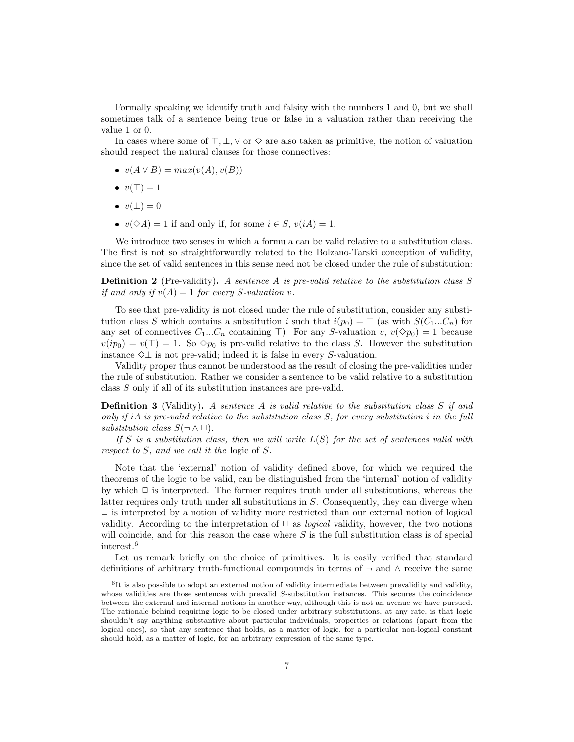Formally speaking we identify truth and falsity with the numbers 1 and 0, but we shall sometimes talk of a sentence being true or false in a valuation rather than receiving the value 1 or 0.

In cases where some of  $\top, \bot, \vee$  or  $\diamond$  are also taken as primitive, the notion of valuation should respect the natural clauses for those connectives:

- $v(A \vee B) = max(v(A), v(B))$
- $v(T) = 1$
- $v(\perp) = 0$
- $v(\Diamond A) = 1$  if and only if, for some  $i \in S$ ,  $v(iA) = 1$ .

We introduce two senses in which a formula can be valid relative to a substitution class. The first is not so straightforwardly related to the Bolzano-Tarski conception of validity, since the set of valid sentences in this sense need not be closed under the rule of substitution:

**Definition 2** (Pre-validity). A sentence A is pre-valid relative to the substitution class S if and only if  $v(A) = 1$  for every S-valuation v.

To see that pre-validity is not closed under the rule of substitution, consider any substitution class S which contains a substitution i such that  $i(p_0) = \top$  (as with  $S(C_1...C_n)$  for any set of connectives  $C_1...C_n$  containing ⊤). For any S-valuation v,  $v(\diamond p_0) = 1$  because  $v(ip_0) = v(\top) = 1$ . So  $\diamond p_0$  is pre-valid relative to the class S. However the substitution instance  $\Diamond \bot$  is not pre-valid; indeed it is false in every S-valuation.

Validity proper thus cannot be understood as the result of closing the pre-validities under the rule of substitution. Rather we consider a sentence to be valid relative to a substitution class S only if all of its substitution instances are pre-valid.

**Definition 3** (Validity). A sentence  $A$  is valid relative to the substitution class  $S$  if and only if iA is pre-valid relative to the substitution class  $S$ , for every substitution i in the full substitution class  $S(\neg \land \Box)$ .

If S is a substitution class, then we will write  $L(S)$  for the set of sentences valid with respect to S, and we call it the logic of S.

Note that the 'external' notion of validity defined above, for which we required the theorems of the logic to be valid, can be distinguished from the 'internal' notion of validity by which  $\Box$  is interpreted. The former requires truth under all substitutions, whereas the latter requires only truth under all substitutions in S. Consequently, they can diverge when  $\Box$  is interpreted by a notion of validity more restricted than our external notion of logical validity. According to the interpretation of  $\Box$  as *logical* validity, however, the two notions will coincide, and for this reason the case where  $S$  is the full substitution class is of special interest.<sup>6</sup>

Let us remark briefly on the choice of primitives. It is easily verified that standard definitions of arbitrary truth-functional compounds in terms of  $\neg$  and  $\wedge$  receive the same

<sup>&</sup>lt;sup>6</sup>It is also possible to adopt an external notion of validity intermediate between prevalidity and validity, whose validities are those sentences with prevalid S-substitution instances. This secures the coincidence between the external and internal notions in another way, although this is not an avenue we have pursued. The rationale behind requiring logic to be closed under arbitrary substitutions, at any rate, is that logic shouldn't say anything substantive about particular individuals, properties or relations (apart from the logical ones), so that any sentence that holds, as a matter of logic, for a particular non-logical constant should hold, as a matter of logic, for an arbitrary expression of the same type.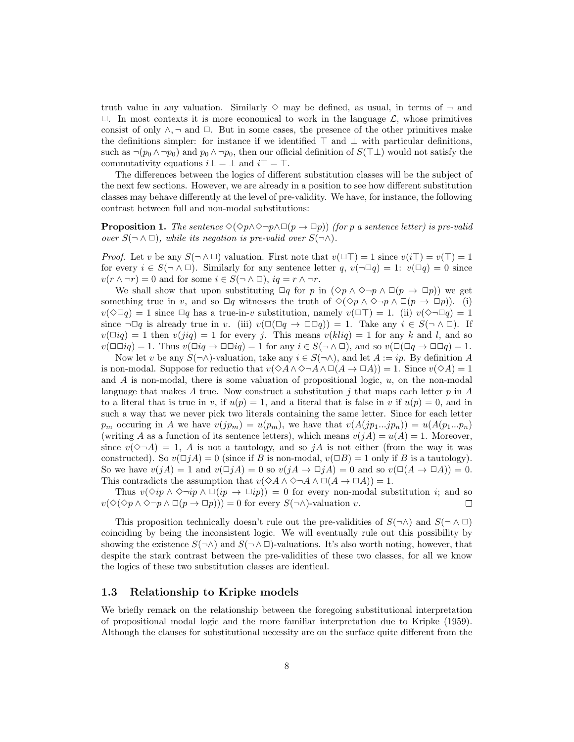truth value in any valuation. Similarly  $\diamond$  may be defined, as usual, in terms of  $\neg$  and  $\Box$ . In most contexts it is more economical to work in the language  $\mathcal{L}$ , whose primitives consist of only  $\wedge$ ,  $\neg$  and  $\Box$ . But in some cases, the presence of the other primitives make the definitions simpler: for instance if we identified  $\top$  and  $\bot$  with particular definitions, such as  $\neg(p_0 \land \neg p_0)$  and  $p_0 \land \neg p_0$ , then our official definition of  $S(\top \bot)$  would not satisfy the commutativity equations  $i\bot = \bot$  and  $i\top = \top$ .

The differences between the logics of different substitution classes will be the subject of the next few sections. However, we are already in a position to see how different substitution classes may behave differently at the level of pre-validity. We have, for instance, the following contrast between full and non-modal substitutions:

**Proposition 1.** The sentence  $\Diamond(\Diamond p \land \Diamond \neg p \land \Box(p \rightarrow \Box p))$  (for p a sentence letter) is pre-valid over  $S(\neg \land \Box)$ , while its negation is pre-valid over  $S(\neg \land)$ .

*Proof.* Let v be any  $S(\neg \land \Box)$  valuation. First note that  $v(\Box \top) = 1$  since  $v(i\top) = v(\top) = 1$ for every  $i \in S(\neg \land \Box)$ . Similarly for any sentence letter q,  $v(\neg \Box q) = 1$ :  $v(\Box q) = 0$  since  $v(r \wedge \neg r) = 0$  and for some  $i \in S(\neg \wedge \Box)$ ,  $iq = r \wedge \neg r$ .

We shall show that upon substituting  $\Box q$  for p in  $(\Diamond p \land \Diamond \neg p \land \Box (p \rightarrow \Box p))$  we get something true in v, and so  $\Box q$  witnesses the truth of  $\Diamond(\Diamond p \land \Diamond \neg p \land \Box(p \to \Box p))$ . (i)  $v(\Diamond \Box q) = 1$  since  $\Box q$  has a true-in-v substitution, namely  $v(\Box \top) = 1$ . (ii)  $v(\Diamond \neg \Box q) = 1$ since  $\neg \Box q$  is already true in v. (iii)  $v(\Box(\Box q \rightarrow \Box \Box q)) = 1$ . Take any  $i \in S(\neg \land \Box)$ . If  $v(\Box iq) = 1$  then  $v(jiq) = 1$  for every j. This means  $v(kliq) = 1$  for any k and l, and so  $v(\Box \Box iq) = 1$ . Thus  $v(\Box iq \to \Box \Box iq) = 1$  for any  $i \in S(\neg \land \Box)$ , and so  $v(\Box(\Box q \to \Box \Box q) = 1$ .

Now let v be any  $S(\neg \wedge)$ -valuation, take any  $i \in S(\neg \wedge)$ , and let  $A := ip$ . By definition A is non-modal. Suppose for reductio that  $v(\Diamond A \land \Diamond \neg A \land \Box(A \to \Box A)) = 1$ . Since  $v(\Diamond A) = 1$ and  $A$  is non-modal, there is some valuation of propositional logic,  $u$ , on the non-modal language that makes A true. Now construct a substitution j that maps each letter  $p$  in A to a literal that is true in v, if  $u(p) = 1$ , and a literal that is false in v if  $u(p) = 0$ , and in such a way that we never pick two literals containing the same letter. Since for each letter  $p_m$  occuring in A we have  $v(jp_m) = u(p_m)$ , we have that  $v(A(jp_1...jp_n)) = u(A(p_1...p_n))$ (writing A as a function of its sentence letters), which means  $v(jA) = u(A) = 1$ . Moreover, since  $v(\Diamond \neg A) = 1$ , A is not a tautology, and so jA is not either (from the way it was constructed). So  $v(\Box jA) = 0$  (since if B is non-modal,  $v(\Box B) = 1$  only if B is a tautology). So we have  $v(jA) = 1$  and  $v(\Box jA) = 0$  so  $v(jA \rightarrow \Box jA) = 0$  and so  $v(\Box (A \rightarrow \Box A)) = 0$ . This contradicts the assumption that  $v(\Diamond A \land \Diamond \neg A \land \Box (A \to \Box A)) = 1$ .

Thus  $v(\Diamond ip \land \Diamond \neg ip \land \Box(ip \rightarrow \Box ip)) = 0$  for every non-modal substitution i; and so  $v(\Diamond(\Diamond p \land \Diamond \neg p \land \Box (p \to \Box p))) = 0$  for every  $S(\neg \land)$ -valuation v. П

This proposition technically doesn't rule out the pre-validities of  $S(\neg \wedge)$  and  $S(\neg \wedge \Box)$ coinciding by being the inconsistent logic. We will eventually rule out this possibility by showing the existence  $S(\neg \wedge)$  and  $S(\neg \wedge \Box)$ -valuations. It's also worth noting, however, that despite the stark contrast between the pre-validities of these two classes, for all we know the logics of these two substitution classes are identical.

## 1.3 Relationship to Kripke models

We briefly remark on the relationship between the foregoing substitutional interpretation of propositional modal logic and the more familiar interpretation due to Kripke (1959). Although the clauses for substitutional necessity are on the surface quite different from the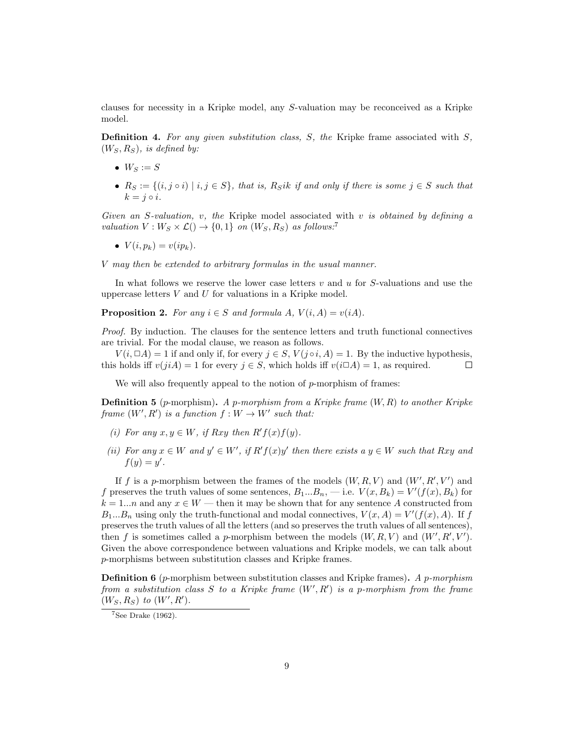clauses for necessity in a Kripke model, any S-valuation may be reconceived as a Kripke model.

**Definition 4.** For any given substitution class,  $S$ , the Kripke frame associated with  $S$ ,  $(W_S, R_S)$ , is defined by:

- $W_S := S$
- $R_S := \{(i, j \circ i) \mid i, j \in S\}$ , that is,  $R_Sik$  if and only if there is some  $j \in S$  such that  $k = i \circ i$ .

Given an S-valuation, v, the Kripke model associated with v is obtained by defining a valuation  $V: W_S \times \mathcal{L}() \rightarrow \{0, 1\}$  on  $(W_S, R_S)$  as follows:<sup>7</sup>

 $V(i, p_k) = v(ip_k).$ 

V may then be extended to arbitrary formulas in the usual manner.

In what follows we reserve the lower case letters  $v$  and  $u$  for  $S$ -valuations and use the uppercase letters  $V$  and  $U$  for valuations in a Kripke model.

**Proposition 2.** For any  $i \in S$  and formula A,  $V(i, A) = v(iA)$ .

Proof. By induction. The clauses for the sentence letters and truth functional connectives are trivial. For the modal clause, we reason as follows.

 $V(i, \Box A) = 1$  if and only if, for every  $j \in S$ ,  $V(j \circ i, A) = 1$ . By the inductive hypothesis, this holds iff  $v(jiA) = 1$  for every  $j \in S$ , which holds iff  $v(i\Box A) = 1$ , as required.  $\Box$ 

We will also frequently appeal to the notion of  $p$ -morphism of frames:

**Definition 5** (p-morphism). A p-morphism from a Kripke frame  $(W, R)$  to another Kripke frame  $(W', R')$  is a function  $f : W \to W'$  such that:

- (i) For any  $x, y \in W$ , if Rxy then  $R'f(x)f(y)$ .
- (ii) For any  $x \in W$  and  $y' \in W'$ , if  $R'f(x)y'$  then there exists a  $y \in W$  such that Rxy and  $f(y) = y'.$

If f is a p-morphism between the frames of the models  $(W, R, V)$  and  $(W', R', V')$  and f preserves the truth values of some sentences,  $B_1...B_n$ , -i.e.  $V(x, B_k) = V'(f(x), B_k)$  for  $k = 1...n$  and any  $x \in W$  — then it may be shown that for any sentence A constructed from  $B_1...B_n$  using only the truth-functional and modal connectives,  $V(x, A) = V'(f(x), A)$ . If f preserves the truth values of all the letters (and so preserves the truth values of all sentences), then f is sometimes called a p-morphism between the models  $(W, R, V)$  and  $(W', R', V')$ . Given the above correspondence between valuations and Kripke models, we can talk about p-morphisms between substitution classes and Kripke frames.

**Definition 6** (*p*-morphism between substitution classes and Kripke frames). A *p*-morphism from a substitution class  $S$  to a Kripke frame  $(W', R')$  is a p-morphism from the frame  $(W_S, R_S)$  to  $(W', R')$ .

 $7$ See Drake (1962).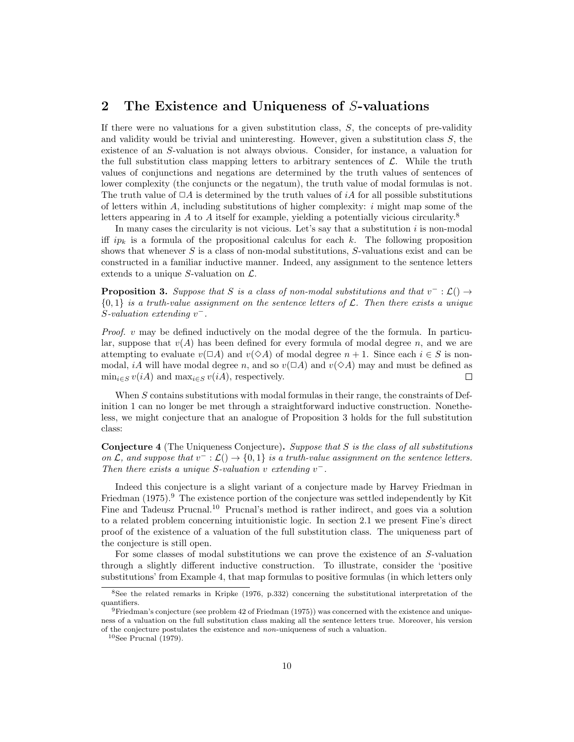## 2 The Existence and Uniqueness of S-valuations

If there were no valuations for a given substitution class,  $S$ , the concepts of pre-validity and validity would be trivial and uninteresting. However, given a substitution class  $S$ , the existence of an S-valuation is not always obvious. Consider, for instance, a valuation for the full substitution class mapping letters to arbitrary sentences of  $\mathcal{L}$ . While the truth values of conjunctions and negations are determined by the truth values of sentences of lower complexity (the conjuncts or the negatum), the truth value of modal formulas is not. The truth value of  $\Box A$  is determined by the truth values of iA for all possible substitutions of letters within  $A$ , including substitutions of higher complexity:  $i$  might map some of the letters appearing in A to A itself for example, yielding a potentially vicious circularity.<sup>8</sup>

In many cases the circularity is not vicious. Let's say that a substitution  $i$  is non-modal iff  $ip_k$  is a formula of the propositional calculus for each k. The following proposition shows that whenever  $S$  is a class of non-modal substitutions,  $S$ -valuations exist and can be constructed in a familiar inductive manner. Indeed, any assignment to the sentence letters extends to a unique S-valuation on  $\mathcal{L}$ .

**Proposition 3.** Suppose that S is a class of non-modal substitutions and that  $v^- : \mathcal{L}() \rightarrow$  $\{0,1\}$  is a truth-value assignment on the sentence letters of L. Then there exists a unique  $S$ -valuation extending  $v^-$ .

*Proof.*  $v$  may be defined inductively on the modal degree of the the formula. In particular, suppose that  $v(A)$  has been defined for every formula of modal degree n, and we are attempting to evaluate  $v(\Box A)$  and  $v(\Diamond A)$  of modal degree  $n+1$ . Since each  $i \in S$  is nonmodal, iA will have modal degree n, and so  $v(\Box A)$  and  $v(\Diamond A)$  may and must be defined as  $\min_{i \in S} v(iA)$  and  $\max_{i \in S} v(iA)$ , respectively.  $\Box$ 

When S contains substitutions with modal formulas in their range, the constraints of Definition 1 can no longer be met through a straightforward inductive construction. Nonetheless, we might conjecture that an analogue of Proposition 3 holds for the full substitution class:

Conjecture 4 (The Uniqueness Conjecture). Suppose that S is the class of all substitutions on  $\mathcal{L}$ , and suppose that  $v^- : \mathcal{L}(\)to \{0,1\}$  is a truth-value assignment on the sentence letters. Then there exists a unique S-valuation v extending  $v^-$ .

Indeed this conjecture is a slight variant of a conjecture made by Harvey Friedman in Friedman  $(1975)$ .<sup>9</sup> The existence portion of the conjecture was settled independently by Kit Fine and Tadeusz Prucnal.<sup>10</sup> Prucnal's method is rather indirect, and goes via a solution to a related problem concerning intuitionistic logic. In section 2.1 we present Fine's direct proof of the existence of a valuation of the full substitution class. The uniqueness part of the conjecture is still open.

For some classes of modal substitutions we can prove the existence of an S-valuation through a slightly different inductive construction. To illustrate, consider the 'positive substitutions' from Example 4, that map formulas to positive formulas (in which letters only

<sup>8</sup>See the related remarks in Kripke (1976, p.332) concerning the substitutional interpretation of the quantifiers.

<sup>9</sup>Friedman's conjecture (see problem 42 of Friedman (1975)) was concerned with the existence and uniqueness of a valuation on the full substitution class making all the sentence letters true. Moreover, his version of the conjecture postulates the existence and non-uniqueness of such a valuation.

 $10$ See Prucnal (1979).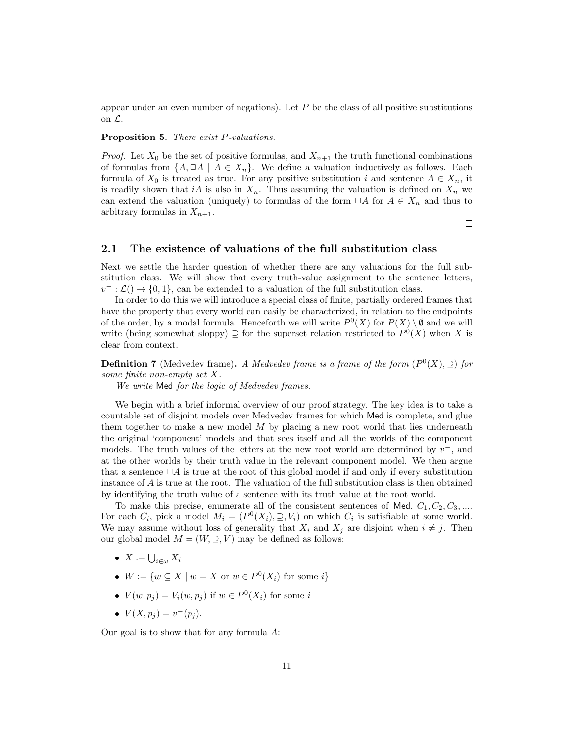appear under an even number of negations). Let  $P$  be the class of all positive substitutions on  $\mathcal{L}$ .

#### Proposition 5. There exist P-valuations.

*Proof.* Let  $X_0$  be the set of positive formulas, and  $X_{n+1}$  the truth functional combinations of formulas from  $\{A, \Box A \mid A \in X_n\}$ . We define a valuation inductively as follows. Each formula of  $X_0$  is treated as true. For any positive substitution i and sentence  $A \in X_n$ , it is readily shown that iA is also in  $X_n$ . Thus assuming the valuation is defined on  $X_n$  we can extend the valuation (uniquely) to formulas of the form  $\Box A$  for  $A \in X_n$  and thus to arbitrary formulas in  $X_{n+1}$ .

 $\Box$ 

## 2.1 The existence of valuations of the full substitution class

Next we settle the harder question of whether there are any valuations for the full substitution class. We will show that every truth-value assignment to the sentence letters,  $v^- : \mathcal{L}(\mathfrak{h} \to \{0,1\})$ , can be extended to a valuation of the full substitution class.

In order to do this we will introduce a special class of finite, partially ordered frames that have the property that every world can easily be characterized, in relation to the endpoints of the order, by a modal formula. Henceforth we will write  $P^0(X)$  for  $P(X) \setminus \emptyset$  and we will write (being somewhat sloppy)  $\supseteq$  for the superset relation restricted to  $P^0(X)$  when X is clear from context.

**Definition 7** (Medvedev frame). A Medvedev frame is a frame of the form  $(P^0(X), \supseteq)$  for some finite non-empty set X.

We write Med for the logic of Medvedev frames.

We begin with a brief informal overview of our proof strategy. The key idea is to take a countable set of disjoint models over Medvedev frames for which Med is complete, and glue them together to make a new model  $M$  by placing a new root world that lies underneath the original 'component' models and that sees itself and all the worlds of the component models. The truth values of the letters at the new root world are determined by  $v^-$ , and at the other worlds by their truth value in the relevant component model. We then argue that a sentence  $\Box A$  is true at the root of this global model if and only if every substitution instance of A is true at the root. The valuation of the full substitution class is then obtained by identifying the truth value of a sentence with its truth value at the root world.

To make this precise, enumerate all of the consistent sentences of Med,  $C_1, C_2, C_3, \ldots$ For each  $C_i$ , pick a model  $M_i = (P^0(X_i), \supseteq, V_i)$  on which  $C_i$  is satisfiable at some world. We may assume without loss of generality that  $X_i$  and  $X_j$  are disjoint when  $i \neq j$ . Then our global model  $M = (W, \supseteq, V)$  may be defined as follows:

- $X := \bigcup_{i \in \omega} X_i$
- $W := \{w \subseteq X \mid w = X \text{ or } w \in P^0(X_i) \text{ for some } i\}$
- $V(w, p_j) = V_i(w, p_j)$  if  $w \in P^0(X_i)$  for some i
- $V(X, p_j) = v^-(p_j)$ .

Our goal is to show that for any formula A: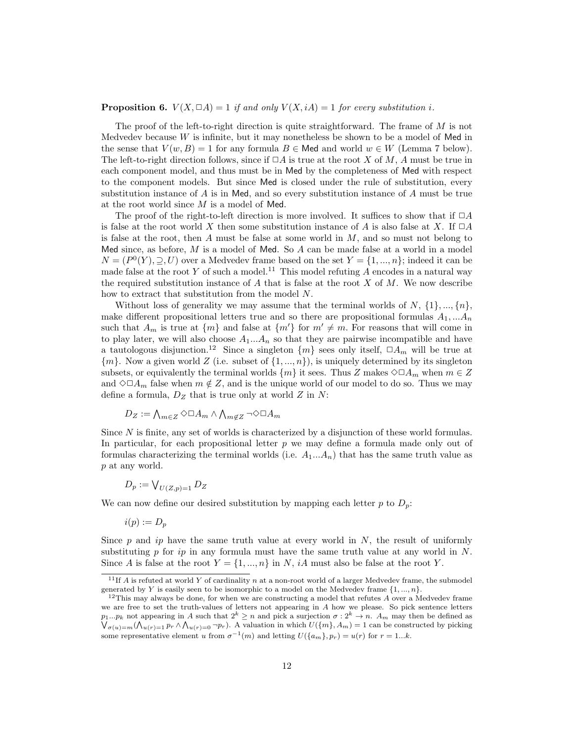#### **Proposition 6.**  $V(X, \Box A) = 1$  if and only  $V(X, iA) = 1$  for every substitution i.

The proof of the left-to-right direction is quite straightforward. The frame of  $M$  is not Medvedev because  $W$  is infinite, but it may nonetheless be shown to be a model of Med in the sense that  $V(w, B) = 1$  for any formula  $B \in \mathsf{Med}$  and world  $w \in W$  (Lemma 7 below). The left-to-right direction follows, since if  $\Box A$  is true at the root X of M, A must be true in each component model, and thus must be in Med by the completeness of Med with respect to the component models. But since Med is closed under the rule of substitution, every substitution instance of  $A$  is in Med, and so every substitution instance of  $A$  must be true at the root world since M is a model of Med.

The proof of the right-to-left direction is more involved. It suffices to show that if  $\Box A$ is false at the root world X then some substitution instance of A is also false at X. If  $\Box A$ is false at the root, then A must be false at some world in  $M$ , and so must not belong to Med since, as before,  $M$  is a model of Med. So  $A$  can be made false at a world in a model  $N = (P<sup>0</sup>(Y), \supseteq, U)$  over a Medvedev frame based on the set  $Y = \{1, ..., n\}$ ; indeed it can be made false at the root Y of such a model.<sup>11</sup> This model refuting  $\overrightarrow{A}$  encodes in a natural way the required substitution instance of  $A$  that is false at the root  $X$  of  $M$ . We now describe how to extract that substitution from the model N.

Without loss of generality we may assume that the terminal worlds of N,  $\{1\}$ , ...,  $\{n\}$ , make different propositional letters true and so there are propositional formulas  $A_1, \ldots, A_n$ such that  $A_m$  is true at  $\{m\}$  and false at  $\{m'\}$  for  $m' \neq m$ . For reasons that will come in to play later, we will also choose  $A_1...A_n$  so that they are pairwise incompatible and have a tautologous disjunction.<sup>12</sup> Since a singleton  $\{m\}$  sees only itself,  $\Box A_m$  will be true at  ${m}$ . Now a given world Z (i.e. subset of  ${1, ..., n}$ ), is uniquely determined by its singleton subsets, or equivalently the terminal worlds  $\{m\}$  it sees. Thus Z makes  $\diamond \Box A_m$  when  $m \in \mathbb{Z}$ and  $\Diamond \Box A_m$  false when  $m \notin \mathbb{Z}$ , and is the unique world of our model to do so. Thus we may define a formula,  $D_Z$  that is true only at world  $Z$  in  $N$ :

$$
D_Z := \bigwedge_{m \in Z} \Diamond \Box A_m \land \bigwedge_{m \notin Z} \neg \Diamond \Box A_m
$$

Since N is finite, any set of worlds is characterized by a disjunction of these world formulas. In particular, for each propositional letter  $p$  we may define a formula made only out of formulas characterizing the terminal worlds (i.e.  $A_1...A_n$ ) that has the same truth value as p at any world.

$$
D_p := \bigvee_{U(Z,p)=1} D_Z
$$

We can now define our desired substitution by mapping each letter p to  $D_p$ :

$$
i(p):=D_p
$$

Since  $p$  and ip have the same truth value at every world in  $N$ , the result of uniformly substituting  $p$  for  $ip$  in any formula must have the same truth value at any world in  $N$ . Since A is false at the root  $Y = \{1, ..., n\}$  in N, iA must also be false at the root Y.

<sup>&</sup>lt;sup>11</sup>If A is refuted at world Y of cardinality n at a non-root world of a larger Medvedev frame, the submodel generated by Y is easily seen to be isomorphic to a model on the Medvedev frame  $\{1, ..., n\}$ .

 $12$ This may always be done, for when we are constructing a model that refutes  $A$  over a Medvedev frame we are free to set the truth-values of letters not appearing in A how we please. So pick sentence letters  $p_1...p_k$  not appearing in A such that  $2^k \geq n$  and pick a surjection  $\sigma: 2^k \to n$ . A<sub>m</sub> may then be defined as  $\bigvee_{\sigma(u)=m} (\bigwedge_{u(r)=1} p_r \wedge \bigwedge_{u(r)=0} \neg p_r)$ . A valuation in which  $U(\lbrace m \rbrace, A_m) = 1$  can be constructed by picking some representative element u from  $\sigma^{-1}(m)$  and letting  $U(\lbrace a_m \rbrace, p_r) = u(r)$  for  $r = 1...k$ .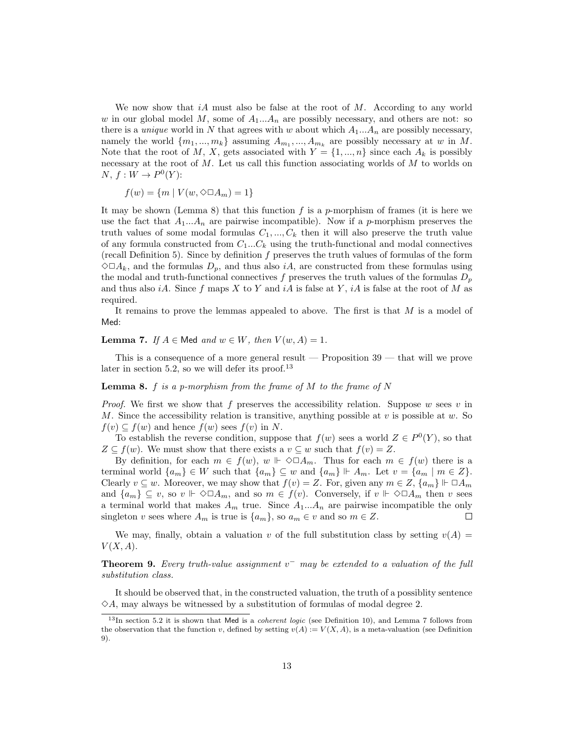We now show that  $iA$  must also be false at the root of M. According to any world w in our global model M, some of  $A_1...A_n$  are possibly necessary, and others are not: so there is a *unique* world in N that agrees with w about which  $A_1...A_n$  are possibly necessary, namely the world  $\{m_1, ..., m_k\}$  assuming  $A_{m_1}, ..., A_{m_k}$  are possibly necessary at w in M. Note that the root of M, X, gets associated with  $Y = \{1, ..., n\}$  since each  $A_k$  is possibly necessary at the root of  $M$ . Let us call this function associating worlds of  $M$  to worlds on  $N, f: W \to P^0(Y)$ :

$$
f(w) = \{ m \mid V(w, \Diamond \Box A_m) = 1 \}
$$

It may be shown (Lemma 8) that this function f is a p-morphism of frames (it is here we use the fact that  $A_1...A_n$  are pairwise incompatible). Now if a p-morphism preserves the truth values of some modal formulas  $C_1, ..., C_k$  then it will also preserve the truth value of any formula constructed from  $C_1...C_k$  using the truth-functional and modal connectives (recall Definition 5). Since by definition  $f$  preserves the truth values of formulas of the form  $\Diamond \Box A_k$ , and the formulas  $D_p$ , and thus also *iA*, are constructed from these formulas using the modal and truth-functional connectives f preserves the truth values of the formulas  $D_p$ and thus also iA. Since f maps X to Y and iA is false at Y, iA is false at the root of M as required.

It remains to prove the lemmas appealed to above. The first is that M is a model of Med:

## **Lemma 7.** If  $A \in \mathsf{Med}$  and  $w \in W$ , then  $V(w, A) = 1$ .

This is a consequence of a more general result — Proposition  $39$  — that will we prove later in section 5.2, so we will defer its proof.<sup>13</sup>

#### **Lemma 8.** f is a p-morphism from the frame of  $M$  to the frame of  $N$

*Proof.* We first we show that f preserves the accessibility relation. Suppose w sees v in M. Since the accessibility relation is transitive, anything possible at  $v$  is possible at  $w$ . So  $f(v) \subseteq f(w)$  and hence  $f(w)$  sees  $f(v)$  in N.

To establish the reverse condition, suppose that  $f(w)$  sees a world  $Z \in P^0(Y)$ , so that  $Z \subseteq f(w)$ . We must show that there exists a  $v \subseteq w$  such that  $f(v) = Z$ .

By definition, for each  $m \in f(w)$ ,  $w \Vdash \Diamond \Box A_m$ . Thus for each  $m \in f(w)$  there is a terminal world  $\{a_m\} \in W$  such that  $\{a_m\} \subseteq w$  and  $\{a_m\} \Vdash A_m$ . Let  $v = \{a_m \mid m \in Z\}$ . Clearly  $v \subseteq w$ . Moreover, we may show that  $f(v) = Z$ . For, given any  $m \in Z$ ,  $\{a_m\} \Vdash \Box A_m$ and  $\{a_m\} \subseteq v$ , so  $v \Vdash \Diamond \Box A_m$ , and so  $m \in f(v)$ . Conversely, if  $v \Vdash \Diamond \Box A_m$  then v sees a terminal world that makes  $A_m$  true. Since  $A_1...A_n$  are pairwise incompatible the only singleton v sees where  $A_m$  is true is  $\{a_m\}$ , so  $a_m \in v$  and so  $m \in \mathbb{Z}$ .  $\Box$ 

We may, finally, obtain a valuation v of the full substitution class by setting  $v(A)$  =  $V(X, A)$ .

**Theorem 9.** Every truth-value assignment  $v^-$  may be extended to a valuation of the full substitution class.

It should be observed that, in the constructed valuation, the truth of a possiblity sentence  $\Diamond A$ , may always be witnessed by a substitution of formulas of modal degree 2.

 $13$ In section 5.2 it is shown that Med is a *coherent logic* (see Definition 10), and Lemma 7 follows from the observation that the function v, defined by setting  $v(A) := V(X, A)$ , is a meta-valuation (see Definition 9).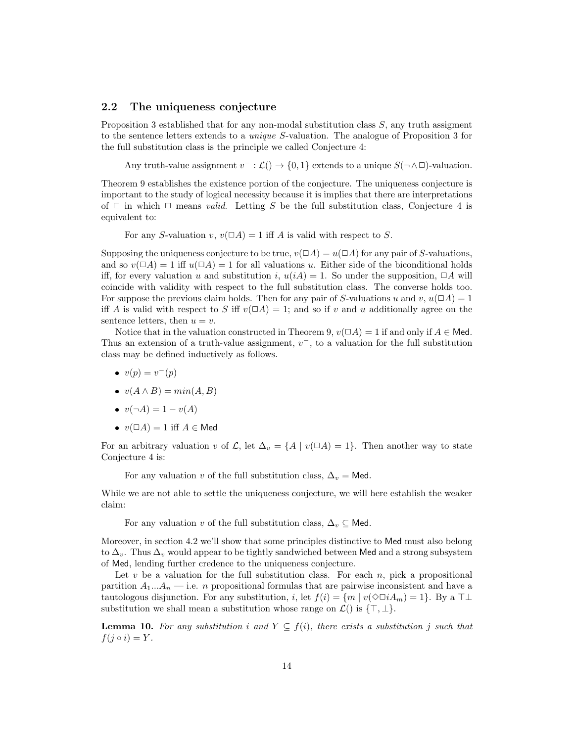#### 2.2 The uniqueness conjecture

Proposition 3 established that for any non-modal substitution class S, any truth assigment to the sentence letters extends to a unique S-valuation. The analogue of Proposition 3 for the full substitution class is the principle we called Conjecture 4:

Any truth-value assignment  $v^- : \mathcal{L}() \to \{0,1\}$  extends to a unique  $S(\neg \wedge \Box)$ -valuation.

Theorem 9 establishes the existence portion of the conjecture. The uniqueness conjecture is important to the study of logical necessity because it is implies that there are interpretations of  $\Box$  in which  $\Box$  means *valid.* Letting S be the full substitution class, Conjecture 4 is equivalent to:

For any S-valuation v,  $v( \Box A) = 1$  iff A is valid with respect to S.

Supposing the uniqueness conjecture to be true,  $v(\Box A) = u(\Box A)$  for any pair of S-valuations, and so  $v(\Box A) = 1$  iff  $u(\Box A) = 1$  for all valuations u. Either side of the biconditional holds iff, for every valuation u and substitution i,  $u(iA) = 1$ . So under the supposition,  $\Box A$  will coincide with validity with respect to the full substitution class. The converse holds too. For suppose the previous claim holds. Then for any pair of S-valuations u and v,  $u(\Box A) = 1$ iff A is valid with respect to S iff  $v(\Box A) = 1$ ; and so if v and u additionally agree on the sentence letters, then  $u = v$ .

Notice that in the valuation constructed in Theorem 9,  $v(\Box A) = 1$  if and only if  $A \in \mathsf{Med}$ . Thus an extension of a truth-value assignment,  $v^{-}$ , to a valuation for the full substitution class may be defined inductively as follows.

- $v(p) = v^-(p)$
- $v(A \wedge B) = min(A, B)$
- $v(\neg A) = 1 v(A)$
- $v(\Box A) = 1$  iff  $A \in \mathsf{Med}$

For an arbitrary valuation v of  $\mathcal{L}$ , let  $\Delta_v = \{A \mid v(\Box A) = 1\}$ . Then another way to state Conjecture 4 is:

For any valuation v of the full substitution class,  $\Delta_v =$  Med.

While we are not able to settle the uniqueness conjecture, we will here establish the weaker claim:

For any valuation v of the full substitution class,  $\Delta_v \subseteq$  Med.

Moreover, in section 4.2 we'll show that some principles distinctive to Med must also belong to  $\Delta_v$ . Thus  $\Delta_v$  would appear to be tightly sandwiched between Med and a strong subsystem of Med, lending further credence to the uniqueness conjecture.

Let  $v$  be a valuation for the full substitution class. For each  $n$ , pick a propositional partition  $A_1...A_n$  — i.e. n propositional formulas that are pairwise inconsistent and have a tautologous disjunction. For any substitution, i, let  $f(i) = \{m \mid v(\Diamond \Box i A_m) = 1\}$ . By a  $\top \bot$ substitution we shall mean a substitution whose range on  $\mathcal{L}()$  is  $\{\top, \bot\}.$ 

**Lemma 10.** For any substitution i and  $Y \subseteq f(i)$ , there exists a substitution j such that  $f(j \circ i) = Y$ .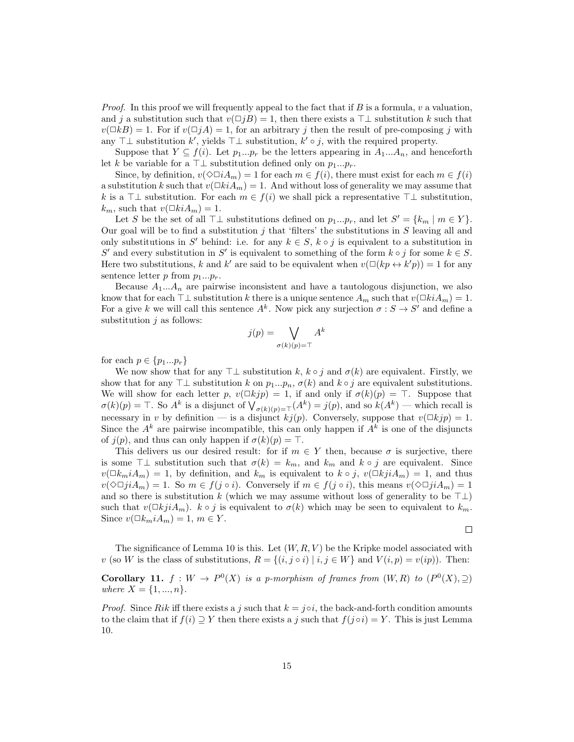*Proof.* In this proof we will frequently appeal to the fact that if B is a formula, v a valuation, and j a substitution such that  $v(\Box jB) = 1$ , then there exists a  $\top \bot$  substitution k such that  $v(\Box kB) = 1$ . For if  $v(\Box jA) = 1$ , for an arbitrary j then the result of pre-composing j with any  $\top \bot$  substitution  $k'$ , yields  $\top \bot$  substitution,  $k' \circ j$ , with the required property.

Suppose that  $Y \subseteq f(i)$ . Let  $p_1...p_r$  be the letters appearing in  $A_1...A_n$ , and henceforth let k be variable for a ⊤⊥ substitution defined only on  $p_1...p_r$ .

Since, by definition,  $v(\Diamond \Box iA_m) = 1$  for each  $m \in f(i)$ , there must exist for each  $m \in f(i)$ a substitution k such that  $v(\Box kiA_m) = 1$ . And without loss of generality we may assume that k is a ⊤⊥ substitution. For each  $m \in f(i)$  we shall pick a representative  $\top \bot$  substitution,  $k_m$ , such that  $v(\Box kiA_m) = 1$ .

Let S be the set of all  $\top \bot$  substitutions defined on  $p_1...p_r$ , and let  $S' = \{k_m \mid m \in Y\}$ . Our goal will be to find a substitution  $j$  that 'filters' the substitutions in  $S$  leaving all and only substitutions in S' behind: i.e. for any  $k \in S$ ,  $k \circ j$  is equivalent to a substitution in S' and every substitution in S' is equivalent to something of the form  $k \circ j$  for some  $k \in S$ . Here two substitutions, k and k' are said to be equivalent when  $v(\Box(kp \leftrightarrow k'p)) = 1$  for any sentence letter p from  $p_1...p_r$ .

Because  $A_1...A_n$  are pairwise inconsistent and have a tautologous disjunction, we also know that for each  $\top\bot$  substitution k there is a unique sentence  $A_m$  such that  $v(\square kiA_m) = 1$ . For a give k we will call this sentence  $A^k$ . Now pick any surjection  $\sigma : S \to S'$  and define a substitution  $j$  as follows:

$$
j(p) = \bigvee_{\sigma(k)(p) = \top} A^k
$$

for each  $p \in \{p_1...p_r\}$ 

We now show that for any  $\top\bot$  substitution k,  $k \circ j$  and  $\sigma(k)$  are equivalent. Firstly, we show that for any ⊤⊥ substitution k on  $p_1...p_n$ ,  $\sigma(k)$  and  $k \circ j$  are equivalent substitutions. We will show for each letter p,  $v(\Box kjp) = 1$ , if and only if  $\sigma(k)(p) = \top$ . Suppose that  $\sigma(k)(p) = \top$ . So  $A^k$  is a disjunct of  $\bigvee_{\sigma(k)(p)=\top} (A^k) = j(p)$ , and so  $k(A^k)$  — which recall is necessary in v by definition — is a disjunct  $kj(p)$ . Conversely, suppose that  $v(\Box kjp) = 1$ . Since the  $A^k$  are pairwise incompatible, this can only happen if  $A^k$  is one of the disjuncts of  $j(p)$ , and thus can only happen if  $\sigma(k)(p) = \top$ .

This delivers us our desired result: for if  $m \in Y$  then, because  $\sigma$  is surjective, there is some  $\top \bot$  substitution such that  $\sigma(k) = k_m$ , and  $k_m$  and  $k \circ j$  are equivalent. Since  $v(\Box k_m iA_m) = 1$ , by definition, and  $k_m$  is equivalent to  $k \circ j$ ,  $v(\Box kjiA_m) = 1$ , and thus  $v(\Diamond \Box jiA_m) = 1$ . So  $m \in f(j \circ i)$ . Conversely if  $m \in f(j \circ i)$ , this means  $v(\Diamond \Box jiA_m) = 1$ and so there is substitution k (which we may assume without loss of generality to be  $\top \bot$ ) such that  $v(\Box kjiA_m)$ .  $k \circ j$  is equivalent to  $\sigma(k)$  which may be seen to equivalent to  $k_m$ . Since  $v(\Box k_m iA_m) = 1, m \in Y$ .

 $\Box$ 

The significance of Lemma 10 is this. Let  $(W, R, V)$  be the Kripke model associated with v (so W is the class of substitutions,  $R = \{(i, j \circ i) | i, j \in W\}$  and  $V(i, p) = v(ip)$ ). Then:

**Corollary 11.**  $f: W \to P^0(X)$  is a p-morphism of frames from  $(W, R)$  to  $(P^0(X), \supseteq)$ where  $X = \{1, ..., n\}.$ 

*Proof.* Since Rik iff there exists a j such that  $k = j \circ i$ , the back-and-forth condition amounts to the claim that if  $f(i) \supseteq Y$  then there exists a j such that  $f(j \circ i) = Y$ . This is just Lemma 10.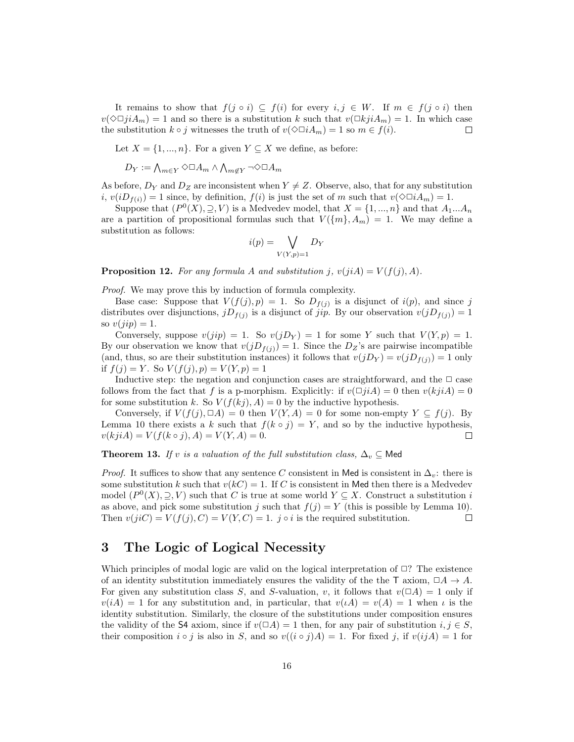It remains to show that  $f(j \circ i) \subseteq f(i)$  for every  $i, j \in W$ . If  $m \in f(j \circ i)$  then  $v(\Diamond \Box j \, i_{m}) = 1$  and so there is a substitution k such that  $v(\Box k j \, i_{m}) = 1$ . In which case the substitution  $k \circ j$  witnesses the truth of  $v(\Diamond \Box i A_m) = 1$  so  $m \in f(i)$ . □

Let  $X = \{1, ..., n\}$ . For a given  $Y \subseteq X$  we define, as before:

$$
D_Y:=\textstyle\bigwedge_{m\in Y}\Diamond\Box A_m\land\bigwedge_{m\not\in Y}\neg\Diamond\Box A_m
$$

As before,  $D_Y$  and  $D_Z$  are inconsistent when  $Y \neq Z$ . Observe, also, that for any substitution  $i, v(iD_{f(i)}) = 1$  since, by definition,  $f(i)$  is just the set of m such that  $v(\Diamond \Box i A_m) = 1$ .

Suppose that  $(P<sup>0</sup>(X), \supseteq, V)$  is a Medvedev model, that  $X = \{1, ..., n\}$  and that  $A_1...A_n$ are a partition of propositional formulas such that  $V(\lbrace m \rbrace, A_m) = 1$ . We may define a substitution as follows:

$$
i(p) = \bigvee_{V(Y,p)=1} D_Y
$$

**Proposition 12.** For any formula A and substitution j,  $v(jiA) = V(f(j), A)$ .

Proof. We may prove this by induction of formula complexity.

Base case: Suppose that  $V(f(j), p) = 1$ . So  $D_{f(j)}$  is a disjunct of  $i(p)$ , and since j distributes over disjunctions,  $jD_{f(j)}$  is a disjunct of *jip*. By our observation  $v(jD_{f(j)}) = 1$ so  $v(jip) = 1$ .

Conversely, suppose  $v(jip) = 1$ . So  $v(jD_Y) = 1$  for some Y such that  $V(Y, p) = 1$ . By our observation we know that  $v(jD_{f(i)}) = 1$ . Since the  $D_Z$ 's are pairwise incompatible (and, thus, so are their substitution instances) it follows that  $v(jD_Y) = v(jD_{f(j)}) = 1$  only if  $f(j) = Y$ . So  $V(f(j), p) = V(Y, p) = 1$ 

Inductive step: the negation and conjunction cases are straightforward, and the  $\Box$  case follows from the fact that f is a p-morphism. Explicitly: if  $v(\Box ji A) = 0$  then  $v(kjiA) = 0$ for some substitution k. So  $V(f(kj), A) = 0$  by the inductive hypothesis.

Conversely, if  $V(f(j), \Box A) = 0$  then  $V(Y, A) = 0$  for some non-empty  $Y \subseteq f(j)$ . By Lemma 10 there exists a k such that  $f(k \circ j) = Y$ , and so by the inductive hypothesis,  $v(kjiA) = V(f(k \circ j), A) = V(Y, A) = 0.$  $\Box$ 

**Theorem 13.** If v is a valuation of the full substitution class,  $\Delta_v \subseteq \mathsf{Med}$ 

*Proof.* It suffices to show that any sentence C consistent in Med is consistent in  $\Delta_v$ : there is some substitution k such that  $v(kC) = 1$ . If C is consistent in Med then there is a Medvedev model  $(P^0(X), \supseteq, V)$  such that C is true at some world  $Y \subseteq X$ . Construct a substitution i as above, and pick some substitution j such that  $f(i) = Y$  (this is possible by Lemma 10). Then  $v(jiC) = V(f(j), C) = V(Y, C) = 1$ . j  $\circ i$  is the required substitution.  $\Box$ 

## 3 The Logic of Logical Necessity

Which principles of modal logic are valid on the logical interpretation of  $\Box$ ? The existence of an identity substitution immediately ensures the validity of the the T axiom,  $\Box A \rightarrow A$ . For given any substitution class S, and S-valuation, v, it follows that  $v(\Box A) = 1$  only if  $v(iA) = 1$  for any substitution and, in particular, that  $v(\iota A) = v(A) = 1$  when  $\iota$  is the identity substitution. Similarly, the closure of the substitutions under composition ensures the validity of the S4 axiom, since if  $v(\Box A) = 1$  then, for any pair of substitution  $i, j \in S$ , their composition  $i \circ j$  is also in S, and so  $v((i \circ j)A) = 1$ . For fixed j, if  $v(ijA) = 1$  for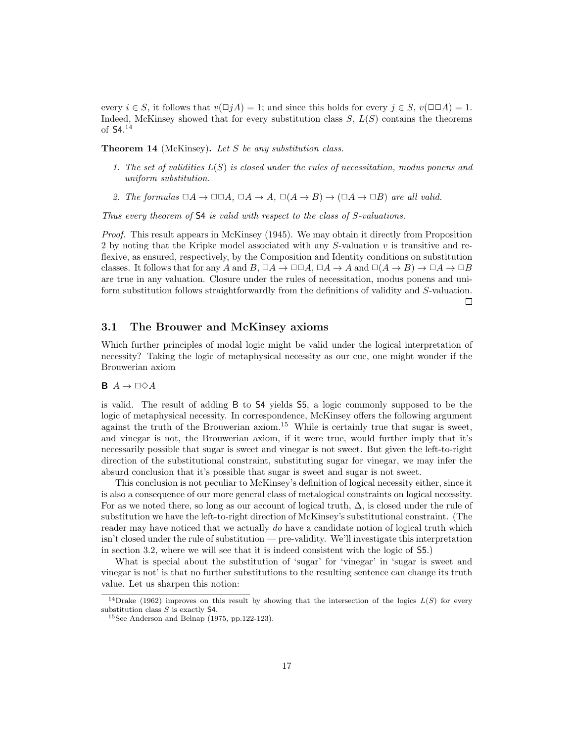every  $i \in S$ , it follows that  $v(\Box jA) = 1$ ; and since this holds for every  $j \in S$ ,  $v(\Box \Box A) = 1$ . Indeed, McKinsey showed that for every substitution class  $S, L(S)$  contains the theorems of S4. 14

**Theorem 14** (McKinsey). Let  $S$  be any substitution class.

- 1. The set of validities  $L(S)$  is closed under the rules of necessitation, modus ponens and uniform substitution.
- 2. The formulas  $\Box A \to \Box \Box A$ ,  $\Box A \to A$ ,  $\Box(A \to B) \to (\Box A \to \Box B)$  are all valid.

Thus every theorem of S4 is valid with respect to the class of S-valuations.

Proof. This result appears in McKinsey (1945). We may obtain it directly from Proposition 2 by noting that the Kripke model associated with any S-valuation v is transitive and reflexive, as ensured, respectively, by the Composition and Identity conditions on substitution classes. It follows that for any A and B,  $\Box A \to \Box \Box A$ ,  $\Box A \to A$  and  $\Box(A \to B) \to \Box A \to \Box B$ are true in any valuation. Closure under the rules of necessitation, modus ponens and uniform substitution follows straightforwardly from the definitions of validity and S-valuation.  $\Box$ 

## 3.1 The Brouwer and McKinsey axioms

Which further principles of modal logic might be valid under the logical interpretation of necessity? Taking the logic of metaphysical necessity as our cue, one might wonder if the Brouwerian axiom

## **B**  $A \rightarrow \Box \Diamond A$

is valid. The result of adding B to S4 yields S5, a logic commonly supposed to be the logic of metaphysical necessity. In correspondence, McKinsey offers the following argument against the truth of the Brouwerian axiom.<sup>15</sup> While is certainly true that sugar is sweet, and vinegar is not, the Brouwerian axiom, if it were true, would further imply that it's necessarily possible that sugar is sweet and vinegar is not sweet. But given the left-to-right direction of the substitutional constraint, substituting sugar for vinegar, we may infer the absurd conclusion that it's possible that sugar is sweet and sugar is not sweet.

This conclusion is not peculiar to McKinsey's definition of logical necessity either, since it is also a consequence of our more general class of metalogical constraints on logical necessity. For as we noted there, so long as our account of logical truth,  $\Delta$ , is closed under the rule of substitution we have the left-to-right direction of McKinsey's substitutional constraint. (The reader may have noticed that we actually do have a candidate notion of logical truth which isn't closed under the rule of substitution — pre-validity. We'll investigate this interpretation in section 3.2, where we will see that it is indeed consistent with the logic of S5.)

What is special about the substitution of 'sugar' for 'vinegar' in 'sugar is sweet and vinegar is not' is that no further substitutions to the resulting sentence can change its truth value. Let us sharpen this notion:

<sup>&</sup>lt;sup>14</sup>Drake (1962) improves on this result by showing that the intersection of the logics  $L(S)$  for every substitution class  $S$  is exactly  $S4$ .

<sup>15</sup>See Anderson and Belnap (1975, pp.122-123).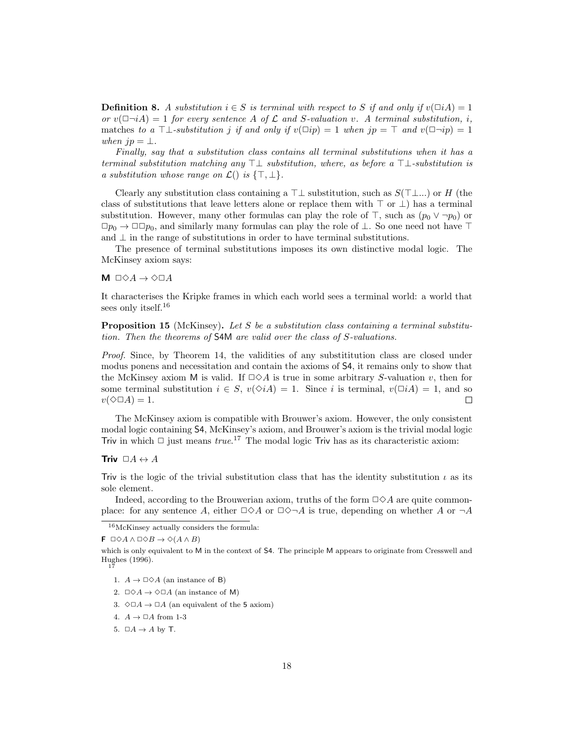**Definition 8.** A substitution  $i \in S$  is terminal with respect to S if and only if  $v(\Box i A) = 1$ or  $v(\Box \neg iA) = 1$  for every sentence A of C and S-valuation v. A terminal substitution, i, matches to a ⊤⊥-substitution j if and only if  $v(\Box ip) = 1$  when  $jp = \top$  and  $v(\Box \neg ip) = 1$ when  $jp = \perp$ .

Finally, say that a substitution class contains all terminal substitutions when it has a terminal substitution matching any  $\top \bot$  substitution, where, as before a  $\top \bot$ -substitution is a substitution whose range on  $\mathcal{L}()$  is  $\{\top, \bot\}.$ 

Clearly any substitution class containing a  $\top\bot$  substitution, such as  $S(\top\bot...)$  or H (the class of substitutions that leave letters alone or replace them with  $\top$  or  $\bot$ ) has a terminal substitution. However, many other formulas can play the role of  $\top$ , such as  $(p_0 \vee \neg p_0)$  or  $\Box p_0 \to \Box \Box p_0$ , and similarly many formulas can play the role of ⊥. So one need not have ⊤ and  $\perp$  in the range of substitutions in order to have terminal substitutions.

The presence of terminal substitutions imposes its own distinctive modal logic. The McKinsey axiom says:

## $M \Box \Diamond A \rightarrow \Diamond \Box A$

It characterises the Kripke frames in which each world sees a terminal world: a world that sees only itself.<sup>16</sup>

**Proposition 15** (McKinsey). Let S be a substitution class containing a terminal substitution. Then the theorems of S4M are valid over the class of S-valuations.

Proof. Since, by Theorem 14, the validities of any substititution class are closed under modus ponens and necessitation and contain the axioms of S4, it remains only to show that the McKinsey axiom M is valid. If  $\Box \Diamond A$  is true in some arbitrary S-valuation v, then for some terminal substitution  $i \in S$ ,  $v(\Diamond i A) = 1$ . Since i is terminal,  $v(\Box i A) = 1$ , and so  $v(\Diamond \Box A) = 1.$  $\Box$ 

The McKinsey axiom is compatible with Brouwer's axiom. However, the only consistent modal logic containing S4, McKinsey's axiom, and Brouwer's axiom is the trivial modal logic Triv in which  $\Box$  just means  $true$ <sup>17</sup> The modal logic Triv has as its characteristic axiom:

Triv  $\Box A \leftrightarrow A$ 

Triv is the logic of the trivial substitution class that has the identity substitution  $\iota$  as its sole element.

Indeed, according to the Brouwerian axiom, truths of the form  $\Box \Diamond A$  are quite commonplace: for any sentence A, either  $\Box \Diamond A$  or  $\Box \Diamond \neg A$  is true, depending on whether A or  $\neg A$ 

- 1.  $A \rightarrow \Box \Diamond A$  (an instance of B)
- 2.  $\square \Diamond A \rightarrow \Diamond \Box A$  (an instance of M)
- 3.  $\Diamond \Box A \rightarrow \Box A$  (an equivalent of the 5 axiom)
- 4.  $A \rightarrow \Box A$  from 1-3
- 5.  $\Box A \rightarrow A$  by T.

<sup>16</sup>McKinsey actually considers the formula:

 $\mathsf{F} \Box \Diamond A \land \Box \Diamond B \to \Diamond (A \land B)$ 

which is only equivalent to M in the context of S4. The principle M appears to originate from Cresswell and Hughes (1996). 17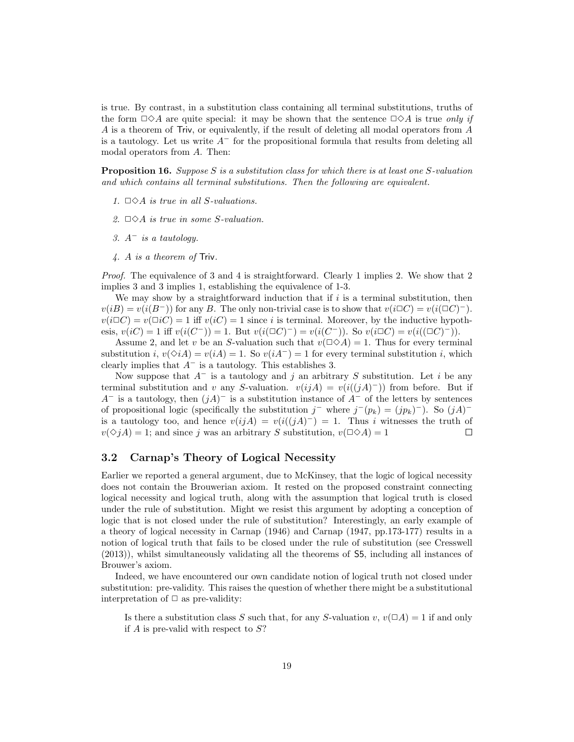is true. By contrast, in a substitution class containing all terminal substitutions, truths of the form  $\Box \Diamond A$  are quite special: it may be shown that the sentence  $\Box \Diamond A$  is true only if A is a theorem of Triv, or equivalently, if the result of deleting all modal operators from A is a tautology. Let us write  $A^-$  for the propositional formula that results from deleting all modal operators from A. Then:

**Proposition 16.** Suppose S is a substitution class for which there is at least one S-valuation and which contains all terminal substitutions. Then the following are equivalent.

- 1.  $\Box \Diamond A$  is true in all S-valuations.
- 2.  $\Box \Diamond A$  is true in some S-valuation.
- 3.  $A^-$  is a tautology.
- 4. A is a theorem of Triv.

Proof. The equivalence of 3 and 4 is straightforward. Clearly 1 implies 2. We show that 2 implies 3 and 3 implies 1, establishing the equivalence of 1-3.

We may show by a straightforward induction that if  $i$  is a terminal substitution, then  $v(iB) = v(i(B^-))$  for any B. The only non-trivial case is to show that  $v(i\Box C) = v(i(\Box C)^-)$ .  $v(i\Box C) = v(\Box iC) = 1$  iff  $v(iC) = 1$  since i is terminal. Moreover, by the inductive hypothesis,  $v(iC) = 1$  iff  $v(i(C^-)) = 1$ . But  $v(i(\Box C)^-) = v(i(C^-))$ . So  $v(i\Box C) = v(i((\Box C)^-))$ .

Assume 2, and let v be an S-valuation such that  $v(\Box \Diamond A) = 1$ . Thus for every terminal substitution i,  $v(\Diamond i) = v(iA) = 1$ . So  $v(iA^-) = 1$  for every terminal substitution i, which clearly implies that  $A^-$  is a tautology. This establishes 3.

Now suppose that  $A^-$  is a tautology and j an arbitrary S substitution. Let i be any terminal substitution and v any S-valuation.  $v(ijA) = v(i((jA)^-))$  from before. But if  $A^-$  is a tautology, then  $(jA)^-$  is a substitution instance of  $A^-$  of the letters by sentences of propositional logic (specifically the substitution  $j^-$  where  $j^-(p_k) = (jp_k)^-)$ . So  $(jA)^$ is a tautology too, and hence  $v(ijA) = v(i((jA)^{-}) = 1$ . Thus i witnesses the truth of  $v(\Diamond jA) = 1$ ; and since j was an arbitrary S substitution,  $v(\Box \Diamond A) = 1$  $\Box$ 

## 3.2 Carnap's Theory of Logical Necessity

Earlier we reported a general argument, due to McKinsey, that the logic of logical necessity does not contain the Brouwerian axiom. It rested on the proposed constraint connecting logical necessity and logical truth, along with the assumption that logical truth is closed under the rule of substitution. Might we resist this argument by adopting a conception of logic that is not closed under the rule of substitution? Interestingly, an early example of a theory of logical necessity in Carnap (1946) and Carnap (1947, pp.173-177) results in a notion of logical truth that fails to be closed under the rule of substitution (see Cresswell (2013)), whilst simultaneously validating all the theorems of S5, including all instances of Brouwer's axiom.

Indeed, we have encountered our own candidate notion of logical truth not closed under substitution: pre-validity. This raises the question of whether there might be a substitutional interpretation of  $\Box$  as pre-validity:

Is there a substitution class S such that, for any S-valuation  $v, v(\Box A) = 1$  if and only if  $A$  is pre-valid with respect to  $S$ ?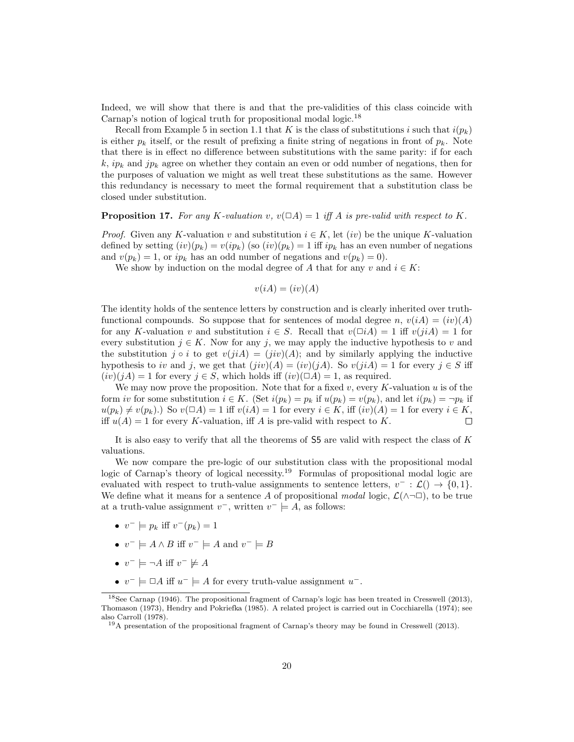Indeed, we will show that there is and that the pre-validities of this class coincide with Carnap's notion of logical truth for propositional modal logic.<sup>18</sup>

Recall from Example 5 in section 1.1 that K is the class of substitutions i such that  $i(p_k)$ is either  $p_k$  itself, or the result of prefixing a finite string of negations in front of  $p_k$ . Note that there is in effect no difference between substitutions with the same parity: if for each  $k, ip_k$  and  $jp_k$  agree on whether they contain an even or odd number of negations, then for the purposes of valuation we might as well treat these substitutions as the same. However this redundancy is necessary to meet the formal requirement that a substitution class be closed under substitution.

#### **Proposition 17.** For any K-valuation v,  $v(\Box A) = 1$  iff A is pre-valid with respect to K.

*Proof.* Given any K-valuation v and substitution  $i \in K$ , let  $(iv)$  be the unique K-valuation defined by setting  $(iv)(p_k) = v(ip_k)$  (so  $(iv)(p_k) = 1$  iff  $ip_k$  has an even number of negations and  $v(p_k) = 1$ , or  $ip_k$  has an odd number of negations and  $v(p_k) = 0$ .

We show by induction on the modal degree of A that for any v and  $i \in K$ :

$$
v(iA) = (iv)(A)
$$

The identity holds of the sentence letters by construction and is clearly inherited over truthfunctional compounds. So suppose that for sentences of modal degree n,  $v(iA) = (iv)(A)$ for any K-valuation v and substitution  $i \in S$ . Recall that  $v(\Box i A) = 1$  iff  $v(jiA) = 1$  for every substitution  $j \in K$ . Now for any j, we may apply the inductive hypothesis to v and the substitution  $j \circ i$  to get  $v(j\tilde{A}) = (j\tilde{v})(A)$ ; and by similarly applying the inductive hypothesis to iv and j, we get that  $(jiv)(A) = (iv)(jA)$ . So  $v(jiA) = 1$  for every  $j \in S$  iff  $(iv)(jA) = 1$  for every  $j \in S$ , which holds iff  $(iv)(\Box A) = 1$ , as required.

We may now prove the proposition. Note that for a fixed v, every K-valuation u is of the form iv for some substitution  $i \in K$ . (Set  $i(p_k) = p_k$  if  $u(p_k) = v(p_k)$ , and let  $i(p_k) = \neg p_k$  if  $u(p_k) \neq v(p_k)$ .) So  $v(\Box A) = 1$  iff  $v(iA) = 1$  for every  $i \in K$ , iff  $(iv)(A) = 1$  for every  $i \in K$ , iff  $u(A) = 1$  for every K-valuation, iff A is pre-valid with respect to K.  $\Box$ 

It is also easy to verify that all the theorems of S5 are valid with respect the class of K valuations.

We now compare the pre-logic of our substitution class with the propositional modal logic of Carnap's theory of logical necessity.<sup>19</sup> Formulas of propositional modal logic are evaluated with respect to truth-value assignments to sentence letters,  $v^- : \mathcal{L}() \to \{0, 1\}.$ We define what it means for a sentence A of propositional modal logic,  $\mathcal{L}(\wedge\neg\Box)$ , to be true at a truth-value assignment  $v^-$ , written  $v^- \models A$ , as follows:

- $v^- \models p_k \text{ iff } v^-(p_k) = 1$
- $v^- \models A \land B$  iff  $v^- \models A$  and  $v^- \models B$
- $v^- \models \neg A$  iff  $v^- \not\models A$
- $v^- \models \Box A$  iff  $u^- \models A$  for every truth-value assignment  $u^-$ .

<sup>18</sup>See Carnap (1946). The propositional fragment of Carnap's logic has been treated in Cresswell (2013), Thomason (1973), Hendry and Pokriefka (1985). A related project is carried out in Cocchiarella (1974); see also Carroll (1978).

<sup>19</sup>A presentation of the propositional fragment of Carnap's theory may be found in Cresswell (2013).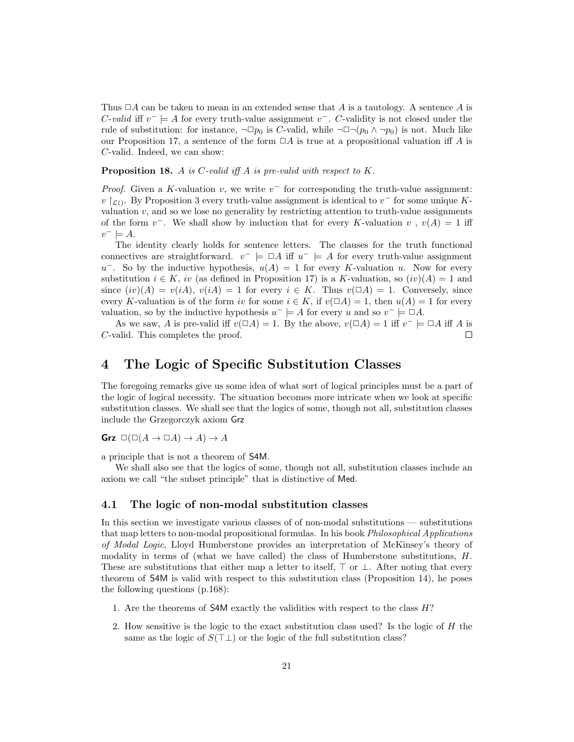Thus  $\Box A$  can be taken to mean in an extended sense that A is a tautology. A sentence A is C-valid iff  $v^- \models A$  for every truth-value assignment  $v^-$ . C-validity is not closed under the rule of substitution: for instance,  $\neg \Box p_0$  is C-valid, while  $\neg \Box \neg (p_0 \land \neg p_0)$  is not. Much like our Proposition 17, a sentence of the form  $\Box A$  is true at a propositional valuation iff A is C-valid. Indeed, we can show:

**Proposition 18.** A is C-valid iff A is pre-valid with respect to  $K$ .

*Proof.* Given a K-valuation v, we write  $v^-$  for corresponding the truth-value assignment: v  $\lceil$ <sub>C</sub>(). By Proposition 3 every truth-value assignment is identical to v<sup>-</sup> for some unique Kvaluation  $v$ , and so we lose no generality by restricting attention to truth-value assignments of the form  $v^-$ . We shall show by induction that for every K-valuation v,  $v(A) = 1$  iff  $v^- \models A$ .

The identity clearly holds for sentence letters. The clauses for the truth functional connectives are straightforward.  $v^{-} \models \Box A$  iff  $u^{-} \models A$  for every truth-value assignment  $u^-$ . So by the inductive hypothesis,  $u(A) = 1$  for every K-valuation u. Now for every substitution  $i \in K$ , iv (as defined in Proposition 17) is a K-valuation, so  $(iv)(A) = 1$  and since  $(iv)(A) = v(iA), v(iA) = 1$  for every  $i \in K$ . Thus  $v(\Box A) = 1$ . Conversely, since every K-valuation is of the form iv for some  $i \in K$ , if  $v(\Box A) = 1$ , then  $u(A) = 1$  for every valuation, so by the inductive hypothesis  $u^- \models A$  for every u and so  $v^- \models \Box A$ .

As we saw, A is pre-valid iff  $v(\Box A) = 1$ . By the above,  $v(\Box A) = 1$  iff  $v^- \models \Box A$  iff A is C-valid. This completes the proof.  $\Box$ 

## 4 The Logic of Specific Substitution Classes

The foregoing remarks give us some idea of what sort of logical principles must be a part of the logic of logical necessity. The situation becomes more intricate when we look at specific substitution classes. We shall see that the logics of some, though not all, substitution classes include the Grzegorczyk axiom Grz

Grz  $\square(\square(A \to \square A) \to A) \to A$ 

a principle that is not a theorem of S4M.

We shall also see that the logics of some, though not all, substitution classes include an axiom we call "the subset principle" that is distinctive of Med.

### 4.1 The logic of non-modal substitution classes

In this section we investigate various classes of of non-modal substitutions — substitutions that map letters to non-modal propositional formulas. In his book Philosophical Applications of Modal Logic, Lloyd Humberstone provides an interpretation of McKinsey's theory of modality in terms of (what we have called) the class of Humberstone substitutions,  $H$ . These are substitutions that either map a letter to itself,  $\top$  or  $\bot$ . After noting that every theorem of S4M is valid with respect to this substitution class (Proposition 14), he poses the following questions (p.168):

- 1. Are the theorems of S4M exactly the validities with respect to the class H?
- 2. How sensitive is the logic to the exact substitution class used? Is the logic of H the same as the logic of  $S(T\perp)$  or the logic of the full substitution class?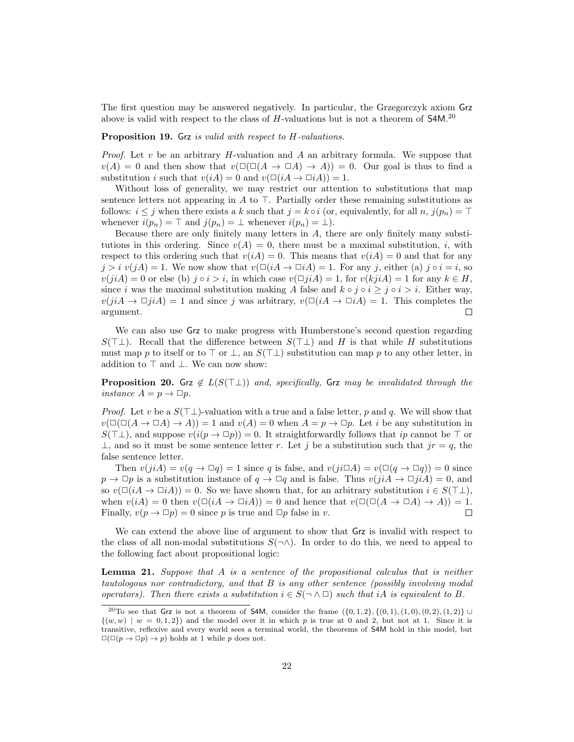The first question may be answered negatively. In particular, the Grzegorczyk axiom Grz above is valid with respect to the class of H-valuations but is not a theorem of  $$4M$ .<sup>20</sup>

## Proposition 19. Grz is valid with respect to H-valuations.

*Proof.* Let  $v$  be an arbitrary  $H$ -valuation and  $A$  an arbitrary formula. We suppose that  $v(A) = 0$  and then show that  $v(\Box(\Box(A \rightarrow \Box A) \rightarrow A)) = 0$ . Our goal is thus to find a substitution i such that  $v(iA) = 0$  and  $v(\Box(iA \rightarrow \Box iA)) = 1$ .

Without loss of generality, we may restrict our attention to substitutions that map sentence letters not appearing in A to  $\top$ . Partially order these remaining substitutions as follows:  $i \leq j$  when there exists a k such that  $j = k \circ i$  (or, equivalently, for all n,  $j(p_n) = \top$ whenever  $i(p_n) = \top$  and  $j(p_n) = \bot$  whenever  $i(p_n) = \bot$ .

Because there are only finitely many letters in A, there are only finitely many substitutions in this ordering. Since  $v(A) = 0$ , there must be a maximal substitution, *i*, with respect to this ordering such that  $v(iA) = 0$ . This means that  $v(iA) = 0$  and that for any  $j > i$   $v(jA) = 1$ . We now show that  $v(\Box(iA \rightarrow \Box iA)) = 1$ . For any j, either (a)  $j \circ i = i$ , so  $v(jiA) = 0$  or else (b)  $j \circ i > i$ , in which case  $v(\Box jiA) = 1$ , for  $v(kjiA) = 1$  for any  $k \in H$ , since i was the maximal substitution making A false and  $k \circ j \circ i \geq j \circ i > i$ . Either way,  $v(jiA \rightarrow \Box jiA) = 1$  and since j was arbitrary,  $v(\Box(iA \rightarrow \Box iA)) = 1$ . This completes the argument. П

We can also use Grz to make progress with Humberstone's second question regarding  $S(T\perp)$ . Recall that the difference between  $S(T\perp)$  and H is that while H substitutions must map p to itself or to ⊤ or  $\perp$ , an  $S(\perp\perp)$  substitution can map p to any other letter, in addition to  $\top$  and  $\bot$ . We can now show:

**Proposition 20.** Grz  $\notin L(S(T\perp))$  and, specifically, Grz may be invalidated through the instance  $A = p \rightarrow \Box p$ .

*Proof.* Let v be a  $S(T\perp)$ -valuation with a true and a false letter, p and q. We will show that  $v(\Box(A \to \Box A) \to A)) = 1$  and  $v(A) = 0$  when  $A = p \to \Box p$ . Let i be any substitution in  $S(\top \bot)$ , and suppose  $v(i(p \to \Box p)) = 0$ . It straightforwardly follows that ip cannot be  $\top$  or  $\perp$ , and so it must be some sentence letter r. Let j be a substitution such that  $jr = q$ , the false sentence letter.

Then  $v(jiA) = v(q \to \Box q) = 1$  since q is false, and  $v(ji\Box A) = v(\Box (q \to \Box q)) = 0$  since  $p \to \Box p$  is a substitution instance of  $q \to \Box q$  and is false. Thus  $v(jiA \to \Box jiA) = 0$ , and so  $v(\Box(iA \to \Box iA)) = 0$ . So we have shown that, for an arbitrary substitution  $i \in S(\top \bot)$ , when  $v(iA) = 0$  then  $v(\Box(iA \rightarrow \Box iA)) = 0$  and hence that  $v(\Box(\Box(A \rightarrow \Box A) \rightarrow A)) = 1$ . Finally,  $v(p \to \Box p) = 0$  since p is true and  $\Box p$  false in v.  $\Box$ 

We can extend the above line of argument to show that Grz is invalid with respect to the class of all non-modal substitutions  $S(\neg \wedge)$ . In order to do this, we need to appeal to the following fact about propositional logic:

**Lemma 21.** Suppose that  $A$  is a sentence of the propositional calculus that is neither tautologous nor contradictory, and that B is any other sentence (possibly involving modal operators). Then there exists a substitution  $i \in S(\neg \land \Box)$  such that iA is equivalent to B.

<sup>&</sup>lt;sup>20</sup>To see that Grz is not a theorem of S4M, consider the frame  $({0, 1, 2}, {0, 1), (1, 0), (0, 2), (1, 2)} \cup$  $\{(w, w) \mid w = 0, 1, 2\}$  and the model over it in which p is true at 0 and 2, but not at 1. Since it is transitive, reflexive and every world sees a terminal world, the theorems of S4M hold in this model, but  $\square(\square(p \to \square p) \to p)$  holds at 1 while p does not.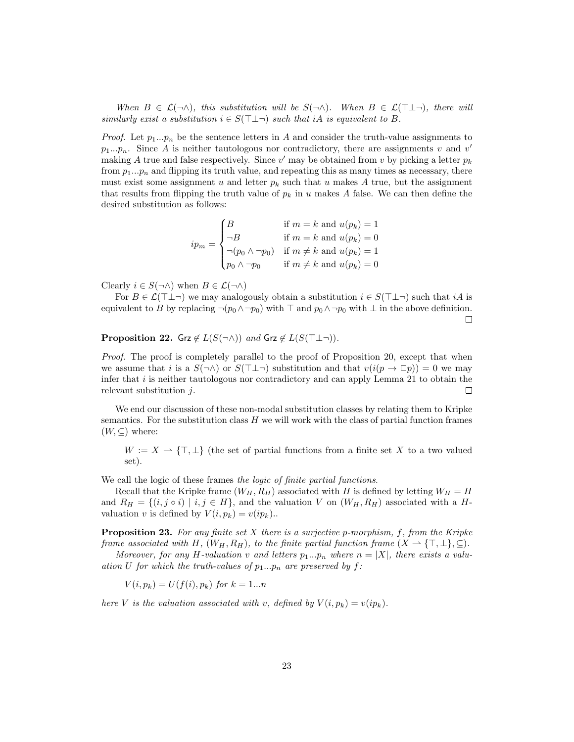When  $B \in \mathcal{L}(\neg \wedge)$ , this substitution will be  $S(\neg \wedge)$ . When  $B \in \mathcal{L}(\top \perp \neg)$ , there will similarly exist a substitution  $i \in S(\top \bot \neg)$  such that iA is equivalent to B.

*Proof.* Let  $p_1...p_n$  be the sentence letters in A and consider the truth-value assignments to  $p_1...p_n$ . Since A is neither tautologous nor contradictory, there are assignments v and v' making A true and false respectively. Since  $v'$  may be obtained from v by picking a letter  $p_k$ from  $p_1...p_n$  and flipping its truth value, and repeating this as many times as necessary, there must exist some assignment u and letter  $p_k$  such that u makes A true, but the assignment that results from flipping the truth value of  $p_k$  in u makes A false. We can then define the desired substitution as follows:

$$
ip_m = \begin{cases} B & \text{if } m = k \text{ and } u(p_k) = 1 \\ \neg B & \text{if } m = k \text{ and } u(p_k) = 0 \\ \neg (p_0 \land \neg p_0) & \text{if } m \neq k \text{ and } u(p_k) = 1 \\ p_0 \land \neg p_0 & \text{if } m \neq k \text{ and } u(p_k) = 0 \end{cases}
$$

Clearly  $i \in S(\neg \wedge)$  when  $B \in \mathcal{L}(\neg \wedge)$ 

For  $B \in \mathcal{L}(\top \bot \neg)$  we may analogously obtain a substitution  $i \in S(\top \bot \neg)$  such that  $iA$  is equivalent to B by replacing  $\neg(p_0 \land \neg p_0)$  with  $\top$  and  $p_0 \land \neg p_0$  with  $\bot$  in the above definition.  $\Box$ 

**Proposition 22.** Grz  $\notin L(S(\neg \wedge))$  and Grz  $\notin L(S(\top \perp \neg))$ .

Proof. The proof is completely parallel to the proof of Proposition 20, except that when we assume that i is a  $S(\neg \wedge)$  or  $S(\top \bot \neg)$  substitution and that  $v(i(p \rightarrow \Box p)) = 0$  we may infer that  $i$  is neither tautologous nor contradictory and can apply Lemma 21 to obtain the relevant substitution  $j$ . П

We end our discussion of these non-modal substitution classes by relating them to Kripke semantics. For the substitution class  $H$  we will work with the class of partial function frames  $(W, \subseteq)$  where:

 $W := X \longrightarrow {\top, \bot}$  (the set of partial functions from a finite set X to a two valued set).

We call the logic of these frames the logic of finite partial functions.

Recall that the Kripke frame  $(W_H, R_H)$  associated with H is defined by letting  $W_H = H$ and  $R_H = \{(i, j \circ i) \mid i, j \in H\}$ , and the valuation V on  $(W_H, R_H)$  associated with a Hvaluation v is defined by  $V(i, p_k) = v(ip_k)$ .

**Proposition 23.** For any finite set  $X$  there is a surjective p-morphism,  $f$ , from the Kripke frame associated with H,  $(W_H, R_H)$ , to the finite partial function frame  $(X \to {\top, \bot}, \subseteq)$ .

Moreover, for any H-valuation v and letters  $p_1...p_n$  where  $n = |X|$ , there exists a valuation U for which the truth-values of  $p_1...p_n$  are preserved by f:

$$
V(i, p_k) = U(f(i), p_k) \text{ for } k = 1...n
$$

here V is the valuation associated with v, defined by  $V(i, p_k) = v(ip_k)$ .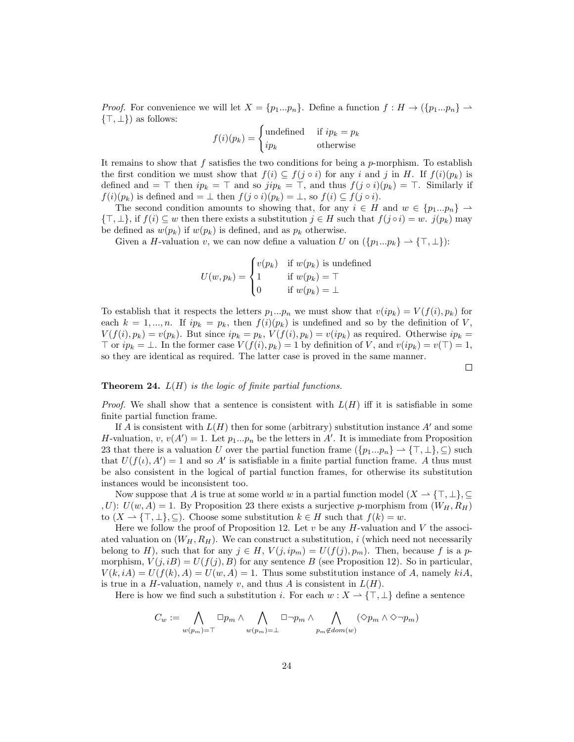*Proof.* For convenience we will let  $X = \{p_1...p_n\}$ . Define a function  $f : H \to \{\{p_1...p_n\} \to$  $\{\top, \bot\}$ ) as follows:

$$
f(i)(p_k) = \begin{cases} \text{undefined} & \text{if } ip_k = p_k \\ ip_k & \text{otherwise} \end{cases}
$$

It remains to show that f satisfies the two conditions for being a p-morphism. To establish the first condition we must show that  $f(i) \subseteq f(j \circ i)$  for any i and j in H. If  $f(i)(p_k)$  is defined and = ⊤ then  $ip_k = \top$  and so  $jip_k = \top$ , and thus  $f(j \circ i)(p_k) = \top$ . Similarly if  $f(i)(p_k)$  is defined and  $= \perp$  then  $f(j \circ i)(p_k) = \perp$ , so  $f(i) \subseteq f(j \circ i)$ .

The second condition amounts to showing that, for any  $i \in H$  and  $w \in \{p_1...p_n\} \to$  $\{\top, \bot\},$  if  $f(i) \subseteq w$  then there exists a substitution  $j \in H$  such that  $f(j \circ i) = w$ .  $j(p_k)$  may be defined as  $w(p_k)$  if  $w(p_k)$  is defined, and as  $p_k$  otherwise.

Given a H-valuation v, we can now define a valuation U on  $({p_1...p_k} \rightharpoonup {\top}, \bot)$ :

$$
U(w, p_k) = \begin{cases} v(p_k) & \text{if } w(p_k) \text{ is undefined} \\ 1 & \text{if } w(p_k) = \top \\ 0 & \text{if } w(p_k) = \bot \end{cases}
$$

To establish that it respects the letters  $p_1...p_n$  we must show that  $v(ip_k) = V(f(i), p_k)$  for each  $k = 1, ..., n$ . If  $ip_k = p_k$ , then  $f(i)(p_k)$  is undefined and so by the definition of V,  $V(f(i), p_k) = v(p_k)$ . But since  $ip_k = p_k$ ,  $V(f(i), p_k) = v(ip_k)$  as required. Otherwise  $ip_k =$  $\top$  or  $ip_k = \bot$ . In the former case  $V(f(i), p_k) = 1$  by definition of V, and  $v(ip_k) = v(\top) = 1$ , so they are identical as required. The latter case is proved in the same manner.

 $\Box$ 

### **Theorem 24.**  $L(H)$  is the logic of finite partial functions.

*Proof.* We shall show that a sentence is consistent with  $L(H)$  iff it is satisfiable in some finite partial function frame.

If A is consistent with  $L(H)$  then for some (arbitrary) substitution instance A' and some H-valuation,  $v, v(A') = 1$ . Let  $p_1...p_n$  be the letters in A'. It is immediate from Proposition 23 that there is a valuation U over the partial function frame  $(\{p_1...p_n\} \rightharpoonup {\top, \bot\}, \subseteq)$  such that  $U(f(t), A') = 1$  and so A' is satisfiable in a finite partial function frame. A thus must be also consistent in the logical of partial function frames, for otherwise its substitution instances would be inconsistent too.

Now suppose that A is true at some world w in a partial function model  $(X \to {\top, \bot}, \subseteq$ , U):  $U(w, A) = 1$ . By Proposition 23 there exists a surjective p-morphism from  $(W_H, R_H)$ to  $(X \to {\{\top, \bot\}}, \subseteq)$ . Choose some substitution  $k \in H$  such that  $f(k) = w$ .

Here we follow the proof of Proposition 12. Let  $v$  be any H-valuation and V the associated valuation on  $(W_H, R_H)$ . We can construct a substitution, i (which need not necessarily belong to H), such that for any  $j \in H$ ,  $V(j, ip_m) = U(f(j), p_m)$ . Then, because f is a pmorphism,  $V(j, iB) = U(f(j), B)$  for any sentence B (see Proposition 12). So in particular,  $V(k, iA) = U(f(k), A) = U(w, A) = 1$ . Thus some substitution instance of A, namely kiA, is true in a H-valuation, namely v, and thus A is consistent in  $L(H)$ .

Here is how we find such a substitution i. For each  $w : X \to {\{\top, \bot\}}$  define a sentence

$$
C_w:=\bigwedge_{w(p_m)=\top}\Box p_m\wedge\bigwedge_{w(p_m)=\bot}\Box\neg p_m\wedge\bigwedge_{p_m\not\in dom(w)}(\Diamond p_m\wedge\Diamond\neg p_m)
$$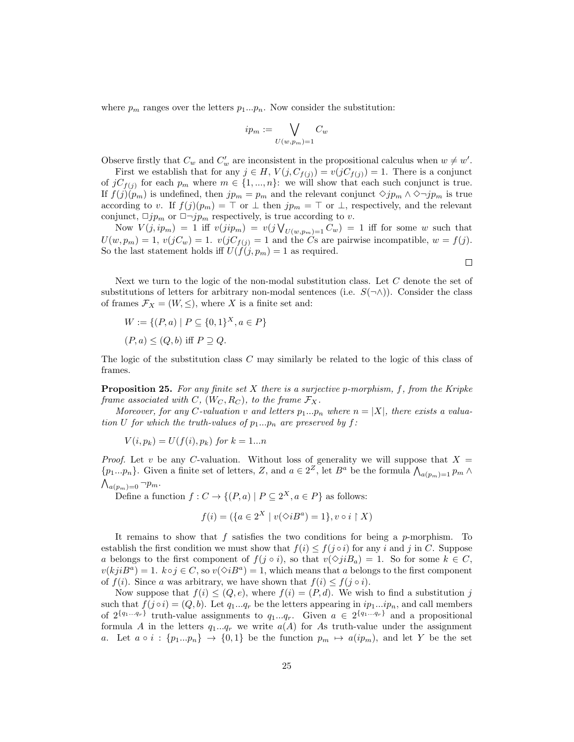where  $p_m$  ranges over the letters  $p_1...p_n$ . Now consider the substitution:

$$
ip_m := \bigvee_{U(w,p_m)=1} C_w
$$

Observe firstly that  $C_w$  and  $C'_w$  are inconsistent in the propositional calculus when  $w \neq w'$ .

First we establish that for any  $j \in H$ ,  $V(j, C_{f(j)}) = v(jC_{f(j)}) = 1$ . There is a conjunct of  $jC_{f(j)}$  for each  $p_m$  where  $m \in \{1, ..., n\}$ : we will show that each such conjunct is true. If  $f(j)(p_m)$  is undefined, then  $jp_m = p_m$  and the relevant conjunct  $\Diamond jm_m \wedge \Diamond \neg jm_m$  is true according to v. If  $f(j)(p_m) = \top$  or  $\bot$  then  $jp_m = \top$  or  $\bot$ , respectively, and the relevant conjunct,  $\Box j p_m$  or  $\Box \neg j p_m$  respectively, is true according to v.

Now  $V(j, ip_m) = 1$  iff  $v(jip_m) = v(j \vee_{U(w, p_m) = 1} C_w) = 1$  iff for some w such that  $U(w, p_m) = 1$ ,  $v(jC_w) = 1$ .  $v(jC_{f(j)}) = 1$  and the Cs are pairwise incompatible,  $w = f(j)$ . So the last statement holds iff  $U(f(j, p_m) = 1$  as required.

 $\Box$ 

Next we turn to the logic of the non-modal substitution class. Let C denote the set of substitutions of letters for arbitrary non-modal sentences (i.e.  $S(\neg \wedge)$ ). Consider the class of frames  $\mathcal{F}_X = (W, \leq),$  where X is a finite set and:

$$
W := \{ (P, a) \mid P \subseteq \{0, 1\}^X, a \in P \}
$$
  

$$
(P, a) \le (Q, b) \text{ iff } P \supseteq Q.
$$

The logic of the substitution class C may similarly be related to the logic of this class of frames.

**Proposition 25.** For any finite set  $X$  there is a surjective p-morphism,  $f$ , from the Kripke frame associated with C,  $(W_C, R_C)$ , to the frame  $\mathcal{F}_X$ .

Moreover, for any C-valuation v and letters  $p_1...p_n$  where  $n = |X|$ , there exists a valuation U for which the truth-values of  $p_1...p_n$  are preserved by f:

$$
V(i, p_k) = U(f(i), p_k) \text{ for } k = 1...n
$$

*Proof.* Let v be any C-valuation. Without loss of generality we will suppose that  $X =$  $\{p_1...p_n\}$ . Given a finite set of letters, Z, and  $a \in 2^Z$ , let  $B^a$  be the formula  $\bigwedge_{a(p_m)=1} p_m \wedge a_p\bigwedge_{a_p=1}^Z p_m$  $\bigwedge_{a(p_m)=0} \neg p_m.$ 

Define a function  $f: C \to \{(P, a) \mid P \subseteq 2^X, a \in P\}$  as follows:

$$
f(i) = (\{a \in 2^X \mid v(\Diamond i B^a) = 1\}, v \circ i \upharpoonright X)
$$

It remains to show that f satisfies the two conditions for being a  $p$ -morphism. To establish the first condition we must show that  $f(i) \leq f(j \circ i)$  for any i and j in C. Suppose a belongs to the first component of  $f(j \circ i)$ , so that  $v(\Diamond j i B_a) = 1$ . So for some  $k \in C$ ,  $v(kjiB^a) = 1.$   $k \circ j \in C$ , so  $v(\Diamond iB^a) = 1$ , which means that a belongs to the first component of  $f(i)$ . Since a was arbitrary, we have shown that  $f(i) \leq f(j \circ i)$ .

Now suppose that  $f(i) \leq (Q, e)$ , where  $f(i) = (P, d)$ . We wish to find a substitution j such that  $f(j \circ i) = (Q, b)$ . Let  $q_1...q_r$  be the letters appearing in  $ip_1...ip_n$ , and call members of  $2^{\{q_1...q_r\}}$  truth-value assignments to  $q_1...q_r$ . Given  $a \in 2^{\{q_1...q_r\}}$  and a propositional formula A in the letters  $q_1...q_r$  we write  $a(A)$  for As truth-value under the assignment a. Let  $a \circ i : \{p_1...p_n\} \to \{0,1\}$  be the function  $p_m \mapsto a(ip_m)$ , and let Y be the set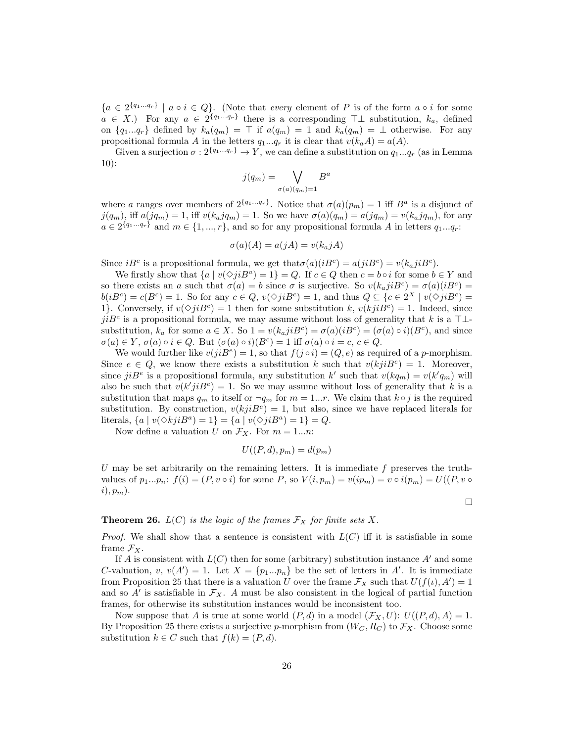${a \in 2^{\{q_1...q_r\}} \mid a \circ i \in Q}$ . (Note that every element of P is of the form  $a \circ i$  for some  $a \in X$ .) For any  $a \in 2^{\{q_1...q_r\}}$  there is a corresponding  $\top \bot$  substitution,  $k_a$ , defined on  $\{q_1...q_r\}$  defined by  $k_a(q_m) = \top$  if  $a(q_m) = 1$  and  $k_a(q_m) = \bot$  otherwise. For any propositional formula A in the letters  $q_1...q_r$  it is clear that  $v(k_a A) = a(A)$ .

Given a surjection  $\sigma: 2^{\{q_1...q_r\}} \to Y$ , we can define a substitution on  $q_1...q_r$  (as in Lemma 10):

$$
j(q_m) = \bigvee_{\sigma(a)(q_m) = 1} B^a
$$

where a ranges over members of  $2^{\{q_1...q_r\}}$ . Notice that  $\sigma(a)(p_m) = 1$  iff  $B^a$  is a disjunct of  $j(q_m)$ , iff  $a(jq_m) = 1$ , iff  $v(k_ajq_m) = 1$ . So we have  $\sigma(a)(q_m) = a(jq_m) = v(k_ajq_m)$ , for any  $a \in 2^{\{q_1 \ldots q_r\}}$  and  $m \in \{1, ..., r\}$ , and so for any propositional formula A in letters  $q_1...q_r$ :

$$
\sigma(a)(A) = a(jA) = v(k_a jA)
$$

Since  $iB^c$  is a propositional formula, we get that  $\sigma(a)(iB^c) = a(jiB^c) = v(k_ajiB^c)$ .

We firstly show that  $\{a \mid v(\Diamond ji B^a) = 1\} = Q$ . If  $c \in Q$  then  $c = b \circ i$  for some  $b \in Y$  and so there exists an a such that  $\sigma(a) = b$  since  $\sigma$  is surjective. So  $v(k_a j i B^c) = \sigma(a)(i B^c)$  $b(iB^c) = c(B^c) = 1$ . So for any  $c \in Q$ ,  $v(\Diamond jiB^c) = 1$ , and thus  $Q \subseteq \{c \in 2^X \mid v(\Diamond jiB^c) = 1\}$ 1. Conversely, if  $v(\Diamond jiB^c) = 1$  then for some substitution k,  $v(kjiB^c) = 1$ . Indeed, since  $jiB<sup>c</sup>$  is a propositional formula, we may assume without loss of generality that k is a ⊤⊥substitution,  $k_a$  for some  $a \in X$ . So  $1 = v(k_ajiB^c) = \sigma(a)(iB^c) = (\sigma(a) \circ i)(B^c)$ , and since  $\sigma(a) \in Y$ ,  $\sigma(a) \circ i \in Q$ . But  $(\sigma(a) \circ i)(B^c) = 1$  iff  $\sigma(a) \circ i = c, c \in Q$ .

We would further like  $v(jiB<sup>e</sup>) = 1$ , so that  $f(j \circ i) = (Q, e)$  as required of a p-morphism. Since  $e \in Q$ , we know there exists a substitution k such that  $v(kjiB<sup>e</sup>) = 1$ . Moreover, since  $jiB<sup>e</sup>$  is a propositional formula, any substitution k' such that  $v(kq_m) = v(k'q_m)$  will also be such that  $v(k'j) = 1$ . So we may assume without loss of generality that k is a substitution that maps  $q_m$  to itself or  $\neg q_m$  for  $m = 1...r$ . We claim that  $k \circ j$  is the required substitution. By construction,  $v(kjiB^e) = 1$ , but also, since we have replaced literals for literals,  $\{a \mid v(\Diamond kjiB^a) = 1\} = \{a \mid v(\Diamond jiB^a) = 1\} = Q.$ 

Now define a valuation U on  $\mathcal{F}_X$ . For  $m = 1...n$ :

$$
U((P,d), p_m) = d(p_m)
$$

U may be set arbitrarily on the remaining letters. It is immediate  $f$  preserves the truthvalues of  $p_1...p_n$ :  $f(i) = (P, v \circ i)$  for some P, so  $V(i, p_m) = v(ip_m) = v \circ i(p_m) = U((P, v \circ i) \circ j)$  $i), p_m$ ).

## **Theorem 26.**  $L(C)$  is the logic of the frames  $\mathcal{F}_X$  for finite sets X.

*Proof.* We shall show that a sentence is consistent with  $L(C)$  iff it is satisfiable in some frame  $\mathcal{F}_X$ .

If A is consistent with  $L(C)$  then for some (arbitrary) substitution instance A' and some C-valuation, v,  $v(A') = 1$ . Let  $X = \{p_1...p_n\}$  be the set of letters in A'. It is immediate from Proposition 25 that there is a valuation U over the frame  $\mathcal{F}_X$  such that  $U(f(t), A') = 1$ and so  $A'$  is satisfiable in  $\mathcal{F}_X$ . A must be also consistent in the logical of partial function frames, for otherwise its substitution instances would be inconsistent too.

Now suppose that A is true at some world  $(P, d)$  in a model  $(\mathcal{F}_X, U): U((P, d), A) = 1$ . By Proposition 25 there exists a surjective p-morphism from  $(W_C, R_C)$  to  $\mathcal{F}_X$ . Choose some substitution  $k \in C$  such that  $f(k) = (P, d)$ .

 $\Box$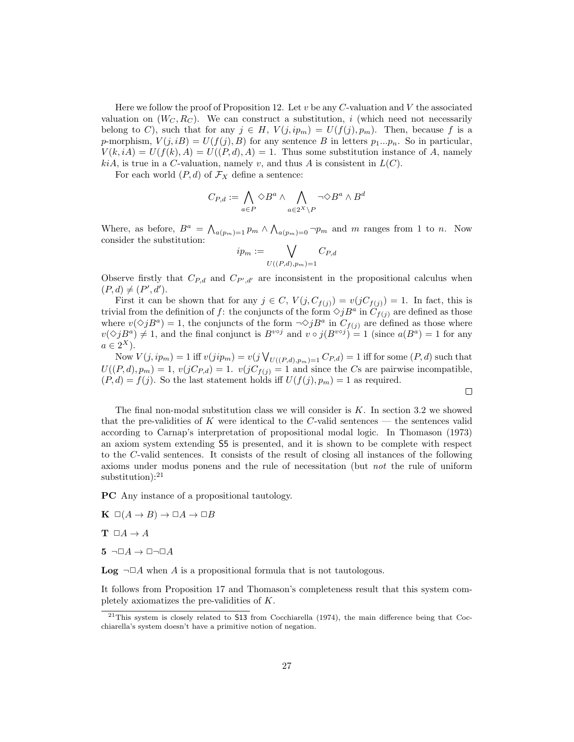Here we follow the proof of Proposition 12. Let  $v$  be any  $C$ -valuation and  $V$  the associated valuation on  $(W_C, R_C)$ . We can construct a substitution, i (which need not necessarily belong to C), such that for any  $j \in H$ ,  $V(j, ip_m) = U(f(j), p_m)$ . Then, because f is a p-morphism,  $V(j, iB) = U(f(j), B)$  for any sentence B in letters  $p_1...p_n$ . So in particular,  $V(k, iA) = U(f(k), A) = U((P, d), A) = 1$ . Thus some substitution instance of A, namely  $kiA$ , is true in a C-valuation, namely v, and thus A is consistent in  $L(C)$ .

For each world  $(P, d)$  of  $\mathcal{F}_X$  define a sentence:

$$
C_{P,d}:=\bigwedge_{a\in P}\Diamond B^a\wedge\bigwedge_{a\in 2^X\backslash P}\neg\Diamond B^a\wedge B^d
$$

Where, as before,  $B^a = \bigwedge_{a(p_m)=1} p_m \wedge \bigwedge_{a(p_m)=0} \neg p_m$  and m ranges from 1 to n. Now consider the substitution:

$$
ip_m := \bigvee_{U((P,d),p_m)=1} C_{P,d}
$$

Observe firstly that  $C_{P,d}$  and  $C_{P',d'}$  are inconsistent in the propositional calculus when  $(P, d) \neq (P', d').$ 

First it can be shown that for any  $j \in C$ ,  $V(j, C_{f(j)}) = v(jC_{f(j)}) = 1$ . In fact, this is trivial from the definition of f: the conjuncts of the form  $\Diamond jB^a$  in  $\widetilde{C}_{f(j)}$  are defined as those where  $v(\Diamond jB^a) = 1$ , the conjuncts of the form  $\neg \Diamond jB^a$  in  $C_{f(j)}$  are defined as those where  $v(\Diamond jB^a) \neq 1$ , and the final conjunct is  $B^{voj}$  and  $v \circ j(B^{voj}) = 1$  (since  $a(B^a) = 1$  for any  $a \in 2^X$ ).

Now  $V(j, ip_m) = 1$  iff  $v(jip_m) = v(j \bigvee_{U((P,d), p_m) = 1} C_{P,d}) = 1$  iff for some  $(P, d)$  such that  $U((P, d), p_m) = 1$ ,  $v(jC_{P, d}) = 1$ .  $v(jC_{f(j)}) = 1$  and since the Cs are pairwise incompatible,  $(P, d) = f(j)$ . So the last statement holds iff  $U(f(j), p_m) = 1$  as required.

 $\Box$ 

The final non-modal substitution class we will consider is  $K$ . In section 3.2 we showed that the pre-validities of K were identical to the  $C$ -valid sentences — the sentences valid according to Carnap's interpretation of propositional modal logic. In Thomason (1973) an axiom system extending S5 is presented, and it is shown to be complete with respect to the C-valid sentences. It consists of the result of closing all instances of the following axioms under modus ponens and the rule of necessitation (but not the rule of uniform  $substitution$ :<sup>21</sup>

PC Any instance of a propositional tautology.

- $\mathbf{K} \square (A \rightarrow B) \rightarrow \square A \rightarrow \square B$
- $\mathbf{T} \Box A \rightarrow A$
- $5 \neg \Box A \rightarrow \Box \neg \Box A$

**Log**  $\neg \Box A$  when A is a propositional formula that is not tautologous.

It follows from Proposition 17 and Thomason's completeness result that this system completely axiomatizes the pre-validities of K.

 $21$ This system is closely related to S13 from Cocchiarella (1974), the main difference being that Cocchiarella's system doesn't have a primitive notion of negation.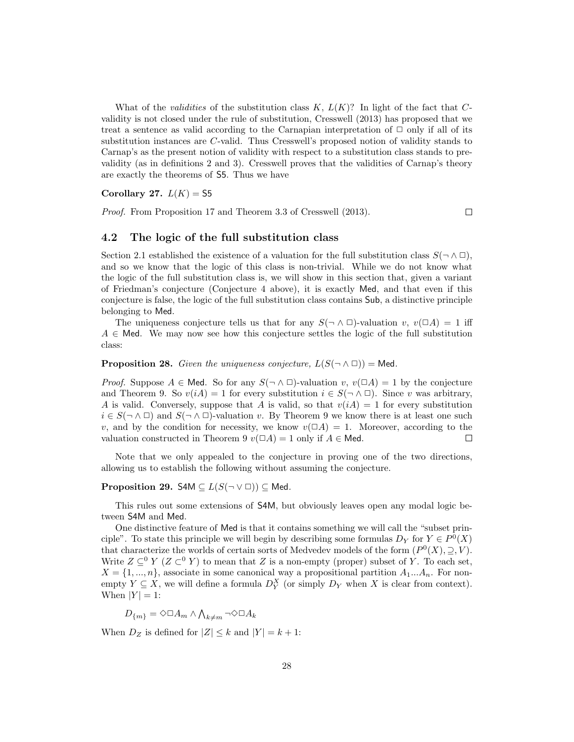What of the *validities* of the substitution class  $K, L(K)$ ? In light of the fact that Cvalidity is not closed under the rule of substitution, Cresswell (2013) has proposed that we treat a sentence as valid according to the Carnapian interpretation of  $\Box$  only if all of its substitution instances are C-valid. Thus Cresswell's proposed notion of validity stands to Carnap's as the present notion of validity with respect to a substitution class stands to prevalidity (as in definitions 2 and 3). Cresswell proves that the validities of Carnap's theory are exactly the theorems of S5. Thus we have

#### Corollary 27.  $L(K) =$  55

Proof. From Proposition 17 and Theorem 3.3 of Cresswell (2013).

 $\Box$ 

## 4.2 The logic of the full substitution class

Section 2.1 established the existence of a valuation for the full substitution class  $S(\neg \land \Box)$ , and so we know that the logic of this class is non-trivial. While we do not know what the logic of the full substitution class is, we will show in this section that, given a variant of Friedman's conjecture (Conjecture 4 above), it is exactly Med, and that even if this conjecture is false, the logic of the full substitution class contains Sub, a distinctive principle belonging to Med.

The uniqueness conjecture tells us that for any  $S(\neg \wedge \Box)$ -valuation v,  $v(\Box A) = 1$  iff  $A \in$  Med. We may now see how this conjecture settles the logic of the full substitution class:

**Proposition 28.** Given the uniqueness conjecture,  $L(S(\neg \land \Box))$  = Med.

*Proof.* Suppose  $A \in \mathsf{Med}$ . So for any  $S(\neg \land \Box)$ -valuation v,  $v(\Box A) = 1$  by the conjecture and Theorem 9. So  $v(iA) = 1$  for every substitution  $i \in S(\neg \land \Box)$ . Since v was arbitrary, A is valid. Conversely, suppose that A is valid, so that  $v(i) = 1$  for every substitution  $i \in S(\neg \land \Box)$  and  $S(\neg \land \Box)$ -valuation v. By Theorem 9 we know there is at least one such v, and by the condition for necessity, we know  $v(\Box A) = 1$ . Moreover, according to the valuation constructed in Theorem 9  $v(\Box A) = 1$  only if  $A \in \mathsf{Med}$ . П

Note that we only appealed to the conjecture in proving one of the two directions, allowing us to establish the following without assuming the conjecture.

#### **Proposition 29.** S4M  $\subseteq$   $L(S(\neg \vee \Box)) \subseteq$  Med.

This rules out some extensions of S4M, but obviously leaves open any modal logic between S4M and Med.

One distinctive feature of Med is that it contains something we will call the "subset principle". To state this principle we will begin by describing some formulas  $D_Y$  for  $Y \in P^0(X)$ that characterize the worlds of certain sorts of Medvedev models of the form  $(P^0(X), \supseteq, V)$ . Write  $Z \subseteq^0 Y (Z \subset^0 Y)$  to mean that Z is a non-empty (proper) subset of Y. To each set,  $X = \{1, ..., n\}$ , associate in some canonical way a propositional partition  $A_1...A_n$ . For nonempty  $Y \subseteq X$ , we will define a formula  $D_Y^X$  (or simply  $D_Y$  when X is clear from context). When  $|Y| = 1$ :

 $D_{\{m\}} = \Diamond \Box A_m \wedge \bigwedge_{k \neq m} \neg \Diamond \Box A_k$ 

When  $D_Z$  is defined for  $|Z| \leq k$  and  $|Y| = k + 1$ :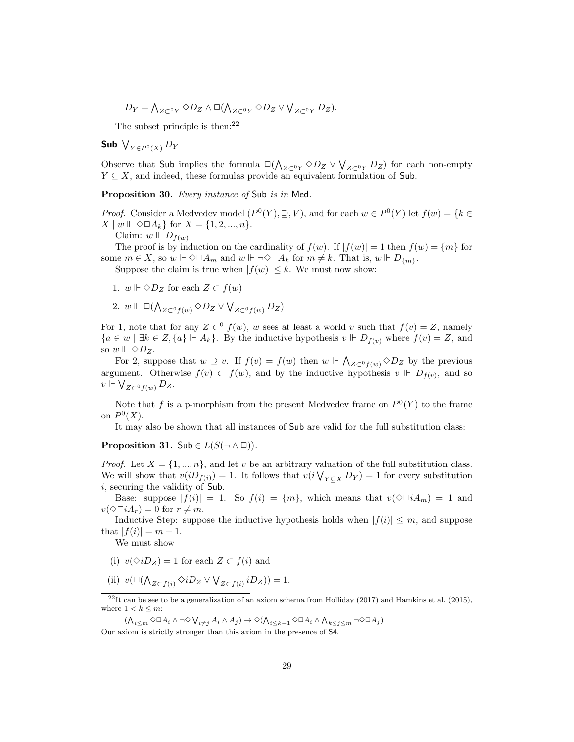$$
D_Y = \bigwedge_{Z \subset {}^{0}Y} \Diamond D_Z \land \Box(\bigwedge_{Z \subset {}^{0}Y} \Diamond D_Z \lor \bigvee_{Z \subset {}^{0}Y} D_Z).
$$

The subset principle is then: $22$ 

Sub  $\bigvee_{Y\in P^{0}(X)}D_{Y}$ 

Observe that Sub implies the formula  $\square(\bigwedge_{Z\subset V} \Diamond D_Z \vee \bigvee_{Z\subset V} D_Z)$  for each non-empty  $Y \subseteq X$ , and indeed, these formulas provide an equivalent formulation of Sub.

Proposition 30. Every instance of Sub is in Med.

*Proof.* Consider a Medvedev model  $(P^0(Y), \supseteq, V)$ , and for each  $w \in P^0(Y)$  let  $f(w) = \{k \in$  $X \mid w \Vdash \Diamond \Box A_k$ } for  $X = \{1, 2, ..., n\}.$ 

Claim:  $w \Vdash D_{f(w)}$ 

The proof is by induction on the cardinality of  $f(w)$ . If  $|f(w)| = 1$  then  $f(w) = \{m\}$  for some  $m \in X$ , so  $w \Vdash \Diamond \Box A_m$  and  $w \Vdash \neg \Diamond \Box A_k$  for  $m \neq k$ . That is,  $w \Vdash D_{\{m\}}$ .

Suppose the claim is true when  $|f(w)| \leq k$ . We must now show:

- 1.  $w \Vdash \Diamond D_Z$  for each  $Z \subset f(w)$
- 2.  $w \Vdash \Box(\bigwedge_{Z \subset^0} f(w) \Diamond D_Z \lor \bigvee_{Z \subset^0} f(w) D_Z)$

For 1, note that for any  $Z \subset^0 f(w)$ , w sees at least a world v such that  $f(v) = Z$ , namely  ${a \in w \mid \exists k \in Z, \{a\} \Vdash A_k}.$  By the inductive hypothesis  $v \Vdash D_{f(v)}$  where  $f(v) = Z$ , and so  $w \Vdash \Diamond D_Z$ .

For 2, suppose that  $w \supseteq v$ . If  $f(v) = f(w)$  then  $w \Vdash \bigwedge_{Z \subset^0} f(w) \otimes D_Z$  by the previous argument. Otherwise  $f(v) \subset f(w)$ , and by the inductive hypothesis  $v \Vdash D_{f(v)}$ , and so  $v \Vdash \bigvee_{Z \subset^0} f(w) D_Z.$ П

Note that f is a p-morphism from the present Medvedev frame on  $P^0(Y)$  to the frame on  $P^0(X)$ .

It may also be shown that all instances of Sub are valid for the full substitution class:

**Proposition 31.** Sub  $\in L(S(\neg \wedge \Box)).$ 

*Proof.* Let  $X = \{1, ..., n\}$ , and let v be an arbitrary valuation of the full substitution class. We will show that  $v(iD_{f(i)}) = 1$ . It follows that  $v(i\bigvee_{Y \subseteq X} D_Y) = 1$  for every substitution i, securing the validity of Sub.

Base: suppose  $|f(i)| = 1$ . So  $f(i) = \{m\}$ , which means that  $v(\Diamond \Box i A_m) = 1$  and  $v(\Diamond \Box iA_r) = 0$  for  $r \neq m$ .

Inductive Step: suppose the inductive hypothesis holds when  $|f(i)| \leq m$ , and suppose that  $|f(i)| = m + 1$ .

We must show

- (i)  $v(\Diamond iD_z) = 1$  for each  $Z \subset f(i)$  and
- (ii)  $v(\Box(\bigwedge_{Z \subset f(i)} \Diamond iD_Z \lor \bigvee_{Z \subset f(i)} iD_Z)) = 1.$

 $^{22}$ It can be see to be a generalization of an axiom schema from Holliday (2017) and Hamkins et al. (2015), where  $1 < k \leq m$ :

 $(\bigwedge_{i\leq m}\Diamond\Box A_i\land\neg\Diamond\bigvee_{i\neq j}A_i\land A_j)\to\Diamond(\bigwedge_{i\leq k-1}\Diamond\Box A_i\land\bigwedge_{k\leq j\leq m}\neg\Diamond\Box A_j)$ Our axiom is strictly stronger than this axiom in the presence of S4.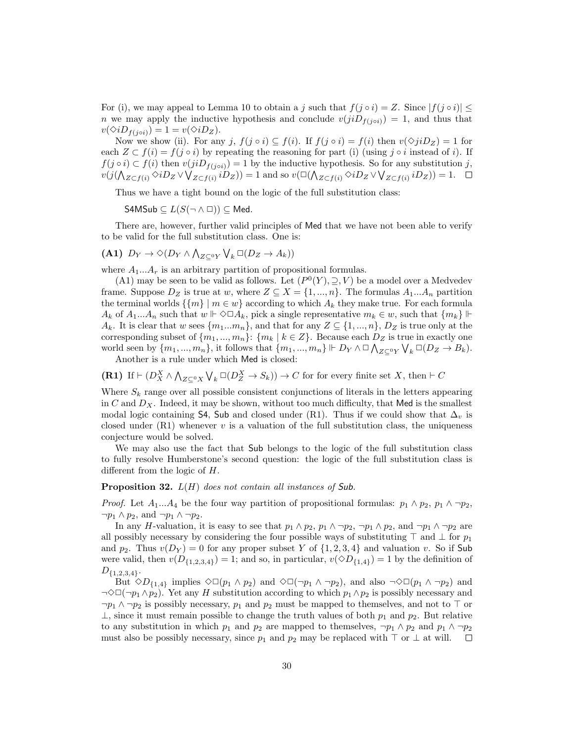For (i), we may appeal to Lemma 10 to obtain a j such that  $f(j \circ i) = Z$ . Since  $|f(j \circ i)| \leq$ n we may apply the inductive hypothesis and conclude  $v(jiD_{f(i\circ i)}) = 1$ , and thus that  $v(\Diamond i D_{f(j \circ i)}) = 1 = v(\Diamond i D_Z).$ 

Now we show (ii). For any j,  $f(j \circ i) \subseteq f(i)$ . If  $f(j \circ i) = f(i)$  then  $v(\Diamond ii)D_Z = 1$  for each  $Z \subset f(i) = f(j \circ i)$  by repeating the reasoning for part (i) (using j ∘ i instead of i). If  $f(j \circ i) \subset f(i)$  then  $v(jiD_{f(j \circ i)}) = 1$  by the inductive hypothesis. So for any substitution j,  $v(j(\bigwedge_{Z\subset f(i)}\Diamond iD_Z\lor \bigvee_{Z\subset f(i)}iD_Z))=1$  and so  $v(\Box(\bigwedge_{Z\subset f(i)}\Diamond iD_Z\lor \bigvee_{Z\subset f(i)}iD_Z))=1$ .

Thus we have a tight bound on the logic of the full substitution class:

S4MSub  $\subseteq$   $L(S(\neg \land \Box))$   $\subset$  Med.

There are, however, further valid principles of Med that we have not been able to verify to be valid for the full substitution class. One is:

$$
(A1) D_Y \to \Diamond (D_Y \land \bigwedge_{Z \subseteq^0 Y} \bigvee_k \Box (D_Z \to A_k))
$$

where  $A_1...A_r$  is an arbitrary partition of propositional formulas.

(A1) may be seen to be valid as follows. Let  $(P<sup>0</sup>(Y), \supseteq, V)$  be a model over a Medvedev frame. Suppose  $D_Z$  is true at w, where  $Z \subseteq X = \{1, ..., n\}$ . The formulas  $A_1...A_n$  partition the terminal worlds  $\{\{m\} \mid m \in \omega\}$  according to which  $A_k$  they make true. For each formula  $A_k$  of  $A_1...A_n$  such that  $w \Vdash \Diamond \Box A_k$ , pick a single representative  $m_k \in w$ , such that  $\{m_k\} \Vdash$  $A_k$ . It is clear that w sees  $\{m_1...m_n\}$ , and that for any  $Z \subseteq \{1,...,n\}$ ,  $D_Z$  is true only at the corresponding subset of  $\{m_1, ..., m_n\}$ :  $\{m_k | k \in \mathbb{Z}\}$ . Because each  $D_{\mathbb{Z}}$  is true in exactly one world seen by  $\{m_1, ..., m_n\}$ , it follows that  $\{m_1, ..., m_n\} \Vdash D_Y \wedge \Box \bigwedge_{Z \subseteq^0 Y} \bigvee_k \Box (D_Z \to B_k)$ .

Another is a rule under which Med is closed:

(R1) If 
$$
\vdash (D_X^X \land \bigwedge_{Z \subseteq^0 X} \bigvee_k \Box (D_Z^X \to S_k)) \to C
$$
 for for every finite set X, then  $\vdash C$ 

Where  $S_k$  range over all possible consistent conjunctions of literals in the letters appearing in C and  $D<sub>X</sub>$ . Indeed, it may be shown, without too much difficulty, that Med is the smallest modal logic containing S4, Sub and closed under (R1). Thus if we could show that  $\Delta_v$  is closed under  $(R1)$  whenever v is a valuation of the full substitution class, the uniqueness conjecture would be solved.

We may also use the fact that Sub belongs to the logic of the full substitution class to fully resolve Humberstone's second question: the logic of the full substitution class is different from the logic of H.

**Proposition 32.**  $L(H)$  does not contain all instances of Sub.

*Proof.* Let  $A_1...A_4$  be the four way partition of propositional formulas:  $p_1 \wedge p_2$ ,  $p_1 \wedge \neg p_2$ ,  $\neg p_1 \land p_2$ , and  $\neg p_1 \land \neg p_2$ .

In any H-valuation, it is easy to see that  $p_1 \wedge p_2$ ,  $p_1 \wedge \neg p_2$ ,  $\neg p_1 \wedge p_2$ , and  $\neg p_1 \wedge \neg p_2$  are all possibly necessary by considering the four possible ways of substituting ⊤ and ⊥ for  $p_1$ and  $p_2$ . Thus  $v(D_Y) = 0$  for any proper subset Y of  $\{1, 2, 3, 4\}$  and valuation v. So if Sub were valid, then  $v(D_{\{1,2,3,4\}}) = 1$ ; and so, in particular,  $v(\Diamond D_{\{1,4\}}) = 1$  by the definition of  $D_{\{1,2,3,4\}}.$ 

But  $\diamond D_{\{1,4\}}$  implies  $\diamond \Box(p_1 \land p_2)$  and  $\diamond \Box(\neg p_1 \land \neg p_2)$ , and also  $\neg \diamond \Box(p_1 \land \neg p_2)$  and  $\neg \Diamond \Box(\neg p_1 \land p_2)$ . Yet any H substitution according to which  $p_1 \land p_2$  is possibly necessary and  $\neg p_1 \wedge \neg p_2$  is possibly necessary,  $p_1$  and  $p_2$  must be mapped to themselves, and not to ⊤ or ⊥, since it must remain possible to change the truth values of both  $p_1$  and  $p_2$ . But relative to any substitution in which  $p_1$  and  $p_2$  are mapped to themselves,  $\neg p_1 \wedge p_2$  and  $p_1 \wedge \neg p_2$ must also be possibly necessary, since  $p_1$  and  $p_2$  may be replaced with ⊤ or ⊥ at will.  $\Box$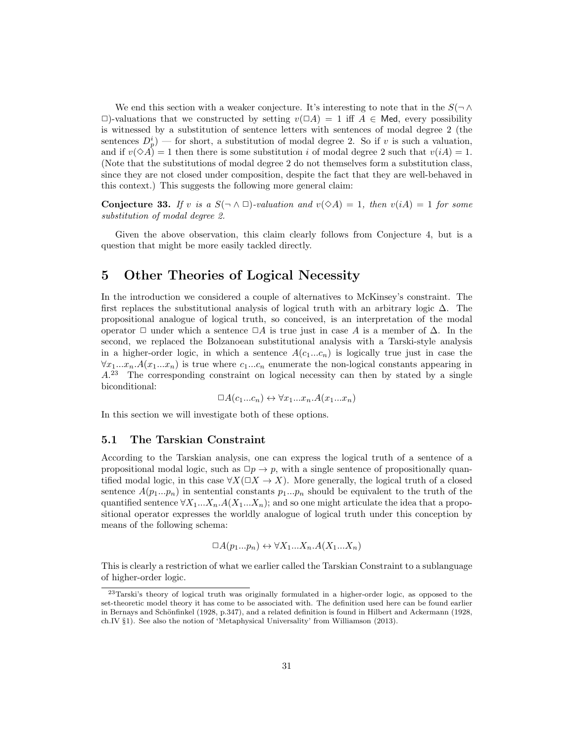We end this section with a weaker conjecture. It's interesting to note that in the  $S(\neg \wedge$  $\Box$ )-valuations that we constructed by setting  $v(\Box A) = 1$  iff  $A \in \text{Med}$ , every possibility is witnessed by a substitution of sentence letters with sentences of modal degree 2 (the sentences  $D_p^i$ ) — for short, a substitution of modal degree 2. So if v is such a valuation, and if  $v(\Diamond A) = 1$  then there is some substitution i of modal degree 2 such that  $v(iA) = 1$ . (Note that the substitutions of modal degree 2 do not themselves form a substitution class, since they are not closed under composition, despite the fact that they are well-behaved in this context.) This suggests the following more general claim:

**Conjecture 33.** If v is a  $S(\neg \land \Box)$ -valuation and  $v(\Diamond A) = 1$ , then  $v(iA) = 1$  for some substitution of modal degree 2.

Given the above observation, this claim clearly follows from Conjecture 4, but is a question that might be more easily tackled directly.

## 5 Other Theories of Logical Necessity

In the introduction we considered a couple of alternatives to McKinsey's constraint. The first replaces the substitutional analysis of logical truth with an arbitrary logic  $\Delta$ . The propositional analogue of logical truth, so conceived, is an interpretation of the modal operator  $\Box$  under which a sentence  $\Box A$  is true just in case A is a member of  $\Delta$ . In the second, we replaced the Bolzanoean substitutional analysis with a Tarski-style analysis in a higher-order logic, in which a sentence  $A(c_1...c_n)$  is logically true just in case the  $\forall x_1...x_n. A(x_1...x_n)$  is true where  $c_1...c_n$  enumerate the non-logical constants appearing in  $A<sup>23</sup>$  The corresponding constraint on logical necessity can then by stated by a single biconditional:

 $\Box A(c_1...c_n) \leftrightarrow \forall x_1...x_n. A(x_1...x_n)$ 

In this section we will investigate both of these options.

#### 5.1 The Tarskian Constraint

According to the Tarskian analysis, one can express the logical truth of a sentence of a propositional modal logic, such as  $\Box p \rightarrow p$ , with a single sentence of propositionally quantified modal logic, in this case  $\forall X(\Box X \rightarrow X)$ . More generally, the logical truth of a closed sentence  $A(p_1...p_n)$  in sentential constants  $p_1...p_n$  should be equivalent to the truth of the quantified sentence  $\forall X_1...X_n.A(X_1...X_n)$ ; and so one might articulate the idea that a propositional operator expresses the worldly analogue of logical truth under this conception by means of the following schema:

$$
\Box A(p_1...p_n) \leftrightarrow \forall X_1...X_n. A(X_1...X_n)
$$

This is clearly a restriction of what we earlier called the Tarskian Constraint to a sublanguage of higher-order logic.

<sup>23</sup>Tarski's theory of logical truth was originally formulated in a higher-order logic, as opposed to the set-theoretic model theory it has come to be associated with. The definition used here can be found earlier in Bernays and Schönfinkel (1928, p.347), and a related definition is found in Hilbert and Ackermann (1928, ch.IV §1). See also the notion of 'Metaphysical Universality' from Williamson (2013).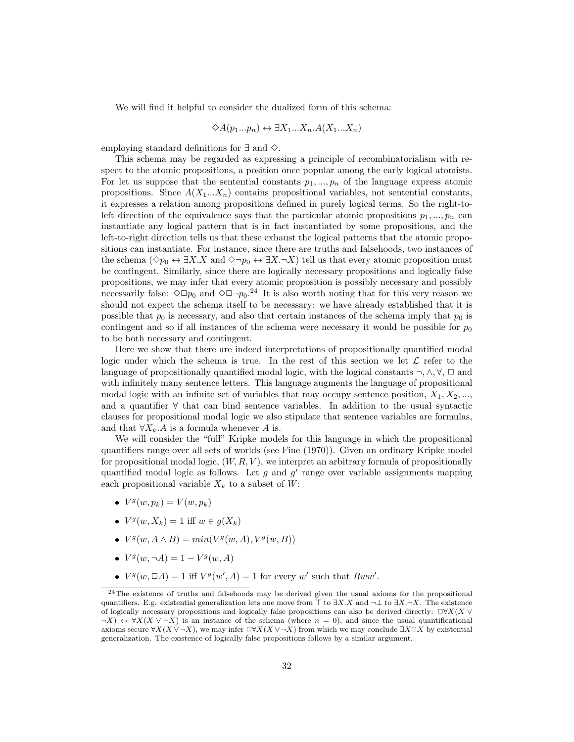We will find it helpful to consider the dualized form of this schema:

$$
\Diamond A(p_1...p_n) \leftrightarrow \exists X_1...X_n.A(X_1...X_n)
$$

employing standard definitions for  $\exists$  and  $\diamond$ .

This schema may be regarded as expressing a principle of recombinatorialism with respect to the atomic propositions, a position once popular among the early logical atomists. For let us suppose that the sentential constants  $p_1, ..., p_n$  of the language express atomic propositions. Since  $A(X_1...X_n)$  contains propositional variables, not sentential constants, it expresses a relation among propositions defined in purely logical terms. So the right-toleft direction of the equivalence says that the particular atomic propositions  $p_1, ..., p_n$  can instantiate any logical pattern that is in fact instantiated by some propositions, and the left-to-right direction tells us that these exhaust the logical patterns that the atomic propositions can instantiate. For instance, since there are truths and falsehoods, two instances of the schema ( $\Diamond p_0 \leftrightarrow \exists X.X$  and  $\Diamond \neg p_0 \leftrightarrow \exists X.\neg X$ ) tell us that every atomic proposition must be contingent. Similarly, since there are logically necessary propositions and logically false propositions, we may infer that every atomic proposition is possibly necessary and possibly necessarily false:  $\Diamond \Box p_0$  and  $\Diamond \Box \neg p_0$ .<sup>24</sup> It is also worth noting that for this very reason we should not expect the schema itself to be necessary: we have already established that it is possible that  $p_0$  is necessary, and also that certain instances of the schema imply that  $p_0$  is contingent and so if all instances of the schema were necessary it would be possible for  $p_0$ to be both necessary and contingent.

Here we show that there are indeed interpretations of propositionally quantified modal logic under which the schema is true. In the rest of this section we let  $\mathcal L$  refer to the language of propositionally quantified modal logic, with the logical constants  $\neg, \wedge, \forall, \Box$  and with infinitely many sentence letters. This language augments the language of propositional modal logic with an infinite set of variables that may occupy sentence position,  $X_1, X_2, \ldots$ , and a quantifier ∀ that can bind sentence variables. In addition to the usual syntactic clauses for propositional modal logic we also stipulate that sentence variables are formulas, and that  $\forall X_k.A$  is a formula whenever A is.

We will consider the "full" Kripke models for this language in which the propositional quantifiers range over all sets of worlds (see Fine (1970)). Given an ordinary Kripke model for propositional modal logic,  $(W, R, V)$ , we interpret an arbitrary formula of propositionally quantified modal logic as follows. Let  $g$  and  $g'$  range over variable assignments mapping each propositional variable  $X_k$  to a subset of  $W$ :

- $V^g(w, p_k) = V(w, p_k)$
- $V^g(w, X_k) = 1$  iff  $w \in g(X_k)$
- $V^g(w, A \wedge B) = min(V^g(w, A), V^g(w, B))$
- $V^g(w, \neg A) = 1 V^g(w, A)$
- $V^g(w, \Box A) = 1$  iff  $V^g(w', A) = 1$  for every w' such that  $Rww'$ .

 $24$ The existence of truths and falsehoods may be derived given the usual axioms for the propositional quantifiers. E.g. existential generalization lets one move from  $\top$  to  $\exists X.X$  and  $\neg \bot$  to  $\exists X.\neg X$ . The existence of logically necessary propositions and logically false propositions can also be derived directly:  $\Box \forall X(X \lor \Box)$  $\neg X$ )  $\leftrightarrow \forall X(X \vee \neg X)$  is an instance of the schema (where  $n = 0$ ), and since the usual quantificational axioms secure  $\forall X(X \vee \neg X)$ , we may infer  $\Box \forall X(X \vee \neg X)$  from which we may conclude  $\exists X \Box X$  by existential generalization. The existence of logically false propositions follows by a similar argument.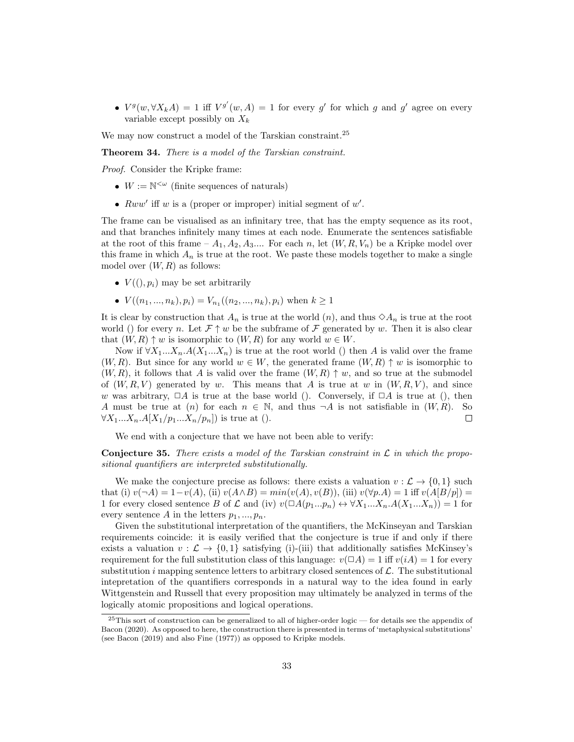•  $V^g(w, \forall X_k A) = 1$  iff  $V^{g'}(w, A) = 1$  for every g' for which g and g' agree on every variable except possibly on  $X_k$ 

We may now construct a model of the Tarskian constraint.<sup>25</sup>

Theorem 34. There is a model of the Tarskian constraint.

Proof. Consider the Kripke frame:

- $W := \mathbb{N}^{\leq \omega}$  (finite sequences of naturals)
- $Rww'$  iff w is a (proper or improper) initial segment of w'.

The frame can be visualised as an infinitary tree, that has the empty sequence as its root, and that branches infinitely many times at each node. Enumerate the sentences satisfiable at the root of this frame –  $A_1, A_2, A_3, \ldots$  For each n, let  $(W, R, V_n)$  be a Kripke model over this frame in which  $A_n$  is true at the root. We paste these models together to make a single model over  $(W, R)$  as follows:

- $V((), p_i)$  may be set arbitrarily
- $V((n_1, ..., n_k), p_i) = V_{n_1}((n_2, ..., n_k), p_i)$  when  $k \ge 1$

It is clear by construction that  $A_n$  is true at the world  $(n)$ , and thus  $\Diamond A_n$  is true at the root world () for every n. Let  $\mathcal{F} \uparrow w$  be the subframe of  $\mathcal{F}$  generated by w. Then it is also clear that  $(W, R) \uparrow w$  is isomorphic to  $(W, R)$  for any world  $w \in W$ .

Now if  $\forall X_1...X_n.A(X_1...X_n)$  is true at the root world () then A is valid over the frame  $(W, R)$ . But since for any world  $w \in W$ , the generated frame  $(W, R) \uparrow w$  is isomorphic to  $(W, R)$ , it follows that A is valid over the frame  $(W, R) \uparrow w$ , and so true at the submodel of  $(W, R, V)$  generated by w. This means that A is true at w in  $(W, R, V)$ , and since w was arbitrary,  $\Box A$  is true at the base world (). Conversely, if  $\Box A$  is true at (), then A must be true at (n) for each  $n \in \mathbb{N}$ , and thus  $\neg A$  is not satisfiable in  $(W, R)$ . So  $\forall X_1...X_n.A[X_1/p_1...X_n/p_n]$  is true at ().  $\Box$ 

We end with a conjecture that we have not been able to verify:

**Conjecture 35.** There exists a model of the Tarskian constraint in  $\mathcal{L}$  in which the propositional quantifiers are interpreted substitutionally.

We make the conjecture precise as follows: there exists a valuation  $v : \mathcal{L} \to \{0, 1\}$  such that (i)  $v(\neg A) = 1-v(A)$ , (ii)  $v(A \wedge B) = min(v(A), v(B))$ , (iii)  $v(\forall p.A) = 1$  iff  $v(A[B/p]) =$ 1 for every closed sentence B of L and (iv)  $v(\Box A(p_1...p_n) \leftrightarrow \forall X_1...X_n.A(X_1...X_n) ) = 1$  for every sentence A in the letters  $p_1, ..., p_n$ .

Given the substitutional interpretation of the quantifiers, the McKinseyan and Tarskian requirements coincide: it is easily verified that the conjecture is true if and only if there exists a valuation  $v : \mathcal{L} \to \{0,1\}$  satisfying (i)-(iii) that additionally satisfies McKinsey's requirement for the full substitution class of this language:  $v(\Box A) = 1$  iff  $v(iA) = 1$  for every substitution i mapping sentence letters to arbitrary closed sentences of  $\mathcal{L}$ . The substitutional intepretation of the quantifiers corresponds in a natural way to the idea found in early Wittgenstein and Russell that every proposition may ultimately be analyzed in terms of the logically atomic propositions and logical operations.

<sup>25</sup>This sort of construction can be generalized to all of higher-order logic — for details see the appendix of Bacon (2020). As opposed to here, the construction there is presented in terms of 'metaphysical substitutions' (see Bacon (2019) and also Fine (1977)) as opposed to Kripke models.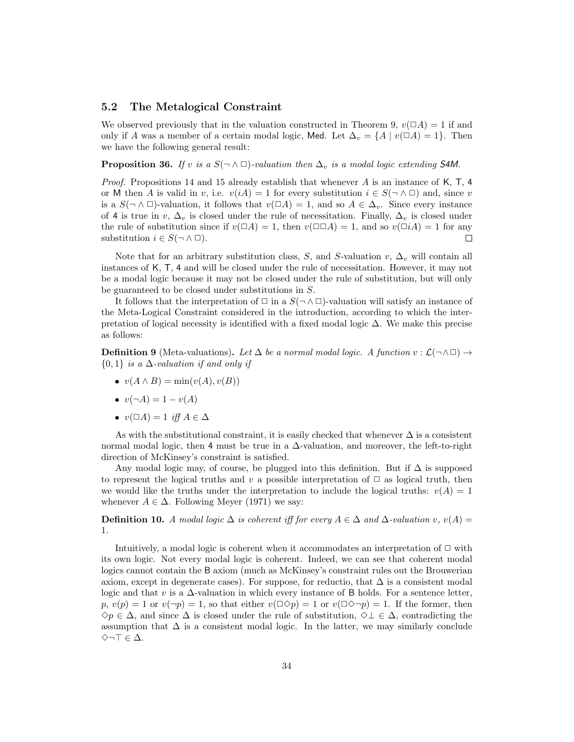## 5.2 The Metalogical Constraint

We observed previously that in the valuation constructed in Theorem 9,  $v(\Box A) = 1$  if and only if A was a member of a certain modal logic, Med. Let  $\Delta_v = \{A \mid v(\Box A) = 1\}$ . Then we have the following general result:

## **Proposition 36.** If v is a  $S(\neg \land \Box)$ -valuation then  $\Delta_v$  is a modal logic extending S4M.

*Proof.* Propositions 14 and 15 already establish that whenever A is an instance of K, T, 4 or M then A is valid in v, i.e.  $v(iA) = 1$  for every substitution  $i \in S(\neg \land \Box)$  and, since v is a  $S(\neg \land \Box)$ -valuation, it follows that  $v(\Box A) = 1$ , and so  $A \in \Delta_v$ . Since every instance of 4 is true in v,  $\Delta_v$  is closed under the rule of necessitation. Finally,  $\Delta_v$  is closed under the rule of substitution since if  $v(\Box A) = 1$ , then  $v(\Box \Box A) = 1$ , and so  $v(\Box iA) = 1$  for any substitution  $i \in S(\neg \land \Box)$ .  $\Box$ 

Note that for an arbitrary substitution class, S, and S-valuation v,  $\Delta_v$  will contain all instances of K, T, 4 and will be closed under the rule of necessitation. However, it may not be a modal logic because it may not be closed under the rule of substitution, but will only be guaranteed to be closed under substitutions in S.

It follows that the interpretation of  $\Box$  in a  $S(\neg \land \Box)$ -valuation will satisfy an instance of the Meta-Logical Constraint considered in the introduction, according to which the interpretation of logical necessity is identified with a fixed modal logic  $\Delta$ . We make this precise as follows:

**Definition 9** (Meta-valuations). Let  $\Delta$  be a normal modal logic. A function  $v : \mathcal{L}(\neg \land \Box) \rightarrow$  ${0,1}$  is a  $\Delta$ -valuation if and only if

- $v(A \wedge B) = \min(v(A), v(B))$
- $v(\neg A) = 1 v(A)$
- $v(\Box A) = 1$  iff  $A \in \Delta$

As with the substitutional constraint, it is easily checked that whenever  $\Delta$  is a consistent normal modal logic, then 4 must be true in a  $\Delta$ -valuation, and moreover, the left-to-right direction of McKinsey's constraint is satisfied.

Any modal logic may, of course, be plugged into this definition. But if  $\Delta$  is supposed to represent the logical truths and v a possible interpretation of  $\Box$  as logical truth, then we would like the truths under the interpretation to include the logical truths:  $v(A) = 1$ whenever  $A \in \Delta$ . Following Meyer (1971) we say:

**Definition 10.** A modal logic  $\Delta$  is coherent iff for every  $A \in \Delta$  and  $\Delta$ -valuation v,  $v(A)$ 1.

Intuitively, a modal logic is coherent when it accommodates an interpretation of  $\Box$  with its own logic. Not every modal logic is coherent. Indeed, we can see that coherent modal logics cannot contain the B axiom (much as McKinsey's constraint rules out the Brouwerian axiom, except in degenerate cases). For suppose, for reductio, that  $\Delta$  is a consistent modal logic and that v is a  $\Delta$ -valuation in which every instance of B holds. For a sentence letter,  $p, v(p) = 1$  or  $v(\neg p) = 1$ , so that either  $v(\neg \Diamond p) = 1$  or  $v(\neg \Diamond \neg p) = 1$ . If the former, then  $\diamondsuit p \in \Delta$ , and since  $\Delta$  is closed under the rule of substitution,  $\diamondsuit \bot \in \Delta$ , contradicting the assumption that  $\Delta$  is a consistent modal logic. In the latter, we may similarly conclude  $\diamond$ ¬⊤ ∈  $\Delta$ .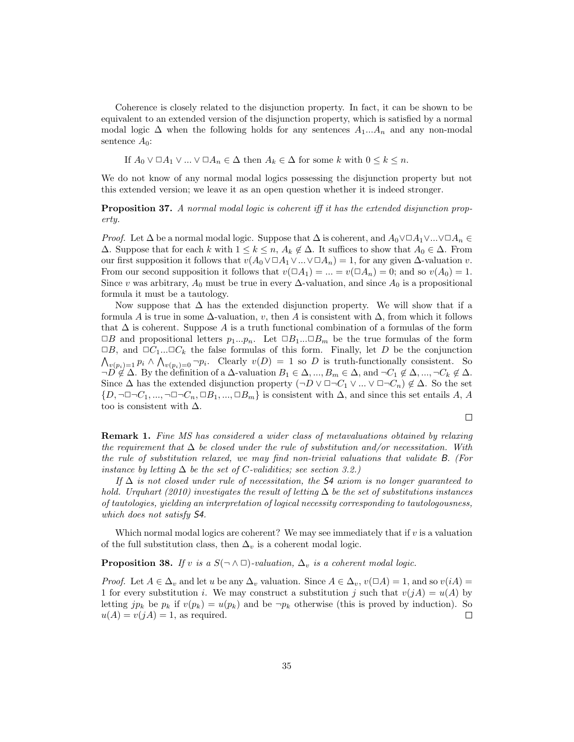Coherence is closely related to the disjunction property. In fact, it can be shown to be equivalent to an extended version of the disjunction property, which is satisfied by a normal modal logic  $\Delta$  when the following holds for any sentences  $A_1...A_n$  and any non-modal sentence  $A_0$ :

If  $A_0 \vee \Box A_1 \vee \ldots \vee \Box A_n \in \Delta$  then  $A_k \in \Delta$  for some k with  $0 \leq k \leq n$ .

We do not know of any normal modal logics possessing the disjunction property but not this extended version; we leave it as an open question whether it is indeed stronger.

**Proposition 37.** A normal modal logic is coherent iff it has the extended disjunction property.

*Proof.* Let  $\Delta$  be a normal modal logic. Suppose that  $\Delta$  is coherent, and  $A_0 \vee \Box A_1 \vee ... \vee \Box A_n \in$  $\Delta$ . Suppose that for each k with  $1 \leq k \leq n$ ,  $A_k \notin \Delta$ . It suffices to show that  $A_0 \in \Delta$ . From our first supposition it follows that  $v(A_0 \vee \Box A_1 \vee ... \vee \Box A_n) = 1$ , for any given  $\Delta$ -valuation v. From our second supposition it follows that  $v(\Box A_1) = ... = v(\Box A_n) = 0$ ; and so  $v(A_0) = 1$ . Since v was arbitrary,  $A_0$  must be true in every  $\Delta$ -valuation, and since  $A_0$  is a propositional formula it must be a tautology.

Now suppose that  $\Delta$  has the extended disjunction property. We will show that if a formula A is true in some  $\Delta$ -valuation, v, then A is consistent with  $\Delta$ , from which it follows that  $\Delta$  is coherent. Suppose A is a truth functional combination of a formulas of the form  $\Box B$  and propositional letters  $p_1...p_n$ . Let  $\Box B_1...\Box B_m$  be the true formulas of the form  $\Box B$ , and  $\Box C_1...\Box C_k$  the false formulas of this form. Finally, let D be the conjunction  $\bigwedge_{v(p_i)=1} p_i \wedge \bigwedge_{v(p_i)=0} \neg p_i$ . Clearly  $v(D) = 1$  so D is truth-functionally consistent. So  $\neg D \notin \Delta$ . By the definition of a  $\Delta$ -valuation  $B_1 \in \Delta, ..., B_m \in \Delta$ , and  $\neg C_1 \notin \Delta, ..., \neg C_k \notin \Delta$ . Since  $\Delta$  has the extended disjunction property  $(\neg D \lor \Box \neg C_1 \lor ... \lor \Box \neg C_n) \notin \Delta$ . So the set  $\{D, \neg \Box \neg C_1, ..., \neg \Box \neg C_n, \Box B_1, ..., \Box B_m\}$  is consistent with  $\Delta$ , and since this set entails A, A too is consistent with  $\Delta$ .

 $\Box$ 

**Remark 1.** Fine MS has considered a wider class of metavaluations obtained by relaxing the requirement that  $\Delta$  be closed under the rule of substitution and/or necessitation. With the rule of substitution relaxed, we may find non-trivial valuations that validate B. (For instance by letting  $\Delta$  be the set of C-validities; see section 3.2.)

If  $\Delta$  is not closed under rule of necessitation, the S4 axiom is no longer quaranteed to hold. Urquhart (2010) investigates the result of letting  $\Delta$  be the set of substitutions instances of tautologies, yielding an interpretation of logical necessity corresponding to tautologousness, which does not satisfy S4.

Which normal modal logics are coherent? We may see immediately that if  $v$  is a valuation of the full substitution class, then  $\Delta_v$  is a coherent modal logic.

#### **Proposition 38.** If v is a  $S(\neg \land \Box)$ -valuation,  $\Delta_v$  is a coherent modal logic.

*Proof.* Let  $A \in \Delta_v$  and let u be any  $\Delta_v$  valuation. Since  $A \in \Delta_v$ ,  $v(\Box A) = 1$ , and so  $v(iA) =$ 1 for every substitution i. We may construct a substitution j such that  $v(jA) = u(A)$  by letting jp<sub>k</sub> be  $p_k$  if  $v(p_k) = u(p_k)$  and be  $\neg p_k$  otherwise (this is proved by induction). So  $u(A) = v(jA) = 1$ , as required.  $\Box$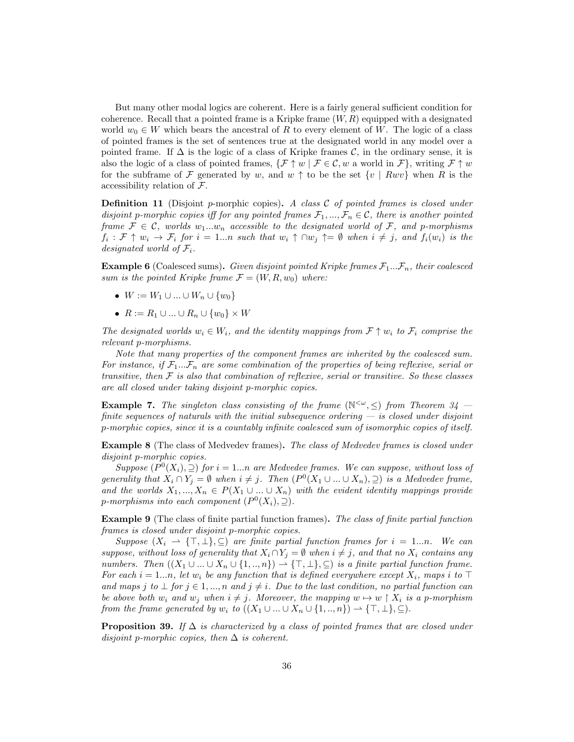But many other modal logics are coherent. Here is a fairly general sufficient condition for coherence. Recall that a pointed frame is a Kripke frame  $(W, R)$  equipped with a designated world  $w_0 \in W$  which bears the ancestral of R to every element of W. The logic of a class of pointed frames is the set of sentences true at the designated world in any model over a pointed frame. If  $\Delta$  is the logic of a class of Kripke frames  $\mathcal{C}$ , in the ordinary sense, it is also the logic of a class of pointed frames,  $\{\mathcal{F} \uparrow w \mid \mathcal{F} \in \mathcal{C}, w$  a world in  $\mathcal{F}\}$ , writing  $\mathcal{F} \uparrow w$ for the subframe of F generated by w, and  $w \uparrow$  to be the set  $\{v \mid Rwv\}$  when R is the accessibility relation of  $\mathcal{F}$ .

**Definition 11** (Disjoint p-morphic copies). A class  $C$  of pointed frames is closed under disjoint p-morphic copies iff for any pointed frames  $\mathcal{F}_1, ..., \mathcal{F}_n \in \mathcal{C}$ , there is another pointed frame  $\mathcal{F} \in \mathcal{C}$ , worlds  $w_1...w_n$  accessible to the designated world of  $\mathcal{F}$ , and p-morphisms  $f_i: \mathcal{F} \uparrow w_i \to \mathcal{F}_i$  for  $i = 1...n$  such that  $w_i \uparrow \cap w_j \uparrow = \emptyset$  when  $i \neq j$ , and  $f_i(w_i)$  is the designated world of  $\mathcal{F}_i$ .

**Example 6** (Coalesced sums). Given disjoint pointed Kripke frames  $\mathcal{F}_1...\mathcal{F}_n$ , their coalesced sum is the pointed Kripke frame  $\mathcal{F} = (W, R, w_0)$  where:

- $W := W_1 \cup ... \cup W_n \cup \{w_0\}$
- $R := R_1 \cup ... \cup R_n \cup \{w_0\} \times W$

The designated worlds  $w_i \in W_i$ , and the identity mappings from  $\mathcal{F} \uparrow w_i$  to  $\mathcal{F}_i$  comprise the relevant p-morphisms.

Note that many properties of the component frames are inherited by the coalesced sum. For instance, if  $\mathcal{F}_1...\mathcal{F}_n$  are some combination of the properties of being reflexive, serial or transitive, then  $\mathcal F$  is also that combination of reflexive, serial or transitive. So these classes are all closed under taking disjoint p-morphic copies.

**Example 7.** The singleton class consisting of the frame  $(\mathbb{N}^{\lt}\omega, \leq)$  from Theorem 34 finite sequences of naturals with the initial subsequence ordering  $-$  is closed under disjoint p-morphic copies, since it is a countably infinite coalesced sum of isomorphic copies of itself.

Example 8 (The class of Medvedev frames). The class of Medvedev frames is closed under disjoint p-morphic copies.

Suppose  $(P^0(X_i), \supseteq)$  for  $i = 1...n$  are Medvedev frames. We can suppose, without loss of generality that  $X_i \cap Y_j = \emptyset$  when  $i \neq j$ . Then  $(P^0(X_1 \cup ... \cup X_n), \supseteq)$  is a Medvedev frame, and the worlds  $X_1, ..., X_n \in P(X_1 \cup ... \cup X_n)$  with the evident identity mappings provide p-morphisms into each component  $(P^0(X_i), \supseteq)$ .

Example 9 (The class of finite partial function frames). The class of finite partial function frames is closed under disjoint p-morphic copies.

Suppose  $(X_i \rightharpoonup \{\top, \bot\}, \subseteq)$  are finite partial function frames for  $i = 1...n$ . We can suppose, without loss of generality that  $X_i \cap Y_j = \emptyset$  when  $i \neq j$ , and that no  $X_i$  contains any numbers. Then  $((X_1 \cup ... \cup X_n \cup \{1, ..., n\}) \to {\top, \bot}, \subseteq)$  is a finite partial function frame. For each  $i = 1...n$ , let  $w_i$  be any function that is defined everywhere except  $X_i$ , maps i to ⊤ and maps j to  $\bot$  for  $j \in 1, ..., n$  and  $j \neq i$ . Due to the last condition, no partial function can be above both  $w_i$  and  $w_j$  when  $i \neq j$ . Moreover, the mapping  $w \mapsto w \upharpoonright X_i$  is a p-morphism from the frame generated by  $w_i$  to  $((X_1 \cup ... \cup X_n \cup \{1, ..., n\}) \rightarrow \{\top, \bot\}, \subseteq)$ .

**Proposition 39.** If  $\Delta$  is characterized by a class of pointed frames that are closed under disjoint p-morphic copies, then  $\Delta$  is coherent.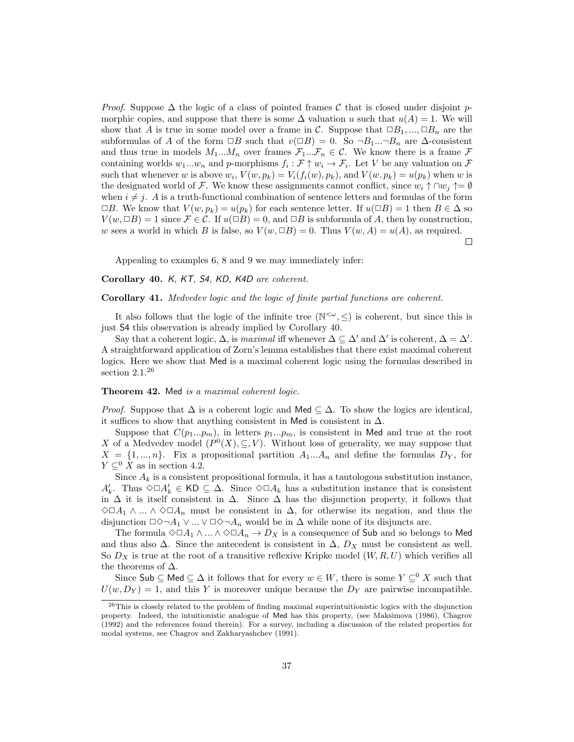*Proof.* Suppose  $\Delta$  the logic of a class of pointed frames C that is closed under disjoint pmorphic copies, and suppose that there is some  $\Delta$  valuation u such that  $u(A) = 1$ . We will show that A is true in some model over a frame in C. Suppose that  $\Box B_1, ..., \Box B_n$  are the subformulas of A of the form  $\Box B$  such that  $v(\Box B) = 0$ . So  $\neg B_1...\neg B_n$  are  $\Delta$ -consistent and thus true in models  $M_1...M_n$  over frames  $\mathcal{F}_1...\mathcal{F}_n \in \mathcal{C}$ . We know there is a frame  $\mathcal F$ containing worlds  $w_1...w_n$  and p-morphisms  $f_i : \mathcal{F} \uparrow w_i \to \mathcal{F}_i$ . Let V be any valuation on  $\mathcal{F}$ such that whenever w is above  $w_i$ ,  $V(w, p_k) = V_i(f_i(w), p_k)$ , and  $V(w, p_k) = u(p_k)$  when w is the designated world of F. We know these assignments cannot conflict, since  $w_i \uparrow \cap w_j \uparrow = \emptyset$ when  $i \neq j$ . A is a truth-functional combination of sentence letters and formulas of the form  $\Box B$ . We know that  $V(w, p_k) = u(p_k)$  for each sentence letter. If  $u(\Box B) = 1$  then  $B \in \Delta$  so  $V(w, \Box B) = 1$  since  $\mathcal{F} \in \mathcal{C}$ . If  $u(\Box B) = 0$ , and  $\Box B$  is subformula of A, then by construction, w sees a world in which B is false, so  $V(w, \Box B) = 0$ . Thus  $V(w, A) = u(A)$ , as required.

 $\Box$ 

Appealing to examples 6, 8 and 9 we may immediately infer:

Corollary 40. K, KT, S4, KD, K4D are coherent.

Corollary 41. Medvedev logic and the logic of finite partial functions are coherent.

It also follows that the logic of the infinite tree  $(\mathbb{N}^{\leq \omega}, \leq)$  is coherent, but since this is just S4 this observation is already implied by Corollary 40.

Say that a coherent logic,  $\Delta$ , is maximal iff whenever  $\Delta \subseteq \Delta'$  and  $\Delta'$  is coherent,  $\Delta = \Delta'$ . A straightforward application of Zorn's lemma establishes that there exist maximal coherent logics. Here we show that Med is a maximal coherent logic using the formulas described in section 2.1.<sup>26</sup>

#### Theorem 42. Med is a maximal coherent logic.

*Proof.* Suppose that  $\Delta$  is a coherent logic and Med  $\subseteq \Delta$ . To show the logics are identical, it suffices to show that anything consistent in Med is consistent in  $\Delta$ .

Suppose that  $C(p_1...p_m)$ , in letters  $p_1...p_m$ , is consistent in Med and true at the root X of a Medvedev model  $(P^0(X), \subseteq, V)$ . Without loss of generality, we may suppose that  $X = \{1, ..., n\}$ . Fix a propositional partition  $A_1...A_n$  and define the formulas  $D_Y$ , for  $Y \subset^0 X$  as in section 4.2.

Since  $A_k$  is a consistent propositional formula, it has a tautologous substitution instance,  $A'_k$ . Thus  $\Diamond \Box A'_k \in \mathsf{KD} \subseteq \Delta$ . Since  $\Diamond \Box A_k$  has a substitution instance that is consistent in  $\Delta$  it is itself consistent in  $\Delta$ . Since  $\Delta$  has the disjunction property, it follows that  $\diamond$ □A<sub>1</sub> ∧ ... ∧  $\diamond$ □A<sub>n</sub> must be consistent in  $\Delta$ , for otherwise its negation, and thus the disjunction  $\Box \Diamond \neg A_1 \vee ... \vee \Box \Diamond \neg A_n$  would be in  $\Delta$  while none of its disjuncts are.

The formula  $\Diamond \Box A_1 \wedge ... \wedge \Diamond \Box A_n \rightarrow D_X$  is a consequence of Sub and so belongs to Med and thus also  $\Delta$ . Since the antecedent is consistent in  $\Delta$ ,  $D_X$  must be consistent as well. So  $D_X$  is true at the root of a transitive reflexive Kripke model  $(W, R, U)$  which verifies all the theorems of  $\Delta$ .

Since Sub  $\subseteq$  Med  $\subseteq \Delta$  it follows that for every  $w \in W$ , there is some  $Y \subseteq^0 X$  such that  $U(w, D_Y) = 1$ , and this Y is moreover unique because the  $D_Y$  are pairwise incompatible.

<sup>&</sup>lt;sup>26</sup>This is closely related to the problem of finding maximal superintuitionistic logics with the disjunction property. Indeed, the intuitionistic analogue of Med has this property, (see Maksimova (1986), Chagrov (1992) and the references found therein). For a survey, including a discussion of the related properties for modal systems, see Chagrov and Zakharyashchev (1991).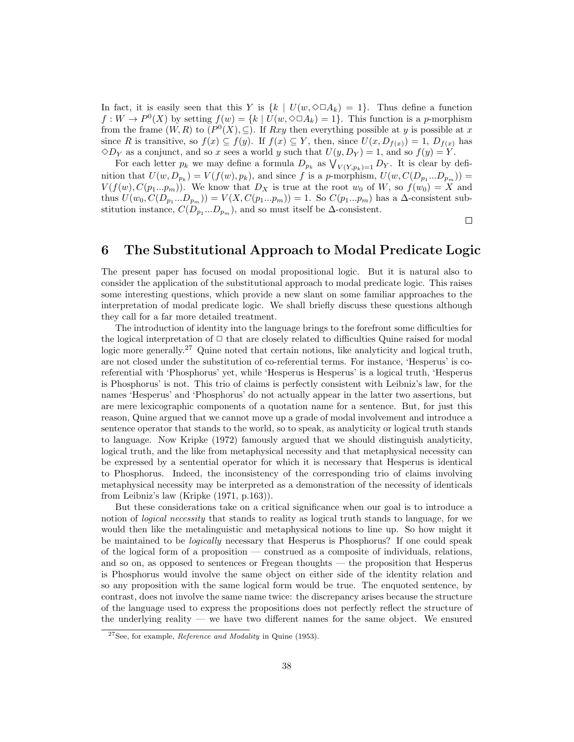In fact, it is easily seen that this Y is  $\{k \mid U(w, \Diamond \Box A_k) = 1\}$ . Thus define a function  $f: W \to P^0(X)$  by setting  $f(w) = \{k \mid U(w, \Diamond \Box A_k) = 1\}$ . This function is a p-morphism from the frame  $(W, R)$  to  $(P<sup>0</sup>(X), \subseteq)$ . If  $Rxy$  then everything possible at y is possible at x since R is transitive, so  $f(x) \subseteq f(y)$ . If  $f(x) \subseteq Y$ , then, since  $U(x, D_{f(x)}) = 1$ ,  $D_{f(x)}$  has  $\Diamond D_Y$  as a conjunct, and so x sees a world y such that  $U(y, D_Y) = 1$ , and so  $f(y) = Y$ .

For each letter  $p_k$  we may define a formula  $D_{p_k}$  as  $\bigvee_{V(Y,p_k)=1} D_Y$ . It is clear by definition that  $U(w, D_{p_k}) = V(f(w), p_k)$ , and since f is a p-morphism,  $U(w, C(D_{p_1}...D_{p_m})) =$  $V(f(w), C(p_1...p_m))$ . We know that  $D_X$  is true at the root  $w_0$  of W, so  $f(w_0) = X$  and thus  $U(w_0, C(D_{p_1}...D_{p_m})) = V(X, C(p_1...p_m)) = 1$ . So  $C(p_1...p_m)$  has a  $\Delta$ -consistent substitution instance,  $C(D_{p_1}...D_{p_m})$ , and so must itself be  $\Delta$ -consistent.

 $\Box$ 

## 6 The Substitutional Approach to Modal Predicate Logic

The present paper has focused on modal propositional logic. But it is natural also to consider the application of the substitutional approach to modal predicate logic. This raises some interesting questions, which provide a new slant on some familiar approaches to the interpretation of modal predicate logic. We shall briefly discuss these questions although they call for a far more detailed treatment.

The introduction of identity into the language brings to the forefront some difficulties for the logical interpretation of  $\Box$  that are closely related to difficulties Quine raised for modal logic more generally.<sup>27</sup> Quine noted that certain notions, like analyticity and logical truth, are not closed under the substitution of co-referential terms. For instance, 'Hesperus' is coreferential with 'Phosphorus' yet, while 'Hesperus is Hesperus' is a logical truth, 'Hesperus is Phosphorus' is not. This trio of claims is perfectly consistent with Leibniz's law, for the names 'Hesperus' and 'Phosphorus' do not actually appear in the latter two assertions, but are mere lexicographic components of a quotation name for a sentence. But, for just this reason, Quine argued that we cannot move up a grade of modal involvement and introduce a sentence operator that stands to the world, so to speak, as analyticity or logical truth stands to language. Now Kripke (1972) famously argued that we should distinguish analyticity, logical truth, and the like from metaphysical necessity and that metaphysical necessity can be expressed by a sentential operator for which it is necessary that Hesperus is identical to Phosphorus. Indeed, the inconsistency of the corresponding trio of claims involving metaphysical necessity may be interpreted as a demonstration of the necessity of identicals from Leibniz's law (Kripke (1971, p.163)).

But these considerations take on a critical significance when our goal is to introduce a notion of *logical necessity* that stands to reality as logical truth stands to language, for we would then like the metalinguistic and metaphysical notions to line up. So how might it be maintained to be *logically* necessary that Hesperus is Phosphorus? If one could speak of the logical form of a proposition — construed as a composite of individuals, relations, and so on, as opposed to sentences or Fregean thoughts — the proposition that Hesperus is Phosphorus would involve the same object on either side of the identity relation and so any proposition with the same logical form would be true. The enquoted sentence, by contrast, does not involve the same name twice: the discrepancy arises because the structure of the language used to express the propositions does not perfectly reflect the structure of the underlying reality — we have two different names for the same object. We ensured

<sup>&</sup>lt;sup>27</sup>See, for example, *Reference and Modality* in Quine (1953).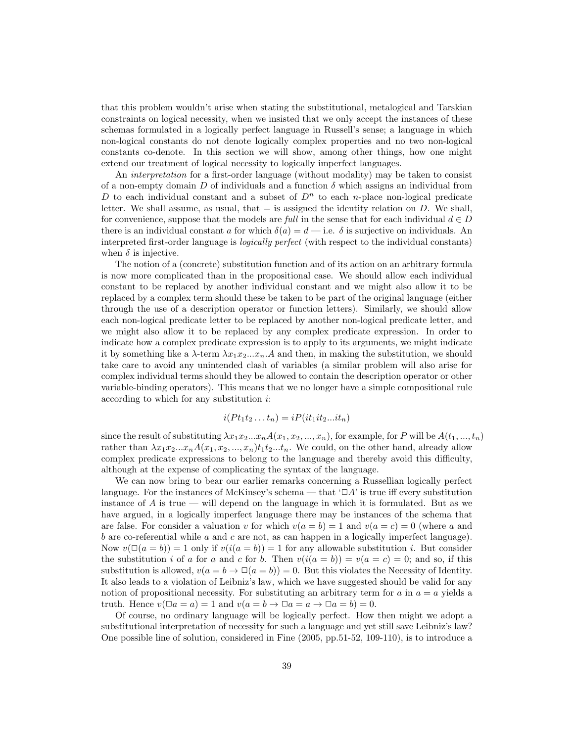that this problem wouldn't arise when stating the substitutional, metalogical and Tarskian constraints on logical necessity, when we insisted that we only accept the instances of these schemas formulated in a logically perfect language in Russell's sense; a language in which non-logical constants do not denote logically complex properties and no two non-logical constants co-denote. In this section we will show, among other things, how one might extend our treatment of logical necessity to logically imperfect languages.

An interpretation for a first-order language (without modality) may be taken to consist of a non-empty domain D of individuals and a function  $\delta$  which assigns an individual from D to each individual constant and a subset of  $D<sup>n</sup>$  to each *n*-place non-logical predicate letter. We shall assume, as usual, that  $=$  is assigned the identity relation on D. We shall, for convenience, suppose that the models are full in the sense that for each individual  $d \in D$ there is an individual constant a for which  $\delta(a) = d$  — i.e.  $\delta$  is surjective on individuals. An interpreted first-order language is logically perfect (with respect to the individual constants) when  $\delta$  is injective.

The notion of a (concrete) substitution function and of its action on an arbitrary formula is now more complicated than in the propositional case. We should allow each individual constant to be replaced by another individual constant and we might also allow it to be replaced by a complex term should these be taken to be part of the original language (either through the use of a description operator or function letters). Similarly, we should allow each non-logical predicate letter to be replaced by another non-logical predicate letter, and we might also allow it to be replaced by any complex predicate expression. In order to indicate how a complex predicate expression is to apply to its arguments, we might indicate it by something like a  $\lambda$ -term  $\lambda x_1 x_2 \ldots x_n$ .A and then, in making the substitution, we should take care to avoid any unintended clash of variables (a similar problem will also arise for complex individual terms should they be allowed to contain the description operator or other variable-binding operators). This means that we no longer have a simple compositional rule according to which for any substitution i:

$$
i(Pt_1t_2...t_n)=iP(it_1it_2...it_n)
$$

since the result of substituting  $\lambda x_1x_2...x_nA(x_1, x_2, ..., x_n)$ , for example, for P will be  $A(t_1, ..., t_n)$ rather than  $\lambda x_1x_2...x_nA(x_1, x_2,...,x_n)t_1t_2...t_n$ . We could, on the other hand, already allow complex predicate expressions to belong to the language and thereby avoid this difficulty, although at the expense of complicating the syntax of the language.

We can now bring to bear our earlier remarks concerning a Russellian logically perfect language. For the instances of McKinsey's schema — that  $\Box A'$  is true iff every substitution instance of  $A$  is true — will depend on the language in which it is formulated. But as we have argued, in a logically imperfect language there may be instances of the schema that are false. For consider a valuation v for which  $v(a = b) = 1$  and  $v(a = c) = 0$  (where a and b are co-referential while  $a$  and  $c$  are not, as can happen in a logically imperfect language). Now  $v(\Box(a = b)) = 1$  only if  $v(i(a = b)) = 1$  for any allowable substitution i. But consider the substitution i of a for a and c for b. Then  $v(i(a = b)) = v(a = c) = 0$ ; and so, if this substitution is allowed,  $v(a = b \rightarrow \Box(a = b)) = 0$ . But this violates the Necessity of Identity. It also leads to a violation of Leibniz's law, which we have suggested should be valid for any notion of propositional necessity. For substituting an arbitrary term for a in  $a = a$  yields a truth. Hence  $v(\Box a = a) = 1$  and  $v(a = b \rightarrow \Box a = a \rightarrow \Box a = b) = 0$ .

Of course, no ordinary language will be logically perfect. How then might we adopt a substitutional interpretation of necessity for such a language and yet still save Leibniz's law? One possible line of solution, considered in Fine (2005, pp.51-52, 109-110), is to introduce a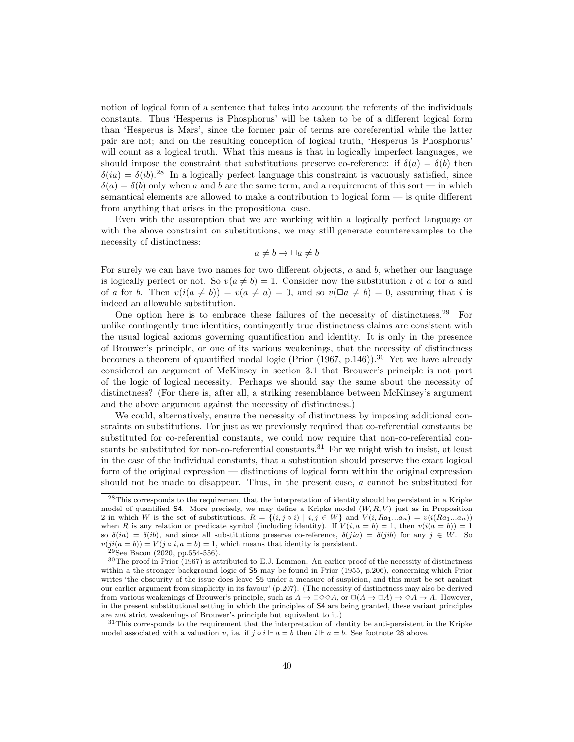notion of logical form of a sentence that takes into account the referents of the individuals constants. Thus 'Hesperus is Phosphorus' will be taken to be of a different logical form than 'Hesperus is Mars', since the former pair of terms are coreferential while the latter pair are not; and on the resulting conception of logical truth, 'Hesperus is Phosphorus' will count as a logical truth. What this means is that in logically imperfect languages, we should impose the constraint that substitutions preserve co-reference: if  $\delta(a) = \delta(b)$  then  $\delta(ia) = \delta(ib).^{28}$  In a logically perfect language this constraint is vacuously satisfied, since  $\delta(a) = \delta(b)$  only when a and b are the same term; and a requirement of this sort — in which semantical elements are allowed to make a contribution to logical form — is quite different from anything that arises in the propositional case.

Even with the assumption that we are working within a logically perfect language or with the above constraint on substitutions, we may still generate counterexamples to the necessity of distinctness:

$$
a \neq b \rightarrow \Box a \neq b
$$

For surely we can have two names for two different objects, a and b, whether our language is logically perfect or not. So  $v(a \neq b) = 1$ . Consider now the substitution i of a for a and of a for b. Then  $v(i(a \neq b)) = v(a \neq a) = 0$ , and so  $v(\Box a \neq b) = 0$ , assuming that i is indeed an allowable substitution.

One option here is to embrace these failures of the necessity of distinctness.<sup>29</sup> For unlike contingently true identities, contingently true distinctness claims are consistent with the usual logical axioms governing quantification and identity. It is only in the presence of Brouwer's principle, or one of its various weakenings, that the necessity of distinctness becomes a theorem of quantified modal logic (Prior  $(1967, p.146)$ ).<sup>30</sup> Yet we have already considered an argument of McKinsey in section 3.1 that Brouwer's principle is not part of the logic of logical necessity. Perhaps we should say the same about the necessity of distinctness? (For there is, after all, a striking resemblance between McKinsey's argument and the above argument against the necessity of distinctness.)

We could, alternatively, ensure the necessity of distinctness by imposing additional constraints on substitutions. For just as we previously required that co-referential constants be substituted for co-referential constants, we could now require that non-co-referential constants be substituted for non-co-referential constants.<sup>31</sup> For we might wish to insist, at least in the case of the individual constants, that a substitution should preserve the exact logical form of the original expression — distinctions of logical form within the original expression should not be made to disappear. Thus, in the present case, a cannot be substituted for

<sup>28</sup>This corresponds to the requirement that the interpretation of identity should be persistent in a Kripke model of quantified S4. More precisely, we may define a Kripke model  $(W, R, V)$  just as in Proposition 2 in which W is the set of substitutions,  $R = \{(i, j \circ i) | i, j \in W\}$  and  $V(i, Ra_1...a_n) = v(i(Ra_1...a_n))$ when R is any relation or predicate symbol (including identity). If  $V(i, a = b) = 1$ , then  $v(i(a = b)) = 1$ so  $\delta(ia) = \delta(ib)$ , and since all substitutions preserve co-reference,  $\delta(jia) = \delta(jib)$  for any  $j \in W$ . So  $v(ji(a = b)) = V(j \circ i, a = b) = 1$ , which means that identity is persistent.

 $29$ See Bacon (2020, pp.554-556).

<sup>30</sup>The proof in Prior (1967) is attributed to E.J. Lemmon. An earlier proof of the necessity of distinctness within a the stronger background logic of S5 may be found in Prior (1955, p.206), concerning which Prior writes 'the obscurity of the issue does leave S5 under a measure of suspicion, and this must be set against our earlier argument from simplicity in its favour' (p.207). (The necessity of distinctness may also be derived from various weakenings of Brouwer's principle, such as  $A \to \Box \Diamond \Diamond A$ , or  $\Box(A \to \Box A) \to \Diamond A \to A$ . However, in the present substitutional setting in which the principles of S4 are being granted, these variant principles are not strict weakenings of Brouwer's principle but equivalent to it.)

<sup>&</sup>lt;sup>31</sup>This corresponds to the requirement that the interpretation of identity be anti-persistent in the Kripke model associated with a valuation v, i.e. if  $j \circ i \Vdash a = b$  then  $i \Vdash a = b$ . See footnote 28 above.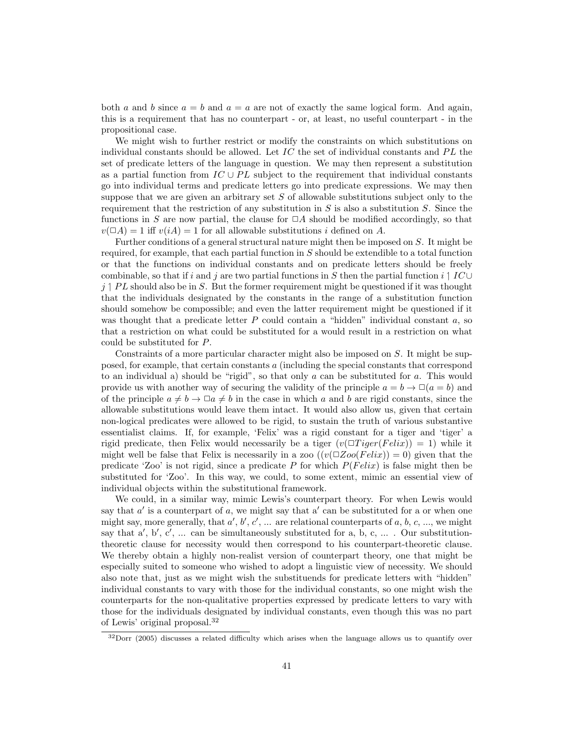both a and b since  $a = b$  and  $a = a$  are not of exactly the same logical form. And again, this is a requirement that has no counterpart - or, at least, no useful counterpart - in the propositional case.

We might wish to further restrict or modify the constraints on which substitutions on individual constants should be allowed. Let  $IC$  the set of individual constants and  $PL$  the set of predicate letters of the language in question. We may then represent a substitution as a partial function from  $IC \cup PL$  subject to the requirement that individual constants go into individual terms and predicate letters go into predicate expressions. We may then suppose that we are given an arbitrary set  $S$  of allowable substitutions subject only to the requirement that the restriction of any substitution in  $S$  is also a substitution  $S$ . Since the functions in S are now partial, the clause for  $\Box A$  should be modified accordingly, so that  $v(\Box A) = 1$  iff  $v(iA) = 1$  for all allowable substitutions i defined on A.

Further conditions of a general structural nature might then be imposed on S. It might be required, for example, that each partial function in S should be extendible to a total function or that the functions on individual constants and on predicate letters should be freely combinable, so that if i and j are two partial functions in S then the partial function i  $\vert IC\cup$  $j \uparrow PL$  should also be in S. But the former requirement might be questioned if it was thought that the individuals designated by the constants in the range of a substitution function should somehow be compossible; and even the latter requirement might be questioned if it was thought that a predicate letter  $P$  could contain a "hidden" individual constant  $a$ , so that a restriction on what could be substituted for a would result in a restriction on what could be substituted for P.

Constraints of a more particular character might also be imposed on S. It might be supposed, for example, that certain constants a (including the special constants that correspond to an individual a) should be "rigid", so that only  $a$  can be substituted for  $a$ . This would provide us with another way of securing the validity of the principle  $a = b \rightarrow \Box (a = b)$  and of the principle  $a \neq b \rightarrow \Box a \neq b$  in the case in which a and b are rigid constants, since the allowable substitutions would leave them intact. It would also allow us, given that certain non-logical predicates were allowed to be rigid, to sustain the truth of various substantive essentialist claims. If, for example, 'Felix' was a rigid constant for a tiger and 'tiger' a rigid predicate, then Felix would necessarily be a tiger  $(v(\Box Tiger(Felix)) = 1)$  while it might well be false that Felix is necessarily in a zoo  $((v(\Box Zoo(Felix)) = 0)$  given that the predicate 'Zoo' is not rigid, since a predicate P for which  $P(Felix)$  is false might then be substituted for 'Zoo'. In this way, we could, to some extent, mimic an essential view of individual objects within the substitutional framework.

We could, in a similar way, mimic Lewis's counterpart theory. For when Lewis would say that  $a'$  is a counterpart of  $a$ , we might say that  $a'$  can be substituted for a or when one might say, more generally, that  $a', b', c', \ldots$  are relational counterparts of  $a, b, c, \ldots$ , we might say that  $a'$ ,  $b'$ ,  $c'$ , ... can be simultaneously substituted for a, b, c, ... . Our substitutiontheoretic clause for necessity would then correspond to his counterpart-theoretic clause. We thereby obtain a highly non-realist version of counterpart theory, one that might be especially suited to someone who wished to adopt a linguistic view of necessity. We should also note that, just as we might wish the substituends for predicate letters with "hidden" individual constants to vary with those for the individual constants, so one might wish the counterparts for the non-qualitative properties expressed by predicate letters to vary with those for the individuals designated by individual constants, even though this was no part of Lewis' original proposal.<sup>32</sup>

 $32\text{Dorr}$  (2005) discusses a related difficulty which arises when the language allows us to quantify over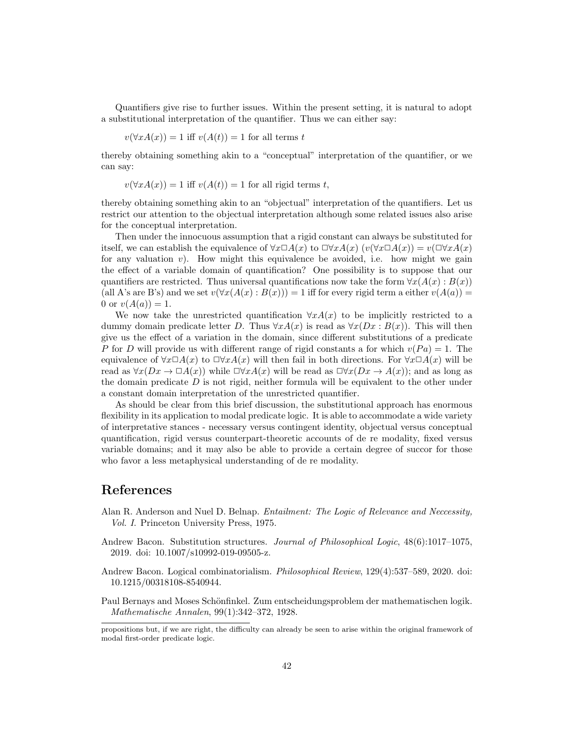Quantifiers give rise to further issues. Within the present setting, it is natural to adopt a substitutional interpretation of the quantifier. Thus we can either say:

$$
v(\forall x A(x)) = 1
$$
 iff  $v(A(t)) = 1$  for all terms t

thereby obtaining something akin to a "conceptual" interpretation of the quantifier, or we can say:

$$
v(\forall x A(x)) = 1
$$
 iff  $v(A(t)) = 1$  for all rigid terms t,

thereby obtaining something akin to an "objectual" interpretation of the quantifiers. Let us restrict our attention to the objectual interpretation although some related issues also arise for the conceptual interpretation.

Then under the innocuous assumption that a rigid constant can always be substituted for itself, we can establish the equivalence of  $\forall x \Box A(x)$  to  $\Box \forall x A(x)$  ( $v(\forall x \Box A(x)) = v(\Box \forall x A(x))$ for any valuation v). How might this equivalence be avoided, i.e. how might we gain the effect of a variable domain of quantification? One possibility is to suppose that our quantifiers are restricted. Thus universal quantifications now take the form  $\forall x(A(x):B(x))$ (all A's are B's) and we set  $v(\forall x(A(x):B(x))) = 1$  iff for every rigid term a either  $v(A(a)) =$ 0 or  $v(A(a)) = 1$ .

We now take the unrestricted quantification  $\forall x A(x)$  to be implicitly restricted to a dummy domain predicate letter D. Thus  $\forall x A(x)$  is read as  $\forall x (Dx : B(x))$ . This will then give us the effect of a variation in the domain, since different substitutions of a predicate P for D will provide us with different range of rigid constants a for which  $v(Pa) = 1$ . The equivalence of  $\forall x \Box A(x)$  to  $\Box \forall x A(x)$  will then fail in both directions. For  $\forall x \Box A(x)$  will be read as  $\forall x(Dx \to \Box A(x))$  while  $\Box \forall xA(x)$  will be read as  $\Box \forall x(Dx \to A(x))$ ; and as long as the domain predicate  $D$  is not rigid, neither formula will be equivalent to the other under a constant domain interpretation of the unrestricted quantifier.

As should be clear from this brief discussion, the substitutional approach has enormous flexibility in its application to modal predicate logic. It is able to accommodate a wide variety of interpretative stances - necessary versus contingent identity, objectual versus conceptual quantification, rigid versus counterpart-theoretic accounts of de re modality, fixed versus variable domains; and it may also be able to provide a certain degree of succor for those who favor a less metaphysical understanding of de re modality.

## References

- Alan R. Anderson and Nuel D. Belnap. Entailment: The Logic of Relevance and Neccessity, Vol. I. Princeton University Press, 1975.
- Andrew Bacon. Substitution structures. Journal of Philosophical Logic,  $48(6):1017-1075$ , 2019. doi: 10.1007/s10992-019-09505-z.
- Andrew Bacon. Logical combinatorialism. Philosophical Review, 129(4):537–589, 2020. doi: 10.1215/00318108-8540944.
- Paul Bernays and Moses Schönfinkel. Zum entscheidungsproblem der mathematischen logik. Mathematische Annalen, 99(1):342–372, 1928.

propositions but, if we are right, the difficulty can already be seen to arise within the original framework of modal first-order predicate logic.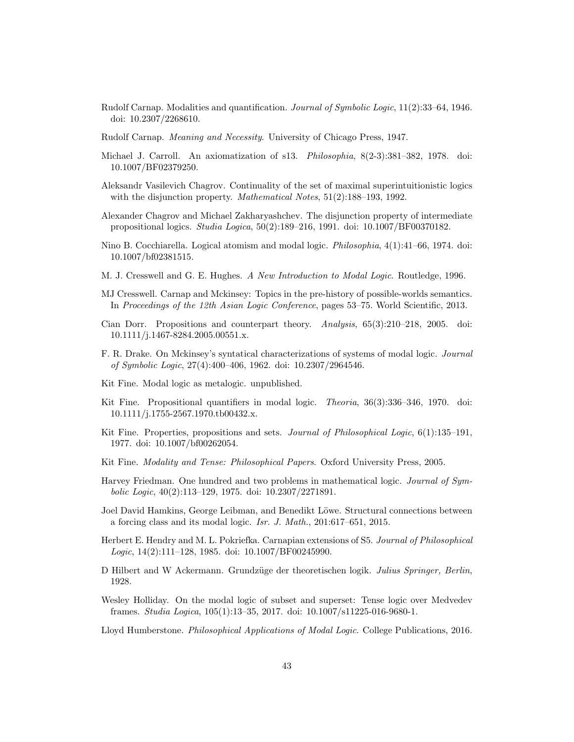- Rudolf Carnap. Modalities and quantification. Journal of Symbolic Logic, 11(2):33–64, 1946. doi: 10.2307/2268610.
- Rudolf Carnap. Meaning and Necessity. University of Chicago Press, 1947.
- Michael J. Carroll. An axiomatization of s13. Philosophia, 8(2-3):381–382, 1978. doi: 10.1007/BF02379250.
- Aleksandr Vasilevich Chagrov. Continuality of the set of maximal superintuitionistic logics with the disjunction property. *Mathematical Notes*,  $51(2):188-193$ , 1992.
- Alexander Chagrov and Michael Zakharyashchev. The disjunction property of intermediate propositional logics. Studia Logica, 50(2):189–216, 1991. doi: 10.1007/BF00370182.
- Nino B. Cocchiarella. Logical atomism and modal logic. Philosophia, 4(1):41–66, 1974. doi: 10.1007/bf02381515.
- M. J. Cresswell and G. E. Hughes. A New Introduction to Modal Logic. Routledge, 1996.
- MJ Cresswell. Carnap and Mckinsey: Topics in the pre-history of possible-worlds semantics. In Proceedings of the 12th Asian Logic Conference, pages 53–75. World Scientific, 2013.
- Cian Dorr. Propositions and counterpart theory. Analysis, 65(3):210–218, 2005. doi: 10.1111/j.1467-8284.2005.00551.x.
- F. R. Drake. On Mckinsey's syntatical characterizations of systems of modal logic. Journal of Symbolic Logic, 27(4):400–406, 1962. doi: 10.2307/2964546.
- Kit Fine. Modal logic as metalogic. unpublished.
- Kit Fine. Propositional quantifiers in modal logic. Theoria, 36(3):336–346, 1970. doi: 10.1111/j.1755-2567.1970.tb00432.x.
- Kit Fine. Properties, propositions and sets. Journal of Philosophical Logic, 6(1):135–191, 1977. doi: 10.1007/bf00262054.
- Kit Fine. Modality and Tense: Philosophical Papers. Oxford University Press, 2005.
- Harvey Friedman. One hundred and two problems in mathematical logic. Journal of Symbolic Logic, 40(2):113–129, 1975. doi: 10.2307/2271891.
- Joel David Hamkins, George Leibman, and Benedikt Löwe. Structural connections between a forcing class and its modal logic. Isr. J. Math., 201:617–651, 2015.
- Herbert E. Hendry and M. L. Pokriefka. Carnapian extensions of S5. Journal of Philosophical Logic, 14(2):111–128, 1985. doi: 10.1007/BF00245990.
- D Hilbert and W Ackermann. Grundz¨uge der theoretischen logik. Julius Springer, Berlin, 1928.
- Wesley Holliday. On the modal logic of subset and superset: Tense logic over Medvedev frames. Studia Logica, 105(1):13–35, 2017. doi: 10.1007/s11225-016-9680-1.
- Lloyd Humberstone. Philosophical Applications of Modal Logic. College Publications, 2016.